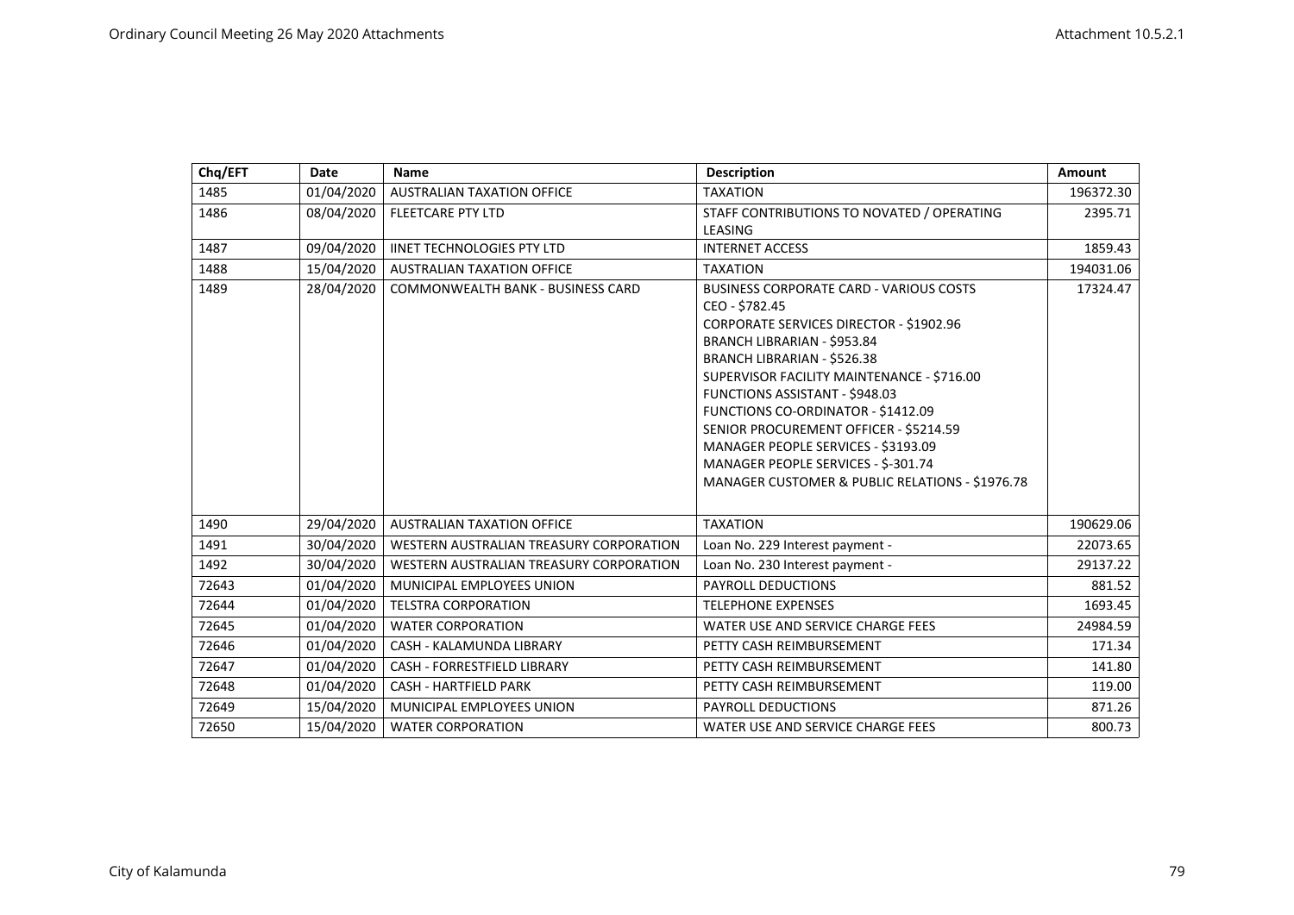| Chq/EFT | Date       | <b>Name</b>                              | <b>Description</b>                                                                                                                                                                                                                                                                                                                                                                                                                                                                                     | <b>Amount</b> |
|---------|------------|------------------------------------------|--------------------------------------------------------------------------------------------------------------------------------------------------------------------------------------------------------------------------------------------------------------------------------------------------------------------------------------------------------------------------------------------------------------------------------------------------------------------------------------------------------|---------------|
| 1485    | 01/04/2020 | <b>AUSTRALIAN TAXATION OFFICE</b>        | <b>TAXATION</b>                                                                                                                                                                                                                                                                                                                                                                                                                                                                                        | 196372.30     |
| 1486    | 08/04/2020 | <b>FLEETCARE PTY LTD</b>                 | STAFF CONTRIBUTIONS TO NOVATED / OPERATING<br>LEASING                                                                                                                                                                                                                                                                                                                                                                                                                                                  | 2395.71       |
| 1487    | 09/04/2020 | <b>IINET TECHNOLOGIES PTY LTD</b>        | <b>INTERNET ACCESS</b>                                                                                                                                                                                                                                                                                                                                                                                                                                                                                 | 1859.43       |
| 1488    | 15/04/2020 | <b>AUSTRALIAN TAXATION OFFICE</b>        | <b>TAXATION</b>                                                                                                                                                                                                                                                                                                                                                                                                                                                                                        | 194031.06     |
| 1489    | 28/04/2020 | <b>COMMONWEALTH BANK - BUSINESS CARD</b> | <b>BUSINESS CORPORATE CARD - VARIOUS COSTS</b><br>CEO - \$782.45<br><b>CORPORATE SERVICES DIRECTOR - \$1902.96</b><br><b>BRANCH LIBRARIAN - \$953.84</b><br><b>BRANCH LIBRARIAN - \$526.38</b><br>SUPERVISOR FACILITY MAINTENANCE - \$716.00<br><b>FUNCTIONS ASSISTANT - \$948.03</b><br>FUNCTIONS CO-ORDINATOR - \$1412.09<br>SENIOR PROCUREMENT OFFICER - \$5214.59<br>MANAGER PEOPLE SERVICES - \$3193.09<br>MANAGER PEOPLE SERVICES - \$-301.74<br>MANAGER CUSTOMER & PUBLIC RELATIONS - \$1976.78 | 17324.47      |
| 1490    | 29/04/2020 | <b>AUSTRALIAN TAXATION OFFICE</b>        | <b>TAXATION</b>                                                                                                                                                                                                                                                                                                                                                                                                                                                                                        | 190629.06     |
| 1491    | 30/04/2020 | WESTERN AUSTRALIAN TREASURY CORPORATION  | Loan No. 229 Interest payment -                                                                                                                                                                                                                                                                                                                                                                                                                                                                        | 22073.65      |
| 1492    | 30/04/2020 | WESTERN AUSTRALIAN TREASURY CORPORATION  | Loan No. 230 Interest payment -                                                                                                                                                                                                                                                                                                                                                                                                                                                                        | 29137.22      |
| 72643   | 01/04/2020 | MUNICIPAL EMPLOYEES UNION                | <b>PAYROLL DEDUCTIONS</b>                                                                                                                                                                                                                                                                                                                                                                                                                                                                              | 881.52        |
| 72644   | 01/04/2020 | <b>TELSTRA CORPORATION</b>               | <b>TELEPHONE EXPENSES</b>                                                                                                                                                                                                                                                                                                                                                                                                                                                                              | 1693.45       |
| 72645   | 01/04/2020 | <b>WATER CORPORATION</b>                 | WATER USE AND SERVICE CHARGE FEES                                                                                                                                                                                                                                                                                                                                                                                                                                                                      | 24984.59      |
| 72646   | 01/04/2020 | CASH - KALAMUNDA LIBRARY                 | PETTY CASH REIMBURSEMENT                                                                                                                                                                                                                                                                                                                                                                                                                                                                               | 171.34        |
| 72647   | 01/04/2020 | <b>CASH - FORRESTFIELD LIBRARY</b>       | PETTY CASH REIMBURSEMENT                                                                                                                                                                                                                                                                                                                                                                                                                                                                               | 141.80        |
| 72648   | 01/04/2020 | <b>CASH - HARTFIELD PARK</b>             | PETTY CASH REIMBURSEMENT                                                                                                                                                                                                                                                                                                                                                                                                                                                                               | 119.00        |
| 72649   | 15/04/2020 | MUNICIPAL EMPLOYEES UNION                | <b>PAYROLL DEDUCTIONS</b>                                                                                                                                                                                                                                                                                                                                                                                                                                                                              | 871.26        |
| 72650   | 15/04/2020 | <b>WATER CORPORATION</b>                 | WATER USE AND SERVICE CHARGE FEES                                                                                                                                                                                                                                                                                                                                                                                                                                                                      | 800.73        |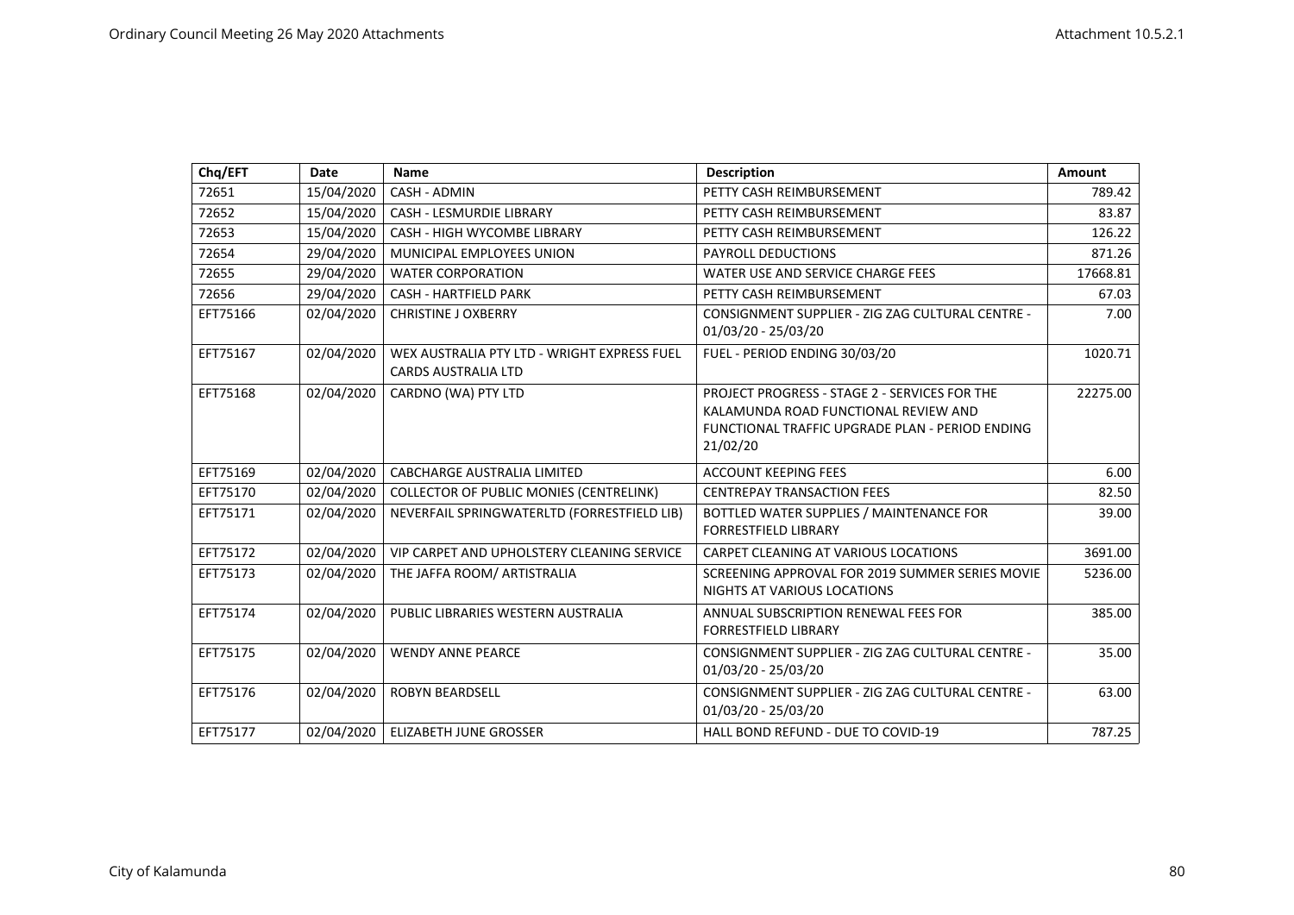| Chq/EFT  | Date       | <b>Name</b>                                                               | <b>Description</b>                                                                                                                                   | <b>Amount</b> |
|----------|------------|---------------------------------------------------------------------------|------------------------------------------------------------------------------------------------------------------------------------------------------|---------------|
| 72651    | 15/04/2020 | CASH - ADMIN                                                              | PETTY CASH REIMBURSEMENT                                                                                                                             | 789.42        |
| 72652    | 15/04/2020 | <b>CASH - LESMURDIE LIBRARY</b>                                           | PETTY CASH REIMBURSEMENT                                                                                                                             | 83.87         |
| 72653    | 15/04/2020 | <b>CASH - HIGH WYCOMBE LIBRARY</b>                                        | PETTY CASH REIMBURSEMENT                                                                                                                             | 126.22        |
| 72654    | 29/04/2020 | MUNICIPAL EMPLOYEES UNION                                                 | PAYROLL DEDUCTIONS                                                                                                                                   | 871.26        |
| 72655    | 29/04/2020 | <b>WATER CORPORATION</b>                                                  | WATER USE AND SERVICE CHARGE FEES                                                                                                                    | 17668.81      |
| 72656    | 29/04/2020 | <b>CASH - HARTFIELD PARK</b>                                              | PETTY CASH REIMBURSEMENT                                                                                                                             | 67.03         |
| EFT75166 | 02/04/2020 | <b>CHRISTINE J OXBERRY</b>                                                | CONSIGNMENT SUPPLIER - ZIG ZAG CULTURAL CENTRE -<br>01/03/20 - 25/03/20                                                                              | 7.00          |
| EFT75167 | 02/04/2020 | WEX AUSTRALIA PTY LTD - WRIGHT EXPRESS FUEL<br><b>CARDS AUSTRALIA LTD</b> | FUEL - PERIOD ENDING 30/03/20                                                                                                                        | 1020.71       |
| EFT75168 | 02/04/2020 | CARDNO (WA) PTY LTD                                                       | PROJECT PROGRESS - STAGE 2 - SERVICES FOR THE<br>KALAMUNDA ROAD FUNCTIONAL REVIEW AND<br>FUNCTIONAL TRAFFIC UPGRADE PLAN - PERIOD ENDING<br>21/02/20 | 22275.00      |
| EFT75169 | 02/04/2020 | <b>CABCHARGE AUSTRALIA LIMITED</b>                                        | <b>ACCOUNT KEEPING FEES</b>                                                                                                                          | 6.00          |
| EFT75170 | 02/04/2020 | <b>COLLECTOR OF PUBLIC MONIES (CENTRELINK)</b>                            | <b>CENTREPAY TRANSACTION FEES</b>                                                                                                                    | 82.50         |
| EFT75171 | 02/04/2020 | NEVERFAIL SPRINGWATERLTD (FORRESTFIELD LIB)                               | BOTTLED WATER SUPPLIES / MAINTENANCE FOR<br><b>FORRESTFIELD LIBRARY</b>                                                                              | 39.00         |
| EFT75172 | 02/04/2020 | VIP CARPET AND UPHOLSTERY CLEANING SERVICE                                | CARPET CLEANING AT VARIOUS LOCATIONS                                                                                                                 | 3691.00       |
| EFT75173 | 02/04/2020 | THE JAFFA ROOM/ ARTISTRALIA                                               | SCREENING APPROVAL FOR 2019 SUMMER SERIES MOVIE<br>NIGHTS AT VARIOUS LOCATIONS                                                                       | 5236.00       |
| EFT75174 | 02/04/2020 | PUBLIC LIBRARIES WESTERN AUSTRALIA                                        | ANNUAL SUBSCRIPTION RENEWAL FEES FOR<br><b>FORRESTFIELD LIBRARY</b>                                                                                  | 385.00        |
| EFT75175 | 02/04/2020 | <b>WENDY ANNE PEARCE</b>                                                  | CONSIGNMENT SUPPLIER - ZIG ZAG CULTURAL CENTRE -<br>01/03/20 - 25/03/20                                                                              | 35.00         |
| EFT75176 | 02/04/2020 | ROBYN BEARDSELL                                                           | CONSIGNMENT SUPPLIER - ZIG ZAG CULTURAL CENTRE -<br>01/03/20 - 25/03/20                                                                              | 63.00         |
| EFT75177 | 02/04/2020 | <b>ELIZABETH JUNE GROSSER</b>                                             | HALL BOND REFUND - DUE TO COVID-19                                                                                                                   | 787.25        |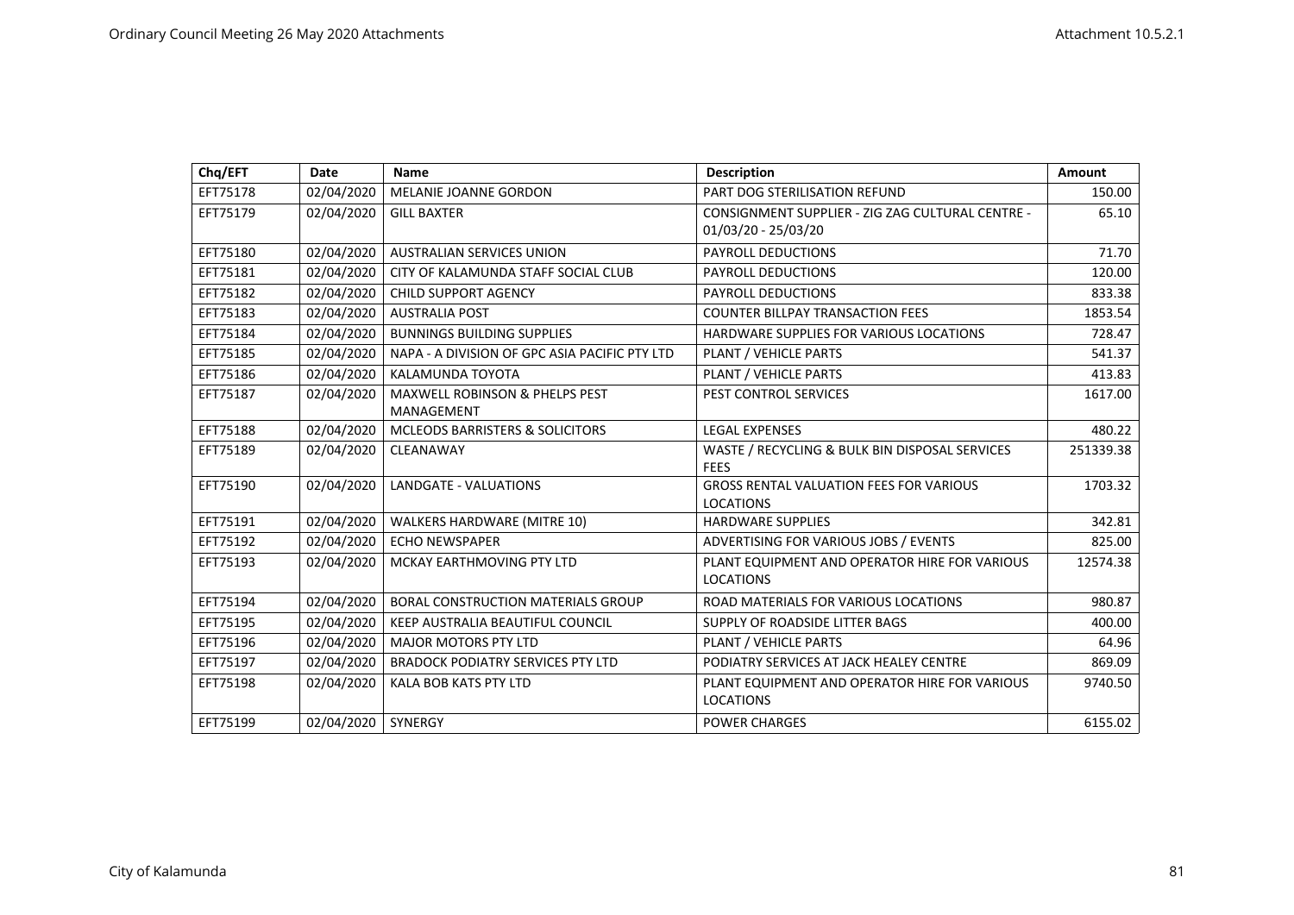| Chq/EFT  | <b>Date</b> | <b>Name</b>                                   | <b>Description</b>                                                      | Amount    |
|----------|-------------|-----------------------------------------------|-------------------------------------------------------------------------|-----------|
| EFT75178 | 02/04/2020  | MELANIE JOANNE GORDON                         | PART DOG STERILISATION REFUND                                           | 150.00    |
| EFT75179 | 02/04/2020  | <b>GILL BAXTER</b>                            | CONSIGNMENT SUPPLIER - ZIG ZAG CULTURAL CENTRE -<br>01/03/20 - 25/03/20 | 65.10     |
| EFT75180 | 02/04/2020  | <b>AUSTRALIAN SERVICES UNION</b>              | <b>PAYROLL DEDUCTIONS</b>                                               | 71.70     |
| EFT75181 | 02/04/2020  | CITY OF KALAMUNDA STAFF SOCIAL CLUB           | <b>PAYROLL DEDUCTIONS</b>                                               | 120.00    |
| EFT75182 | 02/04/2020  | <b>CHILD SUPPORT AGENCY</b>                   | <b>PAYROLL DEDUCTIONS</b>                                               | 833.38    |
| EFT75183 | 02/04/2020  | <b>AUSTRALIA POST</b>                         | <b>COUNTER BILLPAY TRANSACTION FEES</b>                                 | 1853.54   |
| EFT75184 | 02/04/2020  | <b>BUNNINGS BUILDING SUPPLIES</b>             | HARDWARE SUPPLIES FOR VARIOUS LOCATIONS                                 | 728.47    |
| EFT75185 | 02/04/2020  | NAPA - A DIVISION OF GPC ASIA PACIFIC PTY LTD | PLANT / VEHICLE PARTS                                                   | 541.37    |
| EFT75186 | 02/04/2020  | KALAMUNDA TOYOTA                              | PLANT / VEHICLE PARTS                                                   | 413.83    |
| EFT75187 | 02/04/2020  | <b>MAXWELL ROBINSON &amp; PHELPS PEST</b>     | PEST CONTROL SERVICES                                                   | 1617.00   |
|          |             | MANAGEMENT                                    |                                                                         |           |
| EFT75188 | 02/04/2020  | <b>MCLEODS BARRISTERS &amp; SOLICITORS</b>    | <b>LEGAL EXPENSES</b>                                                   | 480.22    |
| EFT75189 | 02/04/2020  | CLEANAWAY                                     | WASTE / RECYCLING & BULK BIN DISPOSAL SERVICES<br><b>FEES</b>           | 251339.38 |
| EFT75190 | 02/04/2020  | LANDGATE - VALUATIONS                         | <b>GROSS RENTAL VALUATION FEES FOR VARIOUS</b><br><b>LOCATIONS</b>      | 1703.32   |
| EFT75191 | 02/04/2020  | WALKERS HARDWARE (MITRE 10)                   | <b>HARDWARE SUPPLIES</b>                                                | 342.81    |
| EFT75192 | 02/04/2020  | <b>ECHO NEWSPAPER</b>                         | ADVERTISING FOR VARIOUS JOBS / EVENTS                                   | 825.00    |
| EFT75193 | 02/04/2020  | MCKAY EARTHMOVING PTY LTD                     | PLANT EQUIPMENT AND OPERATOR HIRE FOR VARIOUS<br><b>LOCATIONS</b>       | 12574.38  |
| EFT75194 | 02/04/2020  | <b>BORAL CONSTRUCTION MATERIALS GROUP</b>     | ROAD MATERIALS FOR VARIOUS LOCATIONS                                    | 980.87    |
| EFT75195 | 02/04/2020  | KEEP AUSTRALIA BEAUTIFUL COUNCIL              | SUPPLY OF ROADSIDE LITTER BAGS                                          | 400.00    |
| EFT75196 | 02/04/2020  | <b>MAJOR MOTORS PTY LTD</b>                   | PLANT / VEHICLE PARTS                                                   | 64.96     |
| EFT75197 | 02/04/2020  | <b>BRADOCK PODIATRY SERVICES PTY LTD</b>      | PODIATRY SERVICES AT JACK HEALEY CENTRE                                 | 869.09    |
| EFT75198 | 02/04/2020  | KALA BOB KATS PTY LTD                         | PLANT EQUIPMENT AND OPERATOR HIRE FOR VARIOUS<br><b>LOCATIONS</b>       | 9740.50   |
| EFT75199 | 02/04/2020  | SYNERGY                                       | <b>POWER CHARGES</b>                                                    | 6155.02   |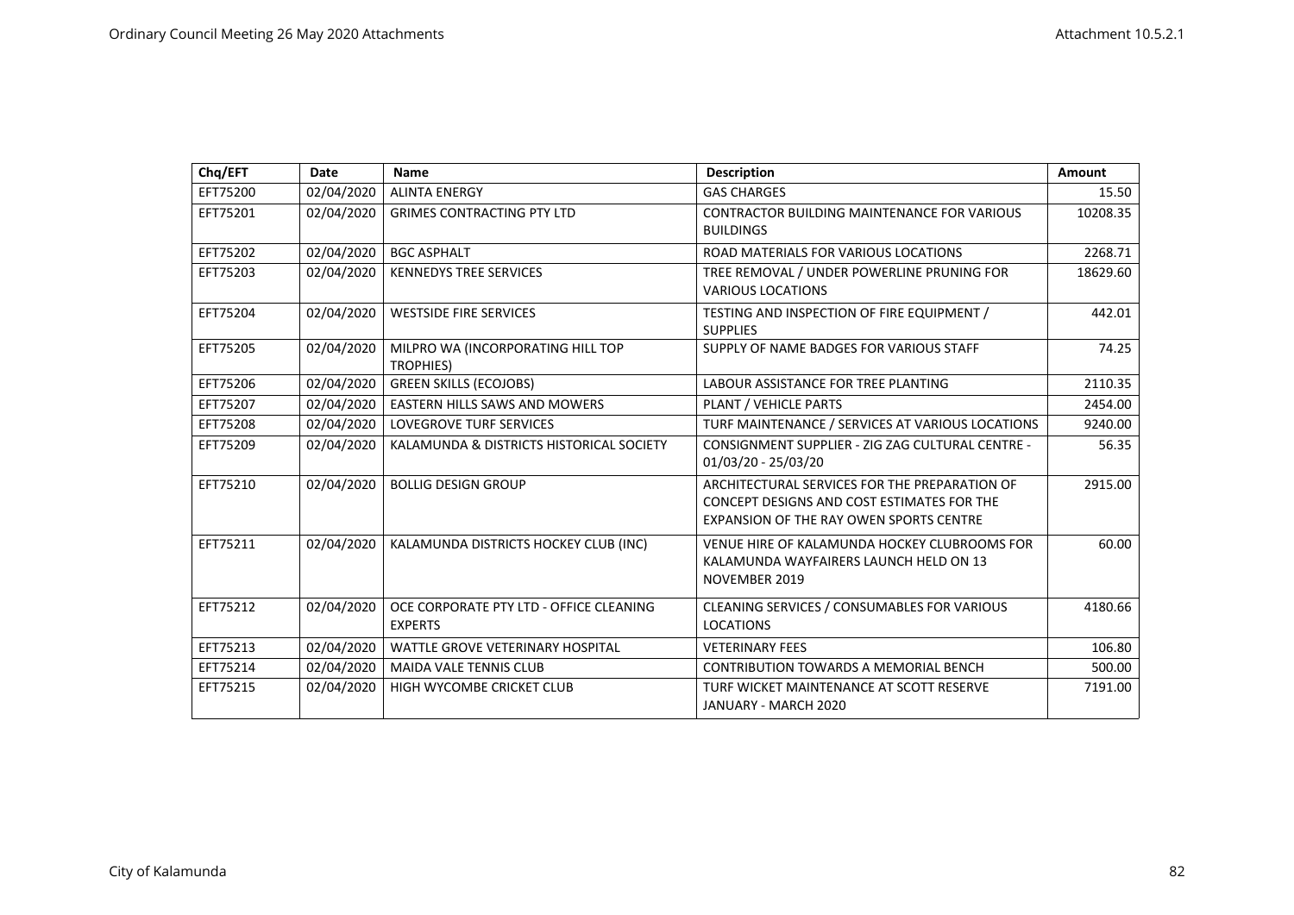| Chq/EFT  | Date       | <b>Name</b>                                               | <b>Description</b>                                                                                                                     | Amount   |
|----------|------------|-----------------------------------------------------------|----------------------------------------------------------------------------------------------------------------------------------------|----------|
| EFT75200 | 02/04/2020 | <b>ALINTA ENERGY</b>                                      | <b>GAS CHARGES</b>                                                                                                                     | 15.50    |
| EFT75201 | 02/04/2020 | <b>GRIMES CONTRACTING PTY LTD</b>                         | CONTRACTOR BUILDING MAINTENANCE FOR VARIOUS<br><b>BUILDINGS</b>                                                                        | 10208.35 |
| EFT75202 | 02/04/2020 | <b>BGC ASPHALT</b>                                        | ROAD MATERIALS FOR VARIOUS LOCATIONS                                                                                                   | 2268.71  |
| EFT75203 | 02/04/2020 | <b>KENNEDYS TREE SERVICES</b>                             | TREE REMOVAL / UNDER POWERLINE PRUNING FOR<br><b>VARIOUS LOCATIONS</b>                                                                 | 18629.60 |
| EFT75204 | 02/04/2020 | <b>WESTSIDE FIRE SERVICES</b>                             | TESTING AND INSPECTION OF FIRE EQUIPMENT /<br><b>SUPPLIES</b>                                                                          | 442.01   |
| EFT75205 | 02/04/2020 | MILPRO WA (INCORPORATING HILL TOP<br><b>TROPHIES)</b>     | SUPPLY OF NAME BADGES FOR VARIOUS STAFF                                                                                                | 74.25    |
| EFT75206 | 02/04/2020 | <b>GREEN SKILLS (ECOJOBS)</b>                             | <b>LABOUR ASSISTANCE FOR TREE PLANTING</b>                                                                                             | 2110.35  |
| EFT75207 | 02/04/2020 | <b>EASTERN HILLS SAWS AND MOWERS</b>                      | PLANT / VEHICLE PARTS                                                                                                                  | 2454.00  |
| EFT75208 | 02/04/2020 | <b>LOVEGROVE TURF SERVICES</b>                            | TURF MAINTENANCE / SERVICES AT VARIOUS LOCATIONS                                                                                       | 9240.00  |
| EFT75209 | 02/04/2020 | KALAMUNDA & DISTRICTS HISTORICAL SOCIETY                  | CONSIGNMENT SUPPLIER - ZIG ZAG CULTURAL CENTRE -<br>01/03/20 - 25/03/20                                                                | 56.35    |
| EFT75210 | 02/04/2020 | <b>BOLLIG DESIGN GROUP</b>                                | ARCHITECTURAL SERVICES FOR THE PREPARATION OF<br>CONCEPT DESIGNS AND COST ESTIMATES FOR THE<br>EXPANSION OF THE RAY OWEN SPORTS CENTRE | 2915.00  |
| EFT75211 | 02/04/2020 | KALAMUNDA DISTRICTS HOCKEY CLUB (INC)                     | VENUE HIRE OF KALAMUNDA HOCKEY CLUBROOMS FOR<br>KALAMUNDA WAYFAIRERS LAUNCH HELD ON 13<br>NOVEMBER 2019                                | 60.00    |
| EFT75212 | 02/04/2020 | OCE CORPORATE PTY LTD - OFFICE CLEANING<br><b>EXPERTS</b> | CLEANING SERVICES / CONSUMABLES FOR VARIOUS<br><b>LOCATIONS</b>                                                                        | 4180.66  |
| EFT75213 | 02/04/2020 | <b>WATTLE GROVE VETERINARY HOSPITAL</b>                   | <b>VETERINARY FEES</b>                                                                                                                 | 106.80   |
| EFT75214 | 02/04/2020 | <b>MAIDA VALE TENNIS CLUB</b>                             | <b>CONTRIBUTION TOWARDS A MEMORIAL BENCH</b>                                                                                           | 500.00   |
| EFT75215 | 02/04/2020 | HIGH WYCOMBE CRICKET CLUB                                 | TURF WICKET MAINTENANCE AT SCOTT RESERVE<br>JANUARY - MARCH 2020                                                                       | 7191.00  |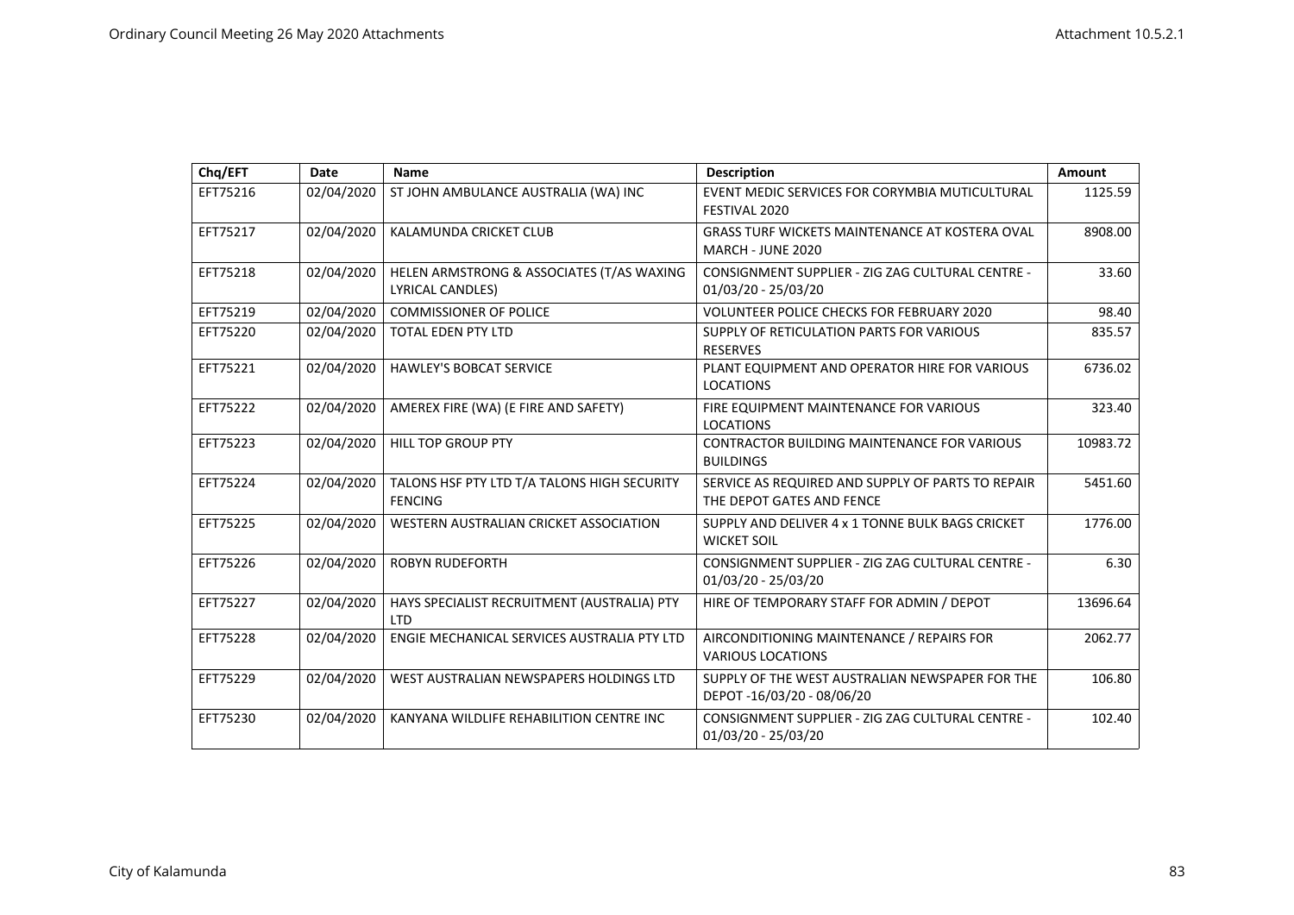| Chq/EFT  | Date       | Name                                                          | <b>Description</b>                                                             | Amount   |
|----------|------------|---------------------------------------------------------------|--------------------------------------------------------------------------------|----------|
| EFT75216 | 02/04/2020 | ST JOHN AMBULANCE AUSTRALIA (WA) INC                          | EVENT MEDIC SERVICES FOR CORYMBIA MUTICULTURAL<br>FESTIVAL 2020                | 1125.59  |
| EFT75217 | 02/04/2020 | KALAMUNDA CRICKET CLUB                                        | <b>GRASS TURF WICKETS MAINTENANCE AT KOSTERA OVAL</b><br>MARCH - JUNE 2020     | 8908.00  |
| EFT75218 | 02/04/2020 | HELEN ARMSTRONG & ASSOCIATES (T/AS WAXING<br>LYRICAL CANDLES) | CONSIGNMENT SUPPLIER - ZIG ZAG CULTURAL CENTRE -<br>01/03/20 - 25/03/20        | 33.60    |
| EFT75219 | 02/04/2020 | <b>COMMISSIONER OF POLICE</b>                                 | <b>VOLUNTEER POLICE CHECKS FOR FEBRUARY 2020</b>                               | 98.40    |
| EFT75220 | 02/04/2020 | <b>TOTAL EDEN PTY LTD</b>                                     | SUPPLY OF RETICULATION PARTS FOR VARIOUS<br><b>RESERVES</b>                    | 835.57   |
| EFT75221 | 02/04/2020 | <b>HAWLEY'S BOBCAT SERVICE</b>                                | PLANT EQUIPMENT AND OPERATOR HIRE FOR VARIOUS<br><b>LOCATIONS</b>              | 6736.02  |
| EFT75222 | 02/04/2020 | AMEREX FIRE (WA) (E FIRE AND SAFETY)                          | FIRE EQUIPMENT MAINTENANCE FOR VARIOUS<br><b>LOCATIONS</b>                     | 323.40   |
| EFT75223 | 02/04/2020 | <b>HILL TOP GROUP PTY</b>                                     | CONTRACTOR BUILDING MAINTENANCE FOR VARIOUS<br><b>BUILDINGS</b>                | 10983.72 |
| EFT75224 | 02/04/2020 | TALONS HSF PTY LTD T/A TALONS HIGH SECURITY<br><b>FENCING</b> | SERVICE AS REQUIRED AND SUPPLY OF PARTS TO REPAIR<br>THE DEPOT GATES AND FENCE | 5451.60  |
| EFT75225 | 02/04/2020 | WESTERN AUSTRALIAN CRICKET ASSOCIATION                        | SUPPLY AND DELIVER 4 x 1 TONNE BULK BAGS CRICKET<br><b>WICKET SOIL</b>         | 1776.00  |
| EFT75226 | 02/04/2020 | <b>ROBYN RUDEFORTH</b>                                        | CONSIGNMENT SUPPLIER - ZIG ZAG CULTURAL CENTRE -<br>01/03/20 - 25/03/20        | 6.30     |
| EFT75227 | 02/04/2020 | HAYS SPECIALIST RECRUITMENT (AUSTRALIA) PTY<br><b>ITD</b>     | HIRE OF TEMPORARY STAFF FOR ADMIN / DEPOT                                      | 13696.64 |
| EFT75228 | 02/04/2020 | ENGIE MECHANICAL SERVICES AUSTRALIA PTY LTD                   | AIRCONDITIONING MAINTENANCE / REPAIRS FOR<br><b>VARIOUS LOCATIONS</b>          | 2062.77  |
| EFT75229 | 02/04/2020 | WEST AUSTRALIAN NEWSPAPERS HOLDINGS LTD                       | SUPPLY OF THE WEST AUSTRALIAN NEWSPAPER FOR THE<br>DEPOT-16/03/20 - 08/06/20   | 106.80   |
| EFT75230 | 02/04/2020 | KANYANA WILDLIFE REHABILITION CENTRE INC                      | CONSIGNMENT SUPPLIER - ZIG ZAG CULTURAL CENTRE -<br>01/03/20 - 25/03/20        | 102.40   |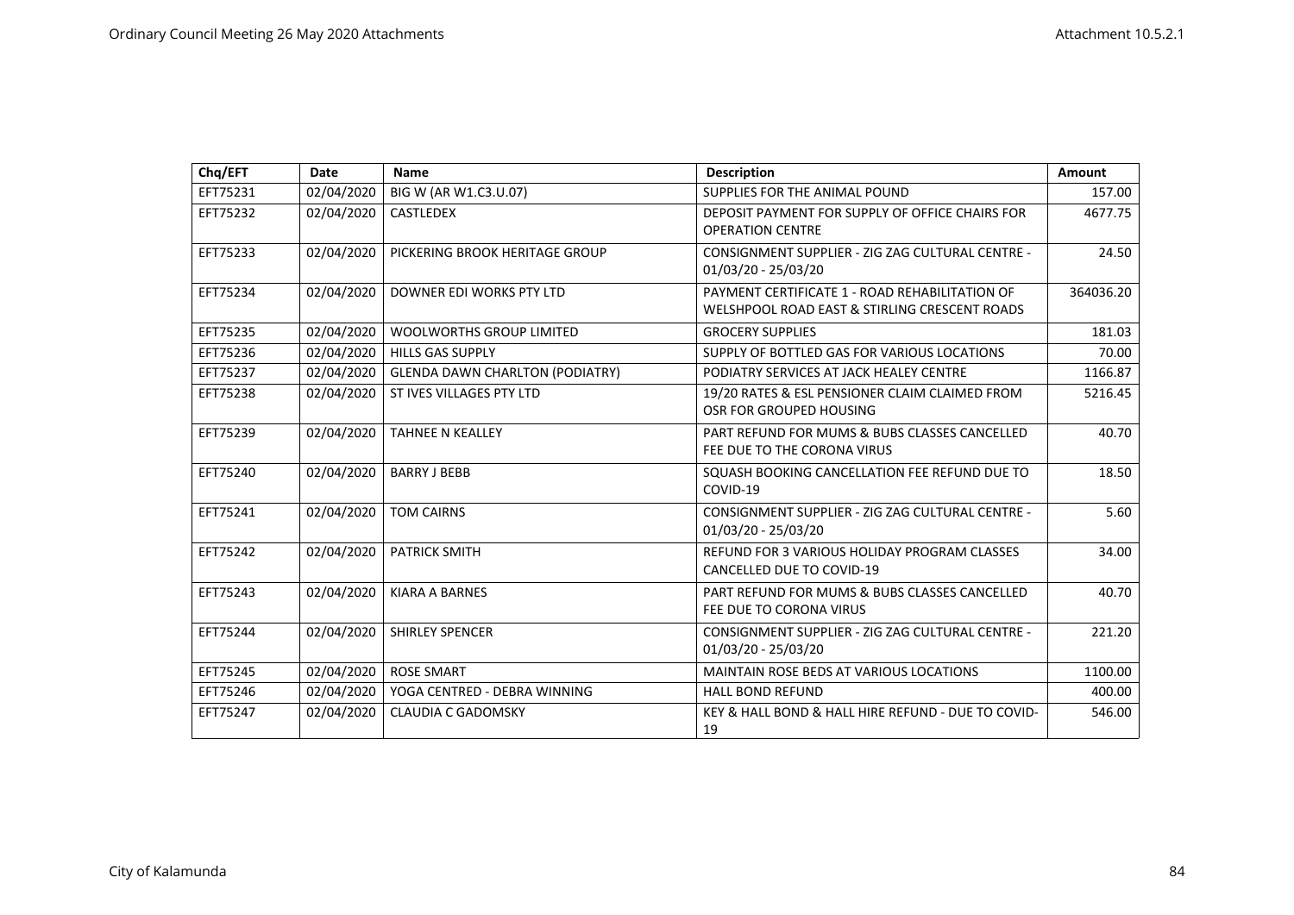| Chq/EFT  | <b>Date</b> | Name                                   | <b>Description</b>                                                                              | Amount    |
|----------|-------------|----------------------------------------|-------------------------------------------------------------------------------------------------|-----------|
| EFT75231 | 02/04/2020  | BIG W (AR W1.C3.U.07)                  | SUPPLIES FOR THE ANIMAL POUND                                                                   | 157.00    |
| EFT75232 | 02/04/2020  | <b>CASTLEDEX</b>                       | DEPOSIT PAYMENT FOR SUPPLY OF OFFICE CHAIRS FOR<br><b>OPERATION CENTRE</b>                      | 4677.75   |
| EFT75233 | 02/04/2020  | PICKERING BROOK HERITAGE GROUP         | CONSIGNMENT SUPPLIER - ZIG ZAG CULTURAL CENTRE -<br>01/03/20 - 25/03/20                         | 24.50     |
| EFT75234 | 02/04/2020  | DOWNER EDI WORKS PTY LTD               | PAYMENT CERTIFICATE 1 - ROAD REHABILITATION OF<br>WELSHPOOL ROAD EAST & STIRLING CRESCENT ROADS | 364036.20 |
| EFT75235 | 02/04/2020  | <b>WOOLWORTHS GROUP LIMITED</b>        | <b>GROCERY SUPPLIES</b>                                                                         | 181.03    |
| EFT75236 | 02/04/2020  | <b>HILLS GAS SUPPLY</b>                | SUPPLY OF BOTTLED GAS FOR VARIOUS LOCATIONS                                                     | 70.00     |
| EFT75237 | 02/04/2020  | <b>GLENDA DAWN CHARLTON (PODIATRY)</b> | PODIATRY SERVICES AT JACK HEALEY CENTRE                                                         | 1166.87   |
| EFT75238 | 02/04/2020  | ST IVES VILLAGES PTY LTD               | 19/20 RATES & ESL PENSIONER CLAIM CLAIMED FROM<br>OSR FOR GROUPED HOUSING                       | 5216.45   |
| EFT75239 | 02/04/2020  | <b>TAHNEE N KEALLEY</b>                | PART REFUND FOR MUMS & BUBS CLASSES CANCELLED<br>FEE DUE TO THE CORONA VIRUS                    | 40.70     |
| EFT75240 | 02/04/2020  | <b>BARRY J BEBB</b>                    | SQUASH BOOKING CANCELLATION FEE REFUND DUE TO<br>COVID-19                                       | 18.50     |
| EFT75241 | 02/04/2020  | <b>TOM CAIRNS</b>                      | CONSIGNMENT SUPPLIER - ZIG ZAG CULTURAL CENTRE -<br>01/03/20 - 25/03/20                         | 5.60      |
| EFT75242 | 02/04/2020  | <b>PATRICK SMITH</b>                   | REFUND FOR 3 VARIOUS HOLIDAY PROGRAM CLASSES<br><b>CANCELLED DUE TO COVID-19</b>                | 34.00     |
| EFT75243 | 02/04/2020  | <b>KIARA A BARNES</b>                  | PART REFUND FOR MUMS & BUBS CLASSES CANCELLED<br>FEE DUE TO CORONA VIRUS                        | 40.70     |
| EFT75244 | 02/04/2020  | SHIRLEY SPENCER                        | CONSIGNMENT SUPPLIER - ZIG ZAG CULTURAL CENTRE -<br>01/03/20 - 25/03/20                         | 221.20    |
| EFT75245 | 02/04/2020  | <b>ROSE SMART</b>                      | <b>MAINTAIN ROSE BEDS AT VARIOUS LOCATIONS</b>                                                  | 1100.00   |
| EFT75246 | 02/04/2020  | YOGA CENTRED - DEBRA WINNING           | <b>HALL BOND REFUND</b>                                                                         | 400.00    |
| EFT75247 | 02/04/2020  | <b>CLAUDIA C GADOMSKY</b>              | KEY & HALL BOND & HALL HIRE REFUND - DUE TO COVID-<br>19                                        | 546.00    |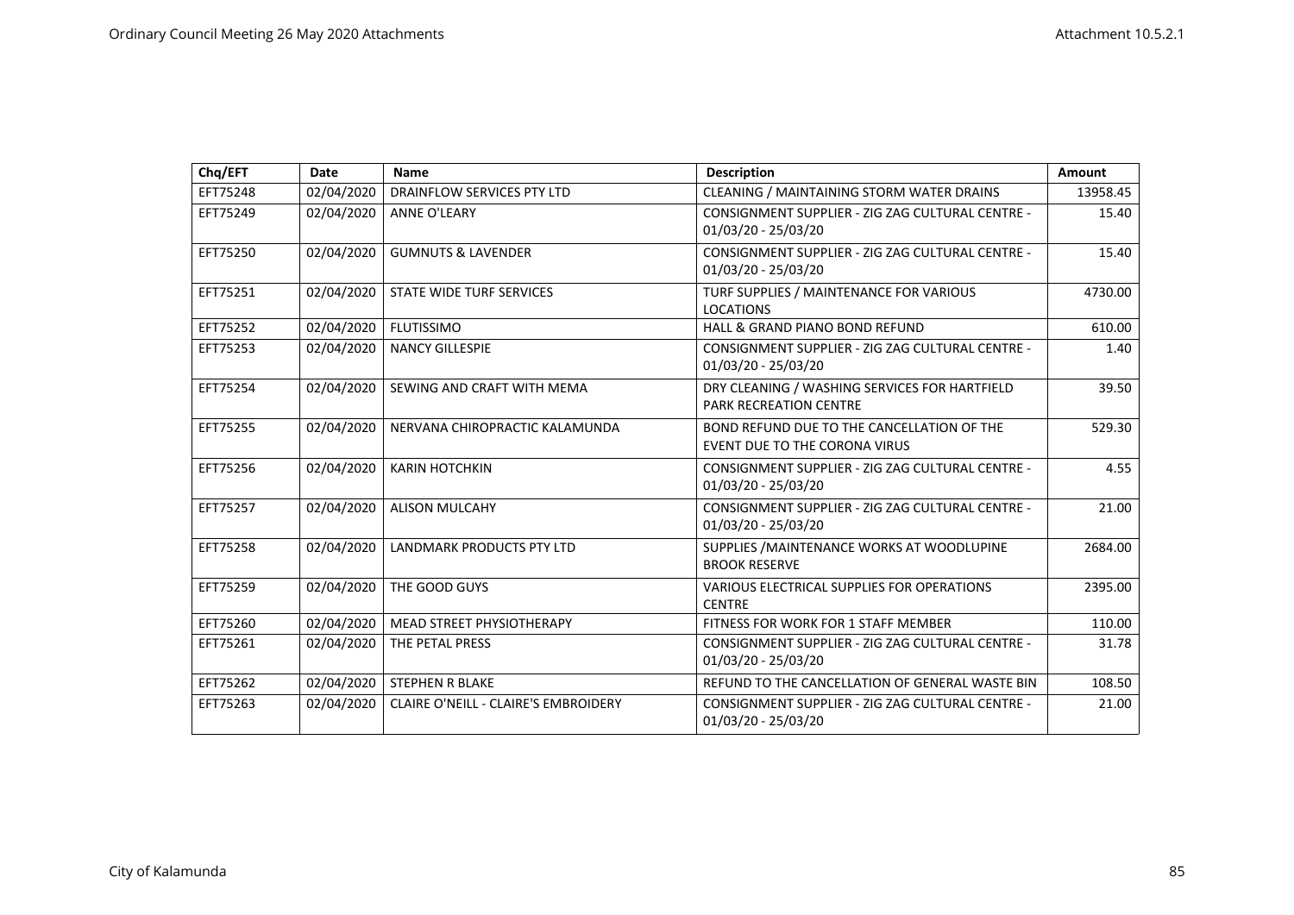| Chq/EFT  | Date       | <b>Name</b>                          | <b>Description</b>                                                                 | Amount   |
|----------|------------|--------------------------------------|------------------------------------------------------------------------------------|----------|
| EFT75248 | 02/04/2020 | DRAINFLOW SERVICES PTY LTD           | CLEANING / MAINTAINING STORM WATER DRAINS                                          | 13958.45 |
| EFT75249 | 02/04/2020 | <b>ANNE O'LEARY</b>                  | CONSIGNMENT SUPPLIER - ZIG ZAG CULTURAL CENTRE -<br>01/03/20 - 25/03/20            | 15.40    |
| EFT75250 | 02/04/2020 | <b>GUMNUTS &amp; LAVENDER</b>        | CONSIGNMENT SUPPLIER - ZIG ZAG CULTURAL CENTRE -<br>01/03/20 - 25/03/20            | 15.40    |
| EFT75251 | 02/04/2020 | STATE WIDE TURF SERVICES             | TURF SUPPLIES / MAINTENANCE FOR VARIOUS<br><b>LOCATIONS</b>                        | 4730.00  |
| EFT75252 | 02/04/2020 | <b>FLUTISSIMO</b>                    | HALL & GRAND PIANO BOND REFUND                                                     | 610.00   |
| EFT75253 | 02/04/2020 | <b>NANCY GILLESPIE</b>               | CONSIGNMENT SUPPLIER - ZIG ZAG CULTURAL CENTRE -<br>01/03/20 - 25/03/20            | 1.40     |
| EFT75254 | 02/04/2020 | SEWING AND CRAFT WITH MEMA           | DRY CLEANING / WASHING SERVICES FOR HARTFIELD<br><b>PARK RECREATION CENTRE</b>     | 39.50    |
| EFT75255 | 02/04/2020 | NERVANA CHIROPRACTIC KALAMUNDA       | BOND REFUND DUE TO THE CANCELLATION OF THE<br><b>EVENT DUE TO THE CORONA VIRUS</b> | 529.30   |
| EFT75256 | 02/04/2020 | <b>KARIN HOTCHKIN</b>                | CONSIGNMENT SUPPLIER - ZIG ZAG CULTURAL CENTRE -<br>01/03/20 - 25/03/20            | 4.55     |
| EFT75257 | 02/04/2020 | <b>ALISON MULCAHY</b>                | CONSIGNMENT SUPPLIER - ZIG ZAG CULTURAL CENTRE -<br>01/03/20 - 25/03/20            | 21.00    |
| EFT75258 | 02/04/2020 | LANDMARK PRODUCTS PTY LTD            | SUPPLIES / MAINTENANCE WORKS AT WOODLUPINE<br><b>BROOK RESERVE</b>                 | 2684.00  |
| EFT75259 | 02/04/2020 | THE GOOD GUYS                        | VARIOUS ELECTRICAL SUPPLIES FOR OPERATIONS<br><b>CENTRE</b>                        | 2395.00  |
| EFT75260 | 02/04/2020 | MEAD STREET PHYSIOTHERAPY            | FITNESS FOR WORK FOR 1 STAFF MEMBER                                                | 110.00   |
| EFT75261 | 02/04/2020 | THE PETAL PRESS                      | CONSIGNMENT SUPPLIER - ZIG ZAG CULTURAL CENTRE -<br>01/03/20 - 25/03/20            | 31.78    |
| EFT75262 | 02/04/2020 | <b>STEPHEN R BLAKE</b>               | REFUND TO THE CANCELLATION OF GENERAL WASTE BIN                                    | 108.50   |
| EFT75263 | 02/04/2020 | CLAIRE O'NEILL - CLAIRE'S EMBROIDERY | CONSIGNMENT SUPPLIER - ZIG ZAG CULTURAL CENTRE -<br>01/03/20 - 25/03/20            | 21.00    |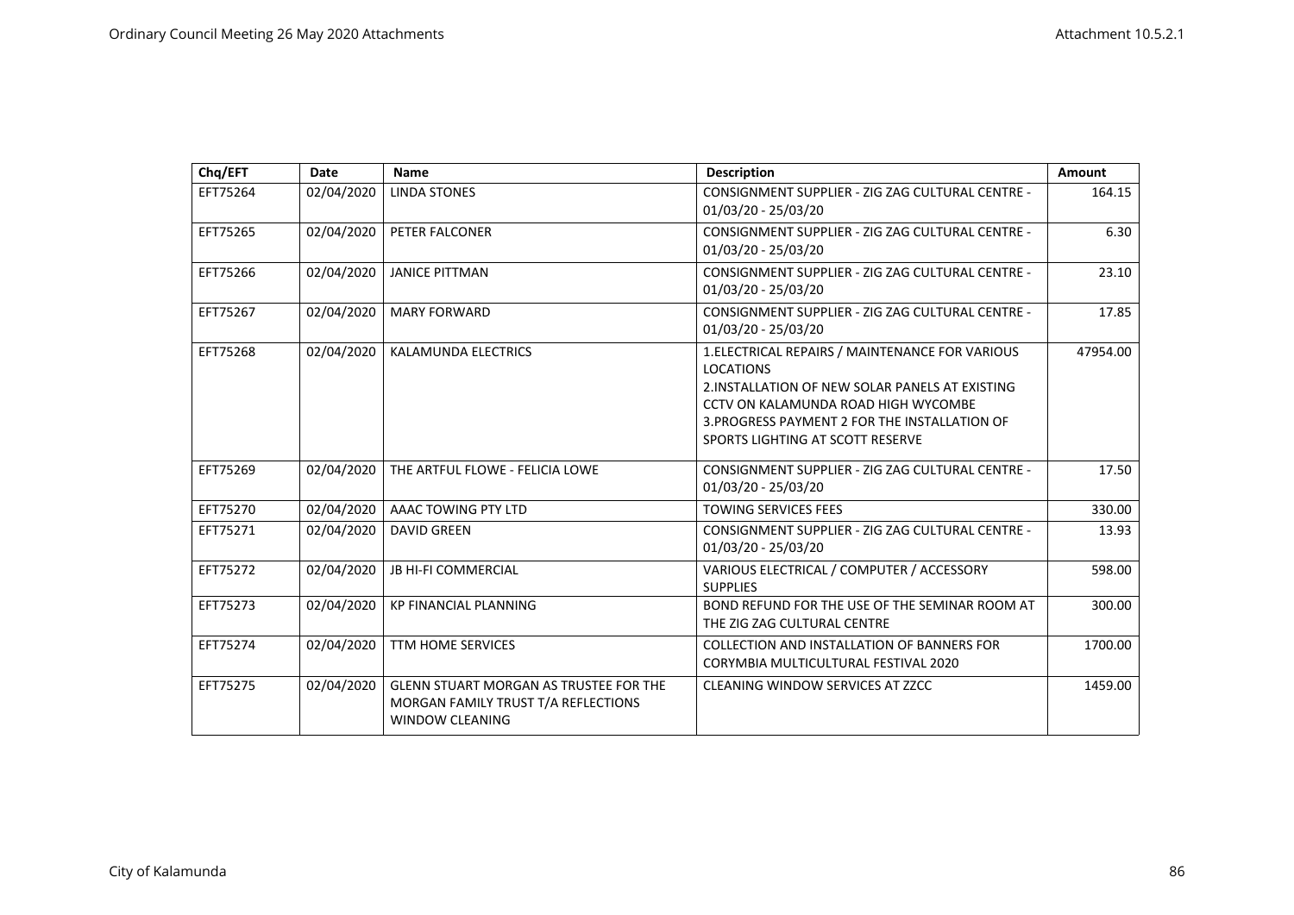| Chq/EFT  | Date       | Name                                                                                                           | <b>Description</b>                                                                                                                                                                                                                                 | Amount   |
|----------|------------|----------------------------------------------------------------------------------------------------------------|----------------------------------------------------------------------------------------------------------------------------------------------------------------------------------------------------------------------------------------------------|----------|
| EFT75264 | 02/04/2020 | <b>LINDA STONES</b>                                                                                            | CONSIGNMENT SUPPLIER - ZIG ZAG CULTURAL CENTRE -<br>01/03/20 - 25/03/20                                                                                                                                                                            | 164.15   |
| EFT75265 | 02/04/2020 | <b>PETER FALCONER</b>                                                                                          | CONSIGNMENT SUPPLIER - ZIG ZAG CULTURAL CENTRE -<br>01/03/20 - 25/03/20                                                                                                                                                                            | 6.30     |
| EFT75266 | 02/04/2020 | <b>JANICE PITTMAN</b>                                                                                          | CONSIGNMENT SUPPLIER - ZIG ZAG CULTURAL CENTRE -<br>01/03/20 - 25/03/20                                                                                                                                                                            | 23.10    |
| EFT75267 | 02/04/2020 | <b>MARY FORWARD</b>                                                                                            | CONSIGNMENT SUPPLIER - ZIG ZAG CULTURAL CENTRE -<br>01/03/20 - 25/03/20                                                                                                                                                                            | 17.85    |
| EFT75268 | 02/04/2020 | KALAMUNDA ELECTRICS                                                                                            | 1. ELECTRICAL REPAIRS / MAINTENANCE FOR VARIOUS<br><b>LOCATIONS</b><br>2. INSTALLATION OF NEW SOLAR PANELS AT EXISTING<br>CCTV ON KALAMUNDA ROAD HIGH WYCOMBE<br>3. PROGRESS PAYMENT 2 FOR THE INSTALLATION OF<br>SPORTS LIGHTING AT SCOTT RESERVE | 47954.00 |
| EFT75269 | 02/04/2020 | THE ARTFUL FLOWE - FELICIA LOWE                                                                                | CONSIGNMENT SUPPLIER - ZIG ZAG CULTURAL CENTRE -<br>01/03/20 - 25/03/20                                                                                                                                                                            | 17.50    |
| EFT75270 | 02/04/2020 | AAAC TOWING PTY LTD                                                                                            | <b>TOWING SERVICES FEES</b>                                                                                                                                                                                                                        | 330.00   |
| EFT75271 | 02/04/2020 | <b>DAVID GREEN</b>                                                                                             | CONSIGNMENT SUPPLIER - ZIG ZAG CULTURAL CENTRE -<br>01/03/20 - 25/03/20                                                                                                                                                                            | 13.93    |
| EFT75272 | 02/04/2020 | <b>JB HI-FI COMMERCIAL</b>                                                                                     | VARIOUS ELECTRICAL / COMPUTER / ACCESSORY<br><b>SUPPLIES</b>                                                                                                                                                                                       | 598.00   |
| EFT75273 | 02/04/2020 | <b>KP FINANCIAL PLANNING</b>                                                                                   | BOND REFUND FOR THE USE OF THE SEMINAR ROOM AT<br>THE ZIG ZAG CULTURAL CENTRE                                                                                                                                                                      | 300.00   |
| EFT75274 | 02/04/2020 | <b>TTM HOME SERVICES</b>                                                                                       | COLLECTION AND INSTALLATION OF BANNERS FOR<br>CORYMBIA MULTICULTURAL FESTIVAL 2020                                                                                                                                                                 | 1700.00  |
| EFT75275 | 02/04/2020 | <b>GLENN STUART MORGAN AS TRUSTEE FOR THE</b><br>MORGAN FAMILY TRUST T/A REFLECTIONS<br><b>WINDOW CLEANING</b> | <b>CLEANING WINDOW SERVICES AT ZZCC</b>                                                                                                                                                                                                            | 1459.00  |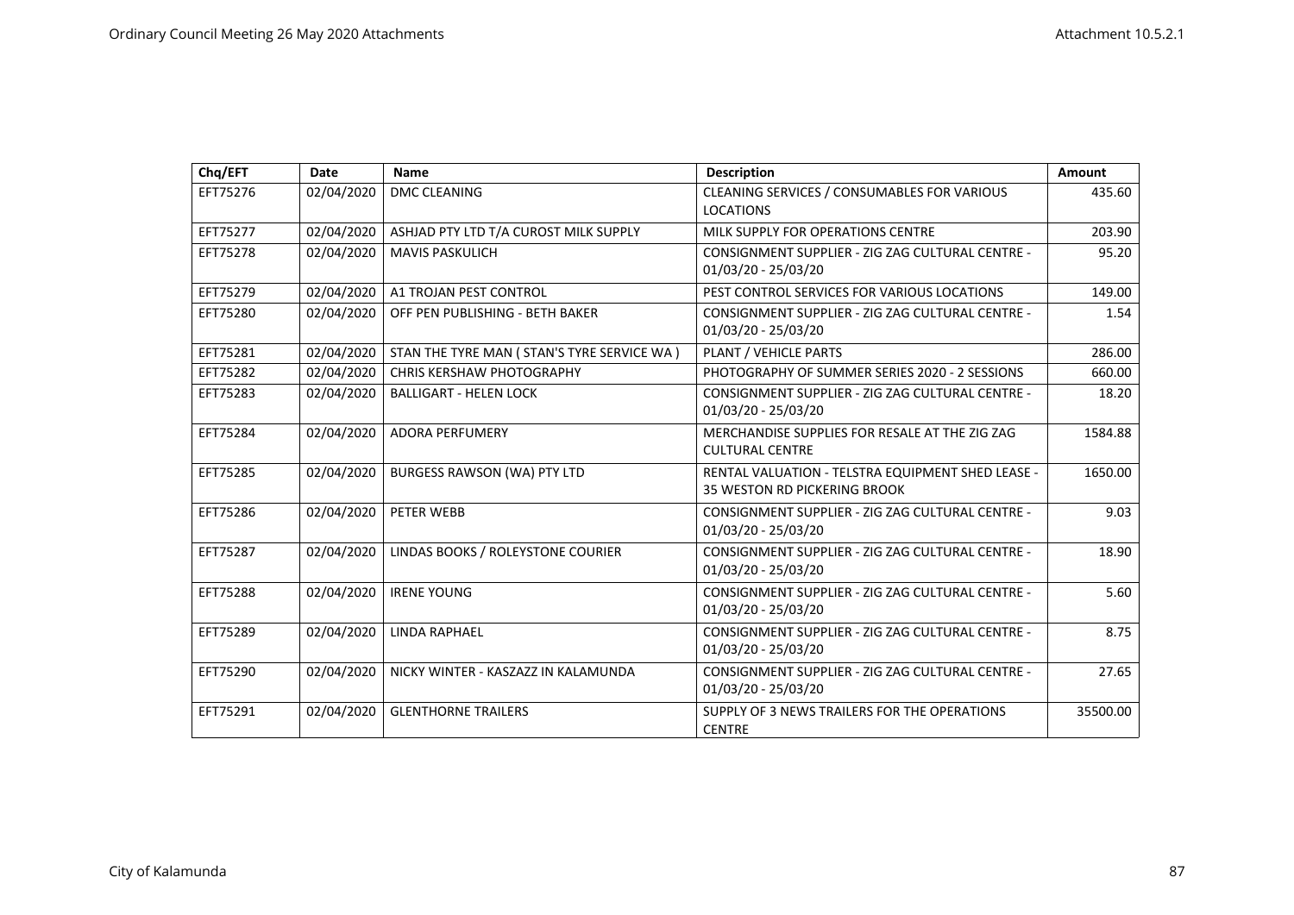| Chq/EFT  | Date       | Name                                         | <b>Description</b>                                                                       | Amount   |
|----------|------------|----------------------------------------------|------------------------------------------------------------------------------------------|----------|
| EFT75276 | 02/04/2020 | <b>DMC CLEANING</b>                          | CLEANING SERVICES / CONSUMABLES FOR VARIOUS<br><b>LOCATIONS</b>                          | 435.60   |
| EFT75277 | 02/04/2020 | ASHJAD PTY LTD T/A CUROST MILK SUPPLY        | MILK SUPPLY FOR OPERATIONS CENTRE                                                        | 203.90   |
| EFT75278 | 02/04/2020 | <b>MAVIS PASKULICH</b>                       | CONSIGNMENT SUPPLIER - ZIG ZAG CULTURAL CENTRE -<br>01/03/20 - 25/03/20                  | 95.20    |
| EFT75279 | 02/04/2020 | A1 TROJAN PEST CONTROL                       | PEST CONTROL SERVICES FOR VARIOUS LOCATIONS                                              | 149.00   |
| EFT75280 | 02/04/2020 | OFF PEN PUBLISHING - BETH BAKER              | CONSIGNMENT SUPPLIER - ZIG ZAG CULTURAL CENTRE -<br>01/03/20 - 25/03/20                  | 1.54     |
| EFT75281 | 02/04/2020 | STAN THE TYRE MAN ( STAN'S TYRE SERVICE WA ) | PLANT / VEHICLE PARTS                                                                    | 286.00   |
| EFT75282 | 02/04/2020 | <b>CHRIS KERSHAW PHOTOGRAPHY</b>             | PHOTOGRAPHY OF SUMMER SERIES 2020 - 2 SESSIONS                                           | 660.00   |
| EFT75283 | 02/04/2020 | <b>BALLIGART - HELEN LOCK</b>                | CONSIGNMENT SUPPLIER - ZIG ZAG CULTURAL CENTRE -<br>01/03/20 - 25/03/20                  | 18.20    |
| EFT75284 | 02/04/2020 | <b>ADORA PERFUMERY</b>                       | MERCHANDISE SUPPLIES FOR RESALE AT THE ZIG ZAG<br><b>CULTURAL CENTRE</b>                 | 1584.88  |
| EFT75285 | 02/04/2020 | <b>BURGESS RAWSON (WA) PTY LTD</b>           | RENTAL VALUATION - TELSTRA EQUIPMENT SHED LEASE -<br><b>35 WESTON RD PICKERING BROOK</b> | 1650.00  |
| EFT75286 | 02/04/2020 | PETER WEBB                                   | CONSIGNMENT SUPPLIER - ZIG ZAG CULTURAL CENTRE -<br>01/03/20 - 25/03/20                  | 9.03     |
| EFT75287 | 02/04/2020 | LINDAS BOOKS / ROLEYSTONE COURIER            | CONSIGNMENT SUPPLIER - ZIG ZAG CULTURAL CENTRE -<br>01/03/20 - 25/03/20                  | 18.90    |
| EFT75288 | 02/04/2020 | <b>IRENE YOUNG</b>                           | CONSIGNMENT SUPPLIER - ZIG ZAG CULTURAL CENTRE -<br>01/03/20 - 25/03/20                  | 5.60     |
| EFT75289 | 02/04/2020 | <b>LINDA RAPHAEL</b>                         | CONSIGNMENT SUPPLIER - ZIG ZAG CULTURAL CENTRE -<br>01/03/20 - 25/03/20                  | 8.75     |
| EFT75290 | 02/04/2020 | NICKY WINTER - KASZAZZ IN KALAMUNDA          | CONSIGNMENT SUPPLIER - ZIG ZAG CULTURAL CENTRE -<br>01/03/20 - 25/03/20                  | 27.65    |
| EFT75291 | 02/04/2020 | <b>GLENTHORNE TRAILERS</b>                   | SUPPLY OF 3 NEWS TRAILERS FOR THE OPERATIONS<br><b>CENTRE</b>                            | 35500.00 |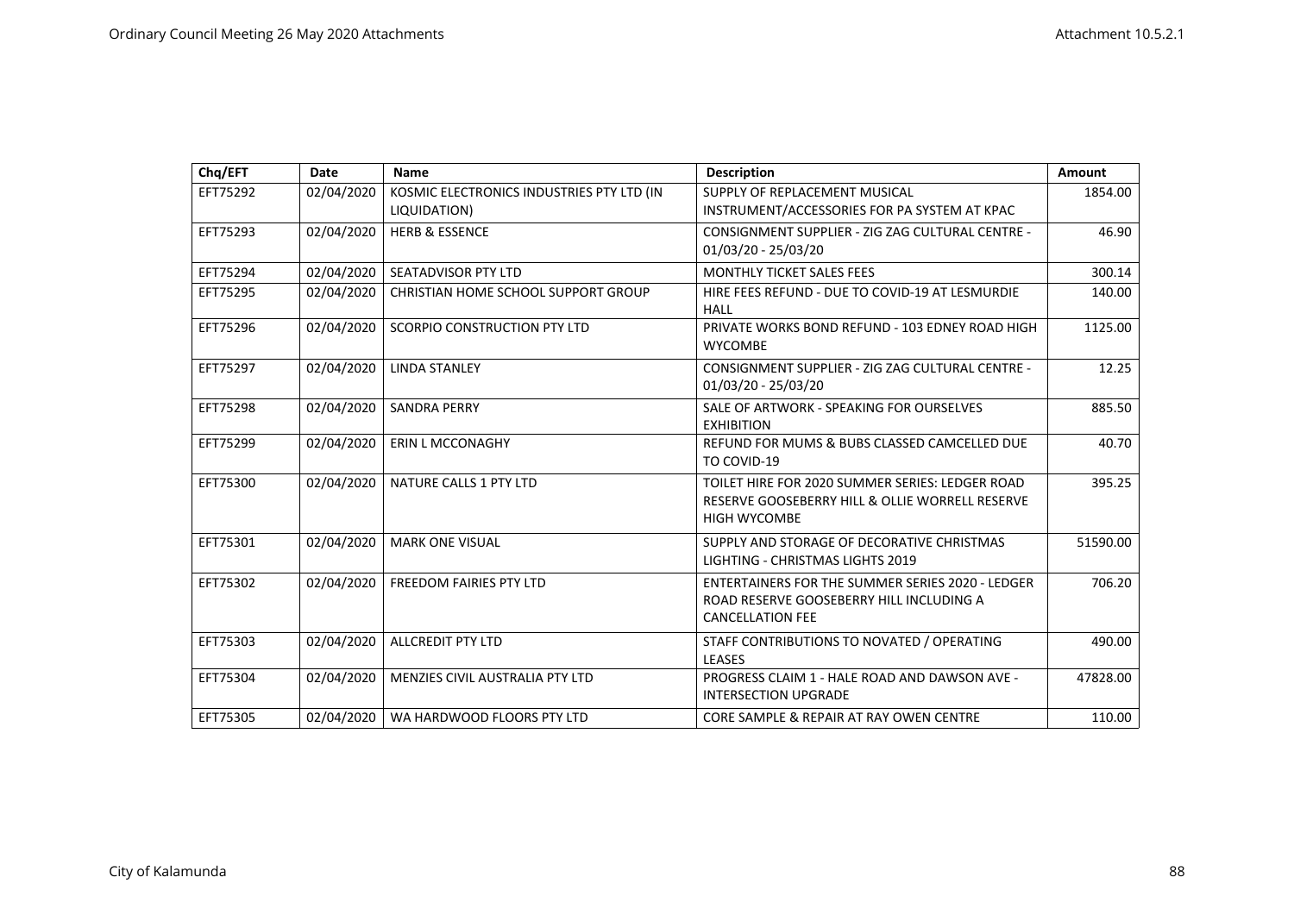| Chq/EFT  | Date       | Name                                                      | <b>Description</b>                                                                                                             | Amount   |
|----------|------------|-----------------------------------------------------------|--------------------------------------------------------------------------------------------------------------------------------|----------|
| EFT75292 | 02/04/2020 | KOSMIC ELECTRONICS INDUSTRIES PTY LTD (IN<br>LIQUIDATION) | SUPPLY OF REPLACEMENT MUSICAL<br>INSTRUMENT/ACCESSORIES FOR PA SYSTEM AT KPAC                                                  | 1854.00  |
| EFT75293 | 02/04/2020 | <b>HERB &amp; ESSENCE</b>                                 | CONSIGNMENT SUPPLIER - ZIG ZAG CULTURAL CENTRE -<br>01/03/20 - 25/03/20                                                        | 46.90    |
| EFT75294 | 02/04/2020 | <b>SEATADVISOR PTY LTD</b>                                | <b>MONTHLY TICKET SALES FEES</b>                                                                                               | 300.14   |
| EFT75295 | 02/04/2020 | CHRISTIAN HOME SCHOOL SUPPORT GROUP                       | HIRE FEES REFUND - DUE TO COVID-19 AT LESMURDIE<br><b>HALL</b>                                                                 | 140.00   |
| EFT75296 | 02/04/2020 | <b>SCORPIO CONSTRUCTION PTY LTD</b>                       | PRIVATE WORKS BOND REFUND - 103 EDNEY ROAD HIGH<br><b>WYCOMBE</b>                                                              | 1125.00  |
| EFT75297 | 02/04/2020 | <b>LINDA STANLEY</b>                                      | CONSIGNMENT SUPPLIER - ZIG ZAG CULTURAL CENTRE -<br>01/03/20 - 25/03/20                                                        | 12.25    |
| EFT75298 | 02/04/2020 | <b>SANDRA PERRY</b>                                       | SALE OF ARTWORK - SPEAKING FOR OURSELVES<br><b>EXHIBITION</b>                                                                  | 885.50   |
| EFT75299 | 02/04/2020 | <b>ERIN L MCCONAGHY</b>                                   | REFUND FOR MUMS & BUBS CLASSED CAMCELLED DUE<br>TO COVID-19                                                                    | 40.70    |
| EFT75300 | 02/04/2020 | NATURE CALLS 1 PTY LTD                                    | TOILET HIRE FOR 2020 SUMMER SERIES: LEDGER ROAD<br>RESERVE GOOSEBERRY HILL & OLLIE WORRELL RESERVE<br><b>HIGH WYCOMBE</b>      | 395.25   |
| EFT75301 | 02/04/2020 | <b>MARK ONE VISUAL</b>                                    | SUPPLY AND STORAGE OF DECORATIVE CHRISTMAS<br><b>LIGHTING - CHRISTMAS LIGHTS 2019</b>                                          | 51590.00 |
| EFT75302 | 02/04/2020 | <b>FREEDOM FAIRIES PTY LTD</b>                            | <b>ENTERTAINERS FOR THE SUMMER SERIES 2020 - LEDGER</b><br>ROAD RESERVE GOOSEBERRY HILL INCLUDING A<br><b>CANCELLATION FEE</b> | 706.20   |
| EFT75303 | 02/04/2020 | <b>ALLCREDIT PTY LTD</b>                                  | STAFF CONTRIBUTIONS TO NOVATED / OPERATING<br><b>LEASES</b>                                                                    | 490.00   |
| EFT75304 | 02/04/2020 | MENZIES CIVIL AUSTRALIA PTY LTD                           | PROGRESS CLAIM 1 - HALE ROAD AND DAWSON AVE -<br><b>INTERSECTION UPGRADE</b>                                                   | 47828.00 |
| EFT75305 | 02/04/2020 | WA HARDWOOD FLOORS PTY LTD                                | CORE SAMPLE & REPAIR AT RAY OWEN CENTRE                                                                                        | 110.00   |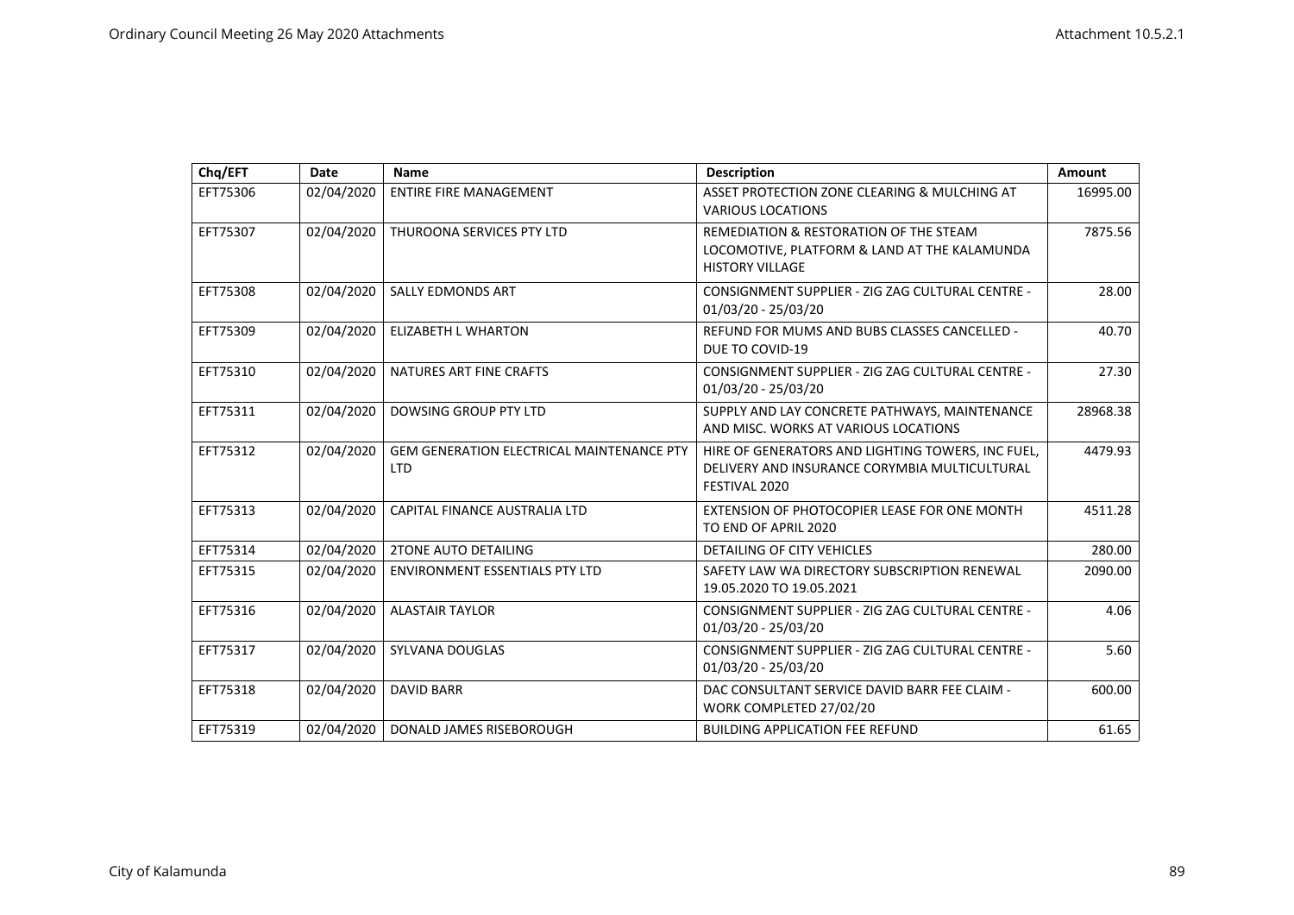| Chq/EFT  | Date       | Name                                                           | <b>Description</b>                                                                                                  | Amount   |
|----------|------------|----------------------------------------------------------------|---------------------------------------------------------------------------------------------------------------------|----------|
| EFT75306 | 02/04/2020 | <b>ENTIRE FIRE MANAGEMENT</b>                                  | ASSET PROTECTION ZONE CLEARING & MULCHING AT<br><b>VARIOUS LOCATIONS</b>                                            | 16995.00 |
| EFT75307 | 02/04/2020 | THUROONA SERVICES PTY LTD                                      | REMEDIATION & RESTORATION OF THE STEAM<br>LOCOMOTIVE, PLATFORM & LAND AT THE KALAMUNDA<br><b>HISTORY VILLAGE</b>    | 7875.56  |
| EFT75308 | 02/04/2020 | <b>SALLY EDMONDS ART</b>                                       | CONSIGNMENT SUPPLIER - ZIG ZAG CULTURAL CENTRE -<br>01/03/20 - 25/03/20                                             | 28.00    |
| EFT75309 | 02/04/2020 | <b>ELIZABETH L WHARTON</b>                                     | REFUND FOR MUMS AND BUBS CLASSES CANCELLED -<br>DUE TO COVID-19                                                     | 40.70    |
| EFT75310 | 02/04/2020 | NATURES ART FINE CRAFTS                                        | CONSIGNMENT SUPPLIER - ZIG ZAG CULTURAL CENTRE -<br>01/03/20 - 25/03/20                                             | 27.30    |
| EFT75311 | 02/04/2020 | <b>DOWSING GROUP PTY LTD</b>                                   | SUPPLY AND LAY CONCRETE PATHWAYS, MAINTENANCE<br>AND MISC. WORKS AT VARIOUS LOCATIONS                               | 28968.38 |
| EFT75312 | 02/04/2020 | <b>GEM GENERATION ELECTRICAL MAINTENANCE PTY</b><br><b>LTD</b> | HIRE OF GENERATORS AND LIGHTING TOWERS, INC FUEL,<br>DELIVERY AND INSURANCE CORYMBIA MULTICULTURAL<br>FESTIVAL 2020 | 4479.93  |
| EFT75313 | 02/04/2020 | CAPITAL FINANCE AUSTRALIA LTD                                  | EXTENSION OF PHOTOCOPIER LEASE FOR ONE MONTH<br>TO END OF APRIL 2020                                                | 4511.28  |
| EFT75314 | 02/04/2020 | <b>2TONE AUTO DETAILING</b>                                    | <b>DETAILING OF CITY VEHICLES</b>                                                                                   | 280.00   |
| EFT75315 | 02/04/2020 | <b>ENVIRONMENT ESSENTIALS PTY LTD</b>                          | SAFETY LAW WA DIRECTORY SUBSCRIPTION RENEWAL<br>19.05.2020 TO 19.05.2021                                            | 2090.00  |
| EFT75316 | 02/04/2020 | <b>ALASTAIR TAYLOR</b>                                         | CONSIGNMENT SUPPLIER - ZIG ZAG CULTURAL CENTRE -<br>01/03/20 - 25/03/20                                             | 4.06     |
| EFT75317 | 02/04/2020 | SYLVANA DOUGLAS                                                | CONSIGNMENT SUPPLIER - ZIG ZAG CULTURAL CENTRE -<br>01/03/20 - 25/03/20                                             | 5.60     |
| EFT75318 | 02/04/2020 | <b>DAVID BARR</b>                                              | DAC CONSULTANT SERVICE DAVID BARR FEE CLAIM -<br>WORK COMPLETED 27/02/20                                            | 600.00   |
| EFT75319 | 02/04/2020 | DONALD JAMES RISEBOROUGH                                       | <b>BUILDING APPLICATION FEE REFUND</b>                                                                              | 61.65    |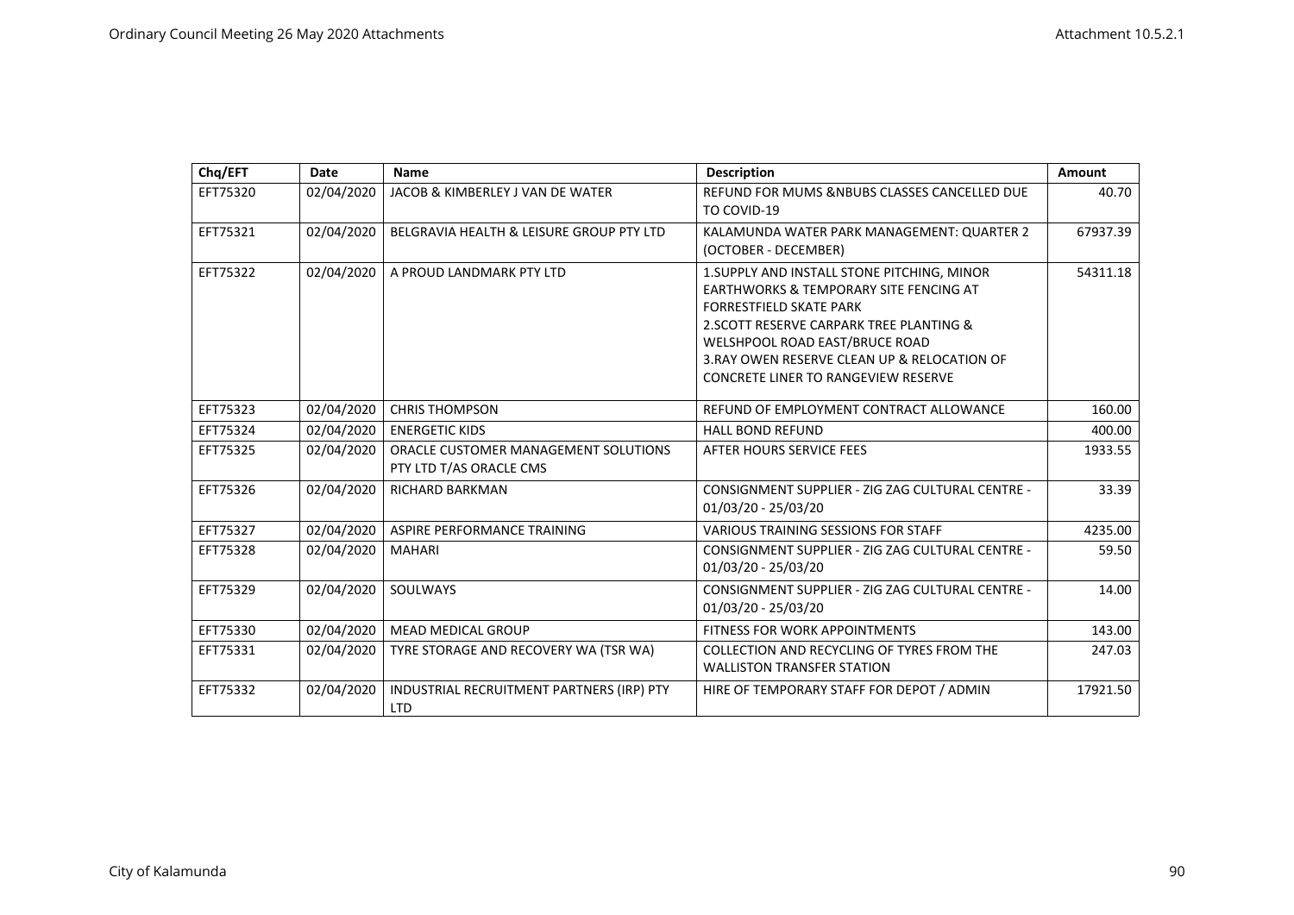| Chq/EFT  | Date       | Name                                                            | <b>Description</b>                                                                                                                                                                                                                                                                                  | Amount   |
|----------|------------|-----------------------------------------------------------------|-----------------------------------------------------------------------------------------------------------------------------------------------------------------------------------------------------------------------------------------------------------------------------------------------------|----------|
| EFT75320 | 02/04/2020 | JACOB & KIMBERLEY J VAN DE WATER                                | REFUND FOR MUMS &NBUBS CLASSES CANCELLED DUE<br>TO COVID-19                                                                                                                                                                                                                                         | 40.70    |
| EFT75321 | 02/04/2020 | BELGRAVIA HEALTH & LEISURE GROUP PTY LTD                        | KALAMUNDA WATER PARK MANAGEMENT: QUARTER 2<br>(OCTOBER - DECEMBER)                                                                                                                                                                                                                                  | 67937.39 |
| EFT75322 | 02/04/2020 | A PROUD LANDMARK PTY LTD                                        | 1. SUPPLY AND INSTALL STONE PITCHING, MINOR<br>EARTHWORKS & TEMPORARY SITE FENCING AT<br><b>FORRESTFIELD SKATE PARK</b><br>2. SCOTT RESERVE CARPARK TREE PLANTING &<br>WELSHPOOL ROAD EAST/BRUCE ROAD<br>3. RAY OWEN RESERVE CLEAN UP & RELOCATION OF<br><b>CONCRETE LINER TO RANGEVIEW RESERVE</b> | 54311.18 |
| EFT75323 | 02/04/2020 | <b>CHRIS THOMPSON</b>                                           | REFUND OF EMPLOYMENT CONTRACT ALLOWANCE                                                                                                                                                                                                                                                             | 160.00   |
| EFT75324 | 02/04/2020 | <b>ENERGETIC KIDS</b>                                           | <b>HALL BOND REFUND</b>                                                                                                                                                                                                                                                                             | 400.00   |
| EFT75325 | 02/04/2020 | ORACLE CUSTOMER MANAGEMENT SOLUTIONS<br>PTY LTD T/AS ORACLE CMS | AFTER HOURS SERVICE FEES                                                                                                                                                                                                                                                                            | 1933.55  |
| EFT75326 | 02/04/2020 | <b>RICHARD BARKMAN</b>                                          | CONSIGNMENT SUPPLIER - ZIG ZAG CULTURAL CENTRE -<br>01/03/20 - 25/03/20                                                                                                                                                                                                                             | 33.39    |
| EFT75327 | 02/04/2020 | ASPIRE PERFORMANCE TRAINING                                     | <b>VARIOUS TRAINING SESSIONS FOR STAFF</b>                                                                                                                                                                                                                                                          | 4235.00  |
| EFT75328 | 02/04/2020 | <b>MAHARI</b>                                                   | CONSIGNMENT SUPPLIER - ZIG ZAG CULTURAL CENTRE -<br>01/03/20 - 25/03/20                                                                                                                                                                                                                             | 59.50    |
| EFT75329 | 02/04/2020 | SOULWAYS                                                        | CONSIGNMENT SUPPLIER - ZIG ZAG CULTURAL CENTRE -<br>01/03/20 - 25/03/20                                                                                                                                                                                                                             | 14.00    |
| EFT75330 | 02/04/2020 | <b>MEAD MEDICAL GROUP</b>                                       | <b>FITNESS FOR WORK APPOINTMENTS</b>                                                                                                                                                                                                                                                                | 143.00   |
| EFT75331 | 02/04/2020 | TYRE STORAGE AND RECOVERY WA (TSR WA)                           | COLLECTION AND RECYCLING OF TYRES FROM THE<br><b>WALLISTON TRANSFER STATION</b>                                                                                                                                                                                                                     | 247.03   |
| EFT75332 | 02/04/2020 | INDUSTRIAL RECRUITMENT PARTNERS (IRP) PTY<br><b>LTD</b>         | HIRE OF TEMPORARY STAFF FOR DEPOT / ADMIN                                                                                                                                                                                                                                                           | 17921.50 |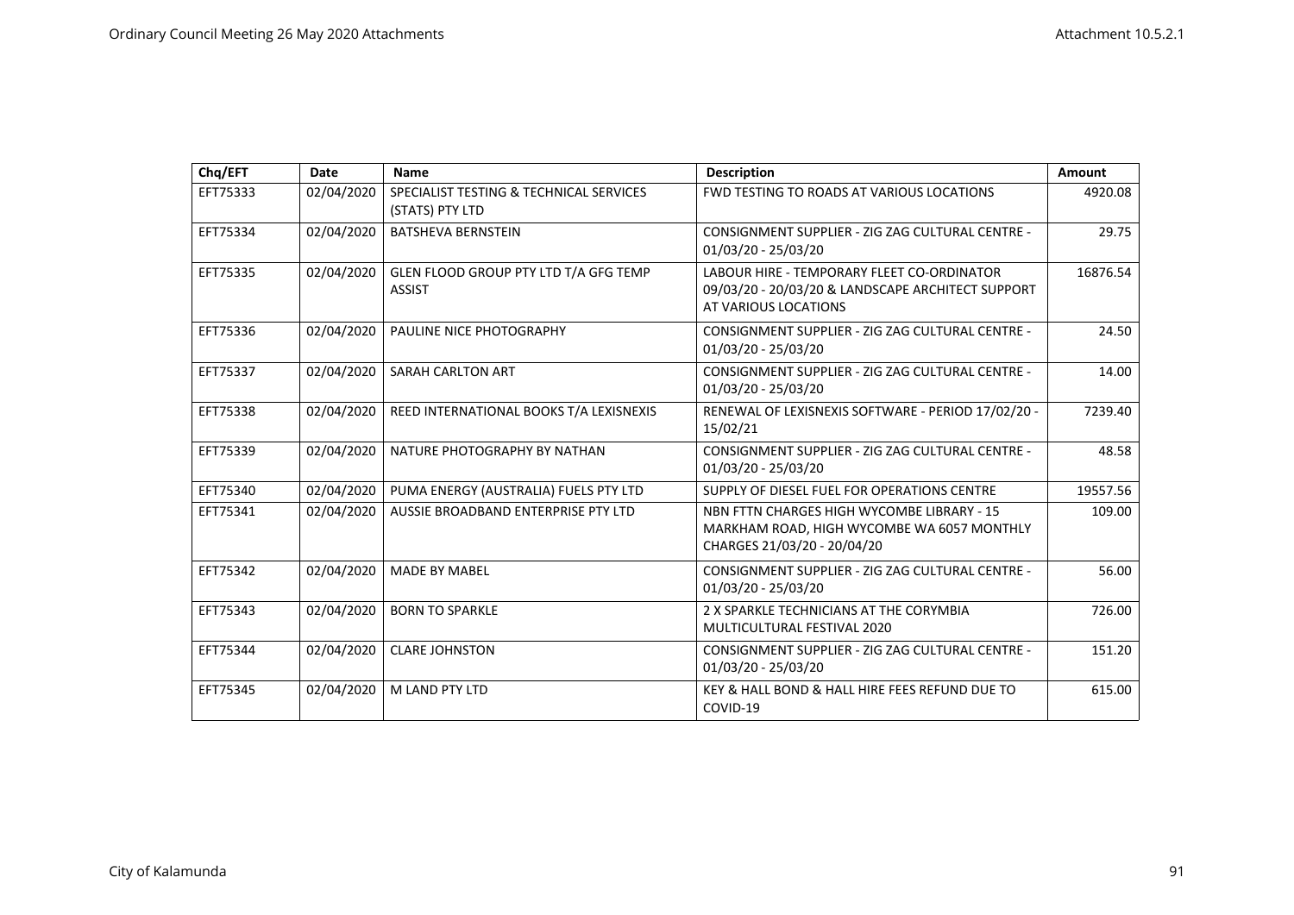| Chq/EFT  | Date       | <b>Name</b>                                                | <b>Description</b>                                                                                                      | <b>Amount</b> |
|----------|------------|------------------------------------------------------------|-------------------------------------------------------------------------------------------------------------------------|---------------|
| EFT75333 | 02/04/2020 | SPECIALIST TESTING & TECHNICAL SERVICES<br>(STATS) PTY LTD | <b>FWD TESTING TO ROADS AT VARIOUS LOCATIONS</b>                                                                        | 4920.08       |
| EFT75334 | 02/04/2020 | <b>BATSHEVA BERNSTEIN</b>                                  | CONSIGNMENT SUPPLIER - ZIG ZAG CULTURAL CENTRE -<br>01/03/20 - 25/03/20                                                 | 29.75         |
| EFT75335 | 02/04/2020 | GLEN FLOOD GROUP PTY LTD T/A GFG TEMP<br><b>ASSIST</b>     | LABOUR HIRE - TEMPORARY FLEET CO-ORDINATOR<br>09/03/20 - 20/03/20 & LANDSCAPE ARCHITECT SUPPORT<br>AT VARIOUS LOCATIONS | 16876.54      |
| EFT75336 | 02/04/2020 | PAULINE NICE PHOTOGRAPHY                                   | CONSIGNMENT SUPPLIER - ZIG ZAG CULTURAL CENTRE -<br>01/03/20 - 25/03/20                                                 | 24.50         |
| EFT75337 | 02/04/2020 | <b>SARAH CARLTON ART</b>                                   | CONSIGNMENT SUPPLIER - ZIG ZAG CULTURAL CENTRE -<br>01/03/20 - 25/03/20                                                 | 14.00         |
| EFT75338 | 02/04/2020 | REED INTERNATIONAL BOOKS T/A LEXISNEXIS                    | RENEWAL OF LEXISNEXIS SOFTWARE - PERIOD 17/02/20 -<br>15/02/21                                                          | 7239.40       |
| EFT75339 | 02/04/2020 | NATURE PHOTOGRAPHY BY NATHAN                               | CONSIGNMENT SUPPLIER - ZIG ZAG CULTURAL CENTRE -<br>01/03/20 - 25/03/20                                                 | 48.58         |
| EFT75340 | 02/04/2020 | PUMA ENERGY (AUSTRALIA) FUELS PTY LTD                      | SUPPLY OF DIESEL FUEL FOR OPERATIONS CENTRE                                                                             | 19557.56      |
| EFT75341 | 02/04/2020 | AUSSIE BROADBAND ENTERPRISE PTY LTD                        | NBN FTTN CHARGES HIGH WYCOMBE LIBRARY - 15<br>MARKHAM ROAD, HIGH WYCOMBE WA 6057 MONTHLY<br>CHARGES 21/03/20 - 20/04/20 | 109.00        |
| EFT75342 | 02/04/2020 | <b>MADE BY MABEL</b>                                       | CONSIGNMENT SUPPLIER - ZIG ZAG CULTURAL CENTRE -<br>01/03/20 - 25/03/20                                                 | 56.00         |
| EFT75343 | 02/04/2020 | <b>BORN TO SPARKLE</b>                                     | 2 X SPARKLE TECHNICIANS AT THE CORYMBIA<br>MULTICULTURAL FESTIVAL 2020                                                  | 726.00        |
| EFT75344 | 02/04/2020 | <b>CLARE JOHNSTON</b>                                      | CONSIGNMENT SUPPLIER - ZIG ZAG CULTURAL CENTRE -<br>01/03/20 - 25/03/20                                                 | 151.20        |
| EFT75345 | 02/04/2020 | M LAND PTY LTD                                             | KEY & HALL BOND & HALL HIRE FEES REFUND DUE TO<br>COVID-19                                                              | 615.00        |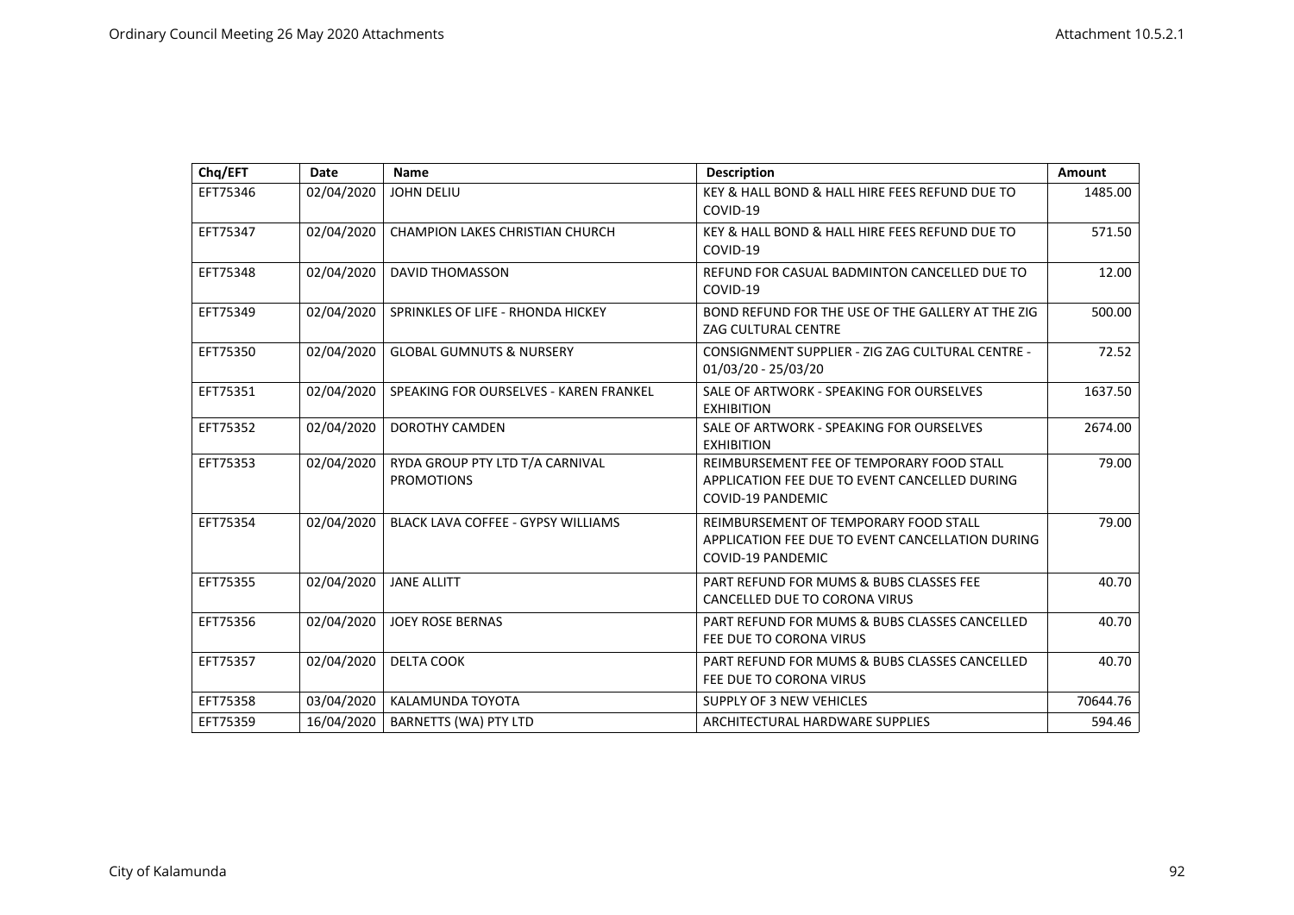| Chq/EFT  | Date       | Name                                                 | <b>Description</b>                                                                                                     | Amount   |
|----------|------------|------------------------------------------------------|------------------------------------------------------------------------------------------------------------------------|----------|
| EFT75346 | 02/04/2020 | <b>JOHN DELIU</b>                                    | KEY & HALL BOND & HALL HIRE FEES REFUND DUE TO<br>COVID-19                                                             | 1485.00  |
| EFT75347 | 02/04/2020 | <b>CHAMPION LAKES CHRISTIAN CHURCH</b>               | KEY & HALL BOND & HALL HIRE FEES REFUND DUE TO<br>COVID-19                                                             | 571.50   |
| EFT75348 | 02/04/2020 | <b>DAVID THOMASSON</b>                               | REFUND FOR CASUAL BADMINTON CANCELLED DUE TO<br>COVID-19                                                               | 12.00    |
| EFT75349 | 02/04/2020 | SPRINKLES OF LIFE - RHONDA HICKEY                    | BOND REFUND FOR THE USE OF THE GALLERY AT THE ZIG<br>ZAG CULTURAL CENTRE                                               | 500.00   |
| EFT75350 | 02/04/2020 | <b>GLOBAL GUMNUTS &amp; NURSERY</b>                  | CONSIGNMENT SUPPLIER - ZIG ZAG CULTURAL CENTRE -<br>01/03/20 - 25/03/20                                                | 72.52    |
| EFT75351 | 02/04/2020 | SPEAKING FOR OURSELVES - KAREN FRANKEL               | SALE OF ARTWORK - SPEAKING FOR OURSELVES<br><b>EXHIBITION</b>                                                          | 1637.50  |
| EFT75352 | 02/04/2020 | <b>DOROTHY CAMDEN</b>                                | SALE OF ARTWORK - SPEAKING FOR OURSELVES<br><b>EXHIBITION</b>                                                          | 2674.00  |
| EFT75353 | 02/04/2020 | RYDA GROUP PTY LTD T/A CARNIVAL<br><b>PROMOTIONS</b> | REIMBURSEMENT FEE OF TEMPORARY FOOD STALL<br>APPLICATION FEE DUE TO EVENT CANCELLED DURING<br><b>COVID-19 PANDEMIC</b> | 79.00    |
| EFT75354 | 02/04/2020 | <b>BLACK LAVA COFFEE - GYPSY WILLIAMS</b>            | REIMBURSEMENT OF TEMPORARY FOOD STALL<br>APPLICATION FEE DUE TO EVENT CANCELLATION DURING<br>COVID-19 PANDEMIC         | 79.00    |
| EFT75355 | 02/04/2020 | <b>JANE ALLITT</b>                                   | PART REFUND FOR MUMS & BUBS CLASSES FEE<br>CANCELLED DUE TO CORONA VIRUS                                               | 40.70    |
| EFT75356 | 02/04/2020 | <b>JOEY ROSE BERNAS</b>                              | PART REFUND FOR MUMS & BUBS CLASSES CANCELLED<br>FEE DUE TO CORONA VIRUS                                               | 40.70    |
| EFT75357 | 02/04/2020 | <b>DELTA COOK</b>                                    | PART REFUND FOR MUMS & BUBS CLASSES CANCELLED<br>FEE DUE TO CORONA VIRUS                                               | 40.70    |
| EFT75358 | 03/04/2020 | KALAMUNDA TOYOTA                                     | <b>SUPPLY OF 3 NEW VEHICLES</b>                                                                                        | 70644.76 |
| EFT75359 | 16/04/2020 | <b>BARNETTS (WA) PTY LTD</b>                         | ARCHITECTURAL HARDWARE SUPPLIES                                                                                        | 594.46   |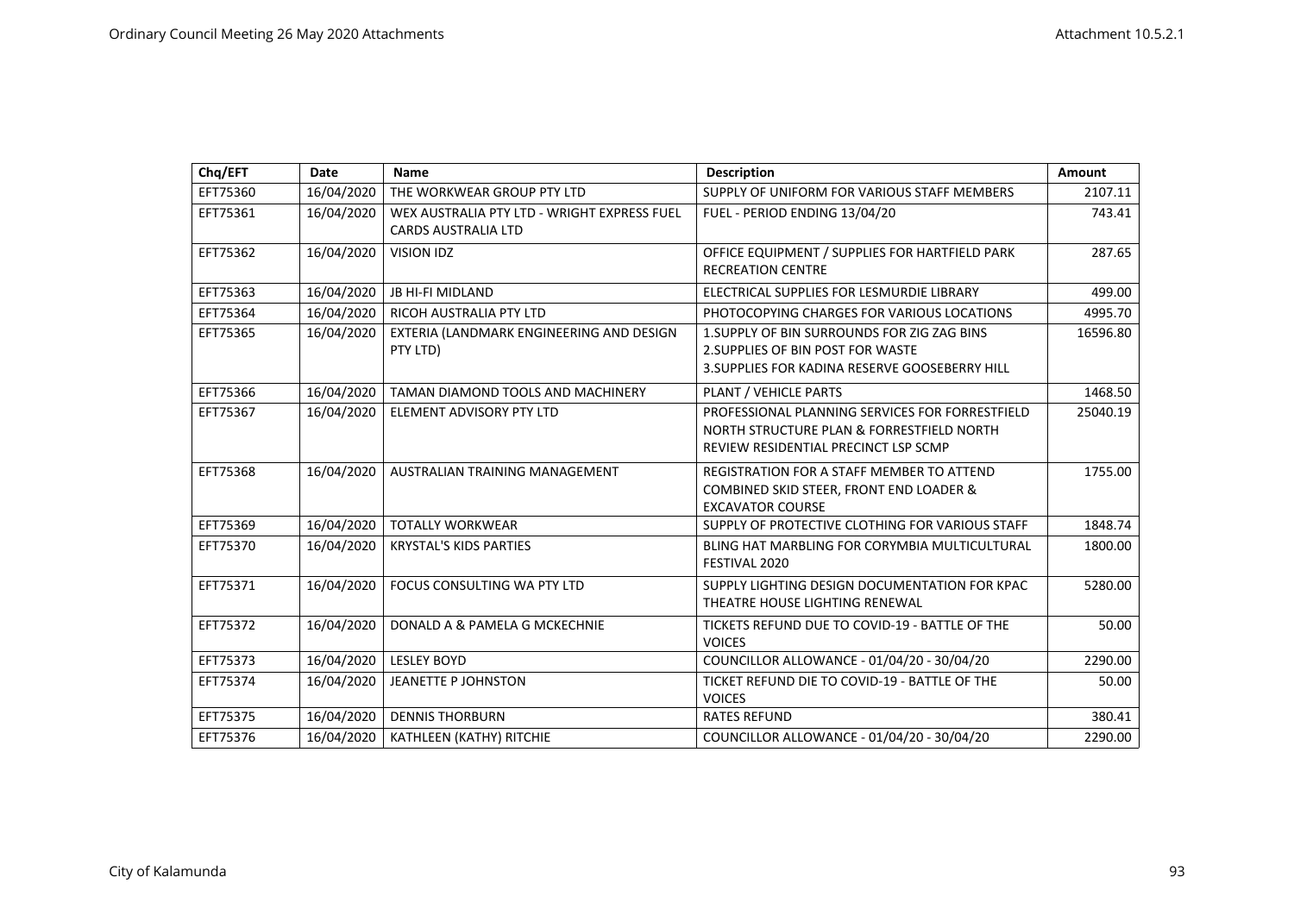| Chq/EFT  | Date       | <b>Name</b>                                                               | <b>Description</b>                                                                                                                   | Amount   |
|----------|------------|---------------------------------------------------------------------------|--------------------------------------------------------------------------------------------------------------------------------------|----------|
| EFT75360 | 16/04/2020 | THE WORKWEAR GROUP PTY LTD                                                | SUPPLY OF UNIFORM FOR VARIOUS STAFF MEMBERS                                                                                          | 2107.11  |
| EFT75361 | 16/04/2020 | WEX AUSTRALIA PTY LTD - WRIGHT EXPRESS FUEL<br><b>CARDS AUSTRALIA LTD</b> | FUEL - PERIOD ENDING 13/04/20                                                                                                        | 743.41   |
| EFT75362 | 16/04/2020 | <b>VISION IDZ</b>                                                         | OFFICE EQUIPMENT / SUPPLIES FOR HARTFIELD PARK<br><b>RECREATION CENTRE</b>                                                           | 287.65   |
| EFT75363 | 16/04/2020 | <b>JB HI-FI MIDLAND</b>                                                   | ELECTRICAL SUPPLIES FOR LESMURDIE LIBRARY                                                                                            | 499.00   |
| EFT75364 | 16/04/2020 | RICOH AUSTRALIA PTY LTD                                                   | PHOTOCOPYING CHARGES FOR VARIOUS LOCATIONS                                                                                           | 4995.70  |
| EFT75365 | 16/04/2020 | EXTERIA (LANDMARK ENGINEERING AND DESIGN<br>PTY LTD)                      | 1. SUPPLY OF BIN SURROUNDS FOR ZIG ZAG BINS<br>2. SUPPLIES OF BIN POST FOR WASTE<br>3. SUPPLIES FOR KADINA RESERVE GOOSEBERRY HILL   | 16596.80 |
| EFT75366 | 16/04/2020 | TAMAN DIAMOND TOOLS AND MACHINERY                                         | PLANT / VEHICLE PARTS                                                                                                                | 1468.50  |
| EFT75367 | 16/04/2020 | ELEMENT ADVISORY PTY LTD                                                  | PROFESSIONAL PLANNING SERVICES FOR FORRESTFIELD<br>NORTH STRUCTURE PLAN & FORRESTFIELD NORTH<br>REVIEW RESIDENTIAL PRECINCT LSP SCMP | 25040.19 |
| EFT75368 | 16/04/2020 | <b>AUSTRALIAN TRAINING MANAGEMENT</b>                                     | REGISTRATION FOR A STAFF MEMBER TO ATTEND<br>COMBINED SKID STEER, FRONT END LOADER &<br><b>EXCAVATOR COURSE</b>                      | 1755.00  |
| EFT75369 | 16/04/2020 | <b>TOTALLY WORKWEAR</b>                                                   | SUPPLY OF PROTECTIVE CLOTHING FOR VARIOUS STAFF                                                                                      | 1848.74  |
| EFT75370 | 16/04/2020 | <b>KRYSTAL'S KIDS PARTIES</b>                                             | BLING HAT MARBLING FOR CORYMBIA MULTICULTURAL<br>FESTIVAL 2020                                                                       | 1800.00  |
| EFT75371 | 16/04/2020 | FOCUS CONSULTING WA PTY LTD                                               | SUPPLY LIGHTING DESIGN DOCUMENTATION FOR KPAC<br>THEATRE HOUSE LIGHTING RENEWAL                                                      | 5280.00  |
| EFT75372 | 16/04/2020 | DONALD A & PAMELA G MCKECHNIE                                             | TICKETS REFUND DUE TO COVID-19 - BATTLE OF THE<br><b>VOICES</b>                                                                      | 50.00    |
| EFT75373 | 16/04/2020 | <b>LESLEY BOYD</b>                                                        | COUNCILLOR ALLOWANCE - 01/04/20 - 30/04/20                                                                                           | 2290.00  |
| EFT75374 | 16/04/2020 | <b>JEANETTE P JOHNSTON</b>                                                | TICKET REFUND DIE TO COVID-19 - BATTLE OF THE<br><b>VOICES</b>                                                                       | 50.00    |
| EFT75375 | 16/04/2020 | <b>DENNIS THORBURN</b>                                                    | <b>RATES REFUND</b>                                                                                                                  | 380.41   |
| EFT75376 | 16/04/2020 | KATHLEEN (KATHY) RITCHIE                                                  | COUNCILLOR ALLOWANCE - 01/04/20 - 30/04/20                                                                                           | 2290.00  |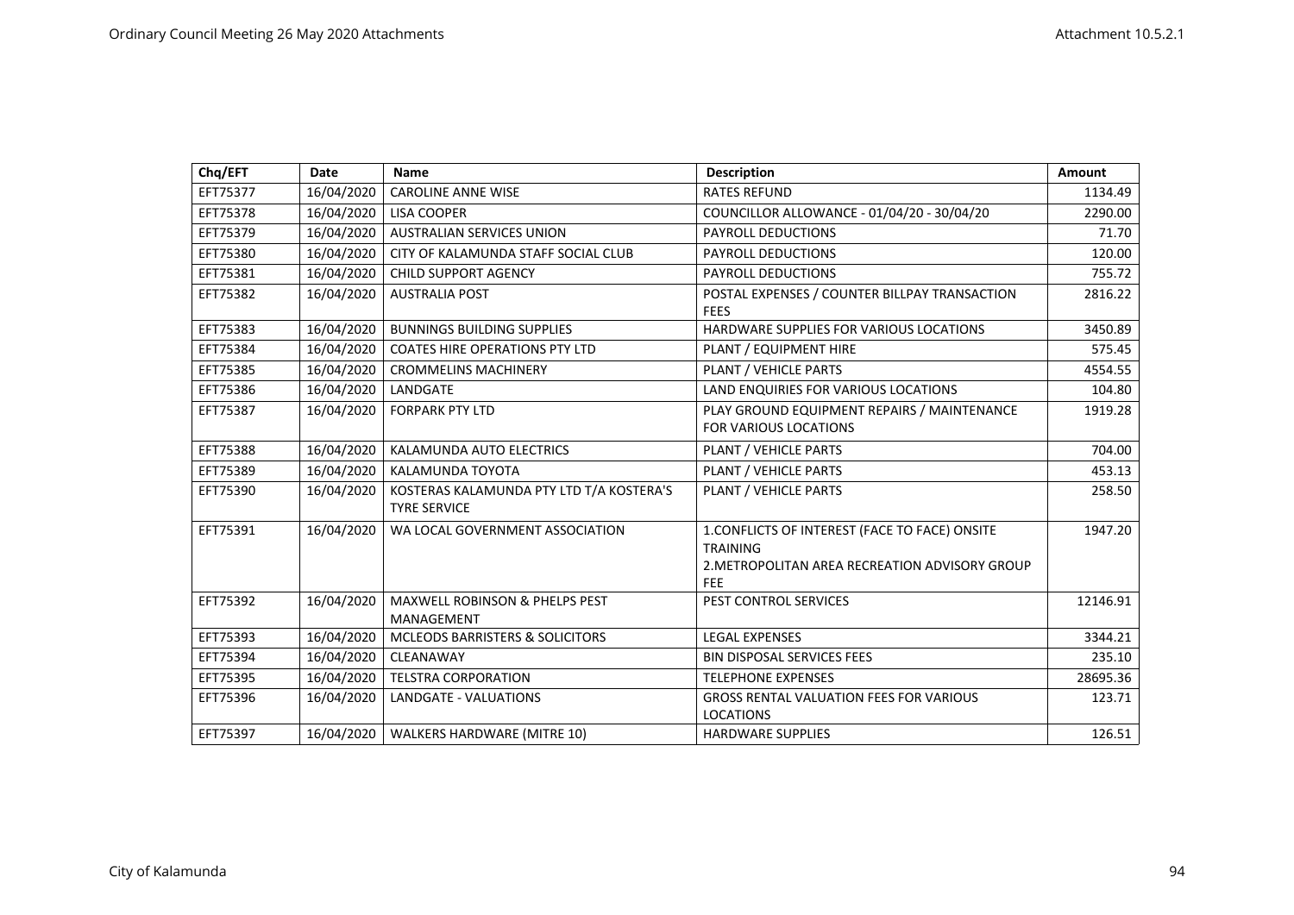| Chq/EFT  | Date       | Name                                                            | <b>Description</b>                                                                                                                | Amount   |
|----------|------------|-----------------------------------------------------------------|-----------------------------------------------------------------------------------------------------------------------------------|----------|
| EFT75377 | 16/04/2020 | <b>CAROLINE ANNE WISE</b>                                       | <b>RATES REFUND</b>                                                                                                               | 1134.49  |
| EFT75378 | 16/04/2020 | <b>LISA COOPER</b>                                              | COUNCILLOR ALLOWANCE - 01/04/20 - 30/04/20                                                                                        | 2290.00  |
| EFT75379 | 16/04/2020 | AUSTRALIAN SERVICES UNION                                       | PAYROLL DEDUCTIONS                                                                                                                | 71.70    |
| EFT75380 | 16/04/2020 | CITY OF KALAMUNDA STAFF SOCIAL CLUB                             | PAYROLL DEDUCTIONS                                                                                                                | 120.00   |
| EFT75381 | 16/04/2020 | CHILD SUPPORT AGENCY                                            | PAYROLL DEDUCTIONS                                                                                                                | 755.72   |
| EFT75382 | 16/04/2020 | <b>AUSTRALIA POST</b>                                           | POSTAL EXPENSES / COUNTER BILLPAY TRANSACTION<br><b>FEES</b>                                                                      | 2816.22  |
| EFT75383 | 16/04/2020 | <b>BUNNINGS BUILDING SUPPLIES</b>                               | HARDWARE SUPPLIES FOR VARIOUS LOCATIONS                                                                                           | 3450.89  |
| EFT75384 | 16/04/2020 | <b>COATES HIRE OPERATIONS PTY LTD</b>                           | PLANT / EQUIPMENT HIRE                                                                                                            | 575.45   |
| EFT75385 | 16/04/2020 | <b>CROMMELINS MACHINERY</b>                                     | PLANT / VEHICLE PARTS                                                                                                             | 4554.55  |
| EFT75386 | 16/04/2020 | LANDGATE                                                        | LAND ENQUIRIES FOR VARIOUS LOCATIONS                                                                                              | 104.80   |
| EFT75387 | 16/04/2020 | <b>FORPARK PTY LTD</b>                                          | PLAY GROUND EQUIPMENT REPAIRS / MAINTENANCE<br><b>FOR VARIOUS LOCATIONS</b>                                                       | 1919.28  |
| EFT75388 | 16/04/2020 | KALAMUNDA AUTO ELECTRICS                                        | PLANT / VEHICLE PARTS                                                                                                             | 704.00   |
| EFT75389 | 16/04/2020 | KALAMUNDA TOYOTA                                                | PLANT / VEHICLE PARTS                                                                                                             | 453.13   |
| EFT75390 | 16/04/2020 | KOSTERAS KALAMUNDA PTY LTD T/A KOSTERA'S<br><b>TYRE SERVICE</b> | PLANT / VEHICLE PARTS                                                                                                             | 258.50   |
| EFT75391 | 16/04/2020 | WA LOCAL GOVERNMENT ASSOCIATION                                 | 1. CONFLICTS OF INTEREST (FACE TO FACE) ONSITE<br><b>TRAINING</b><br>2. METROPOLITAN AREA RECREATION ADVISORY GROUP<br><b>FEE</b> | 1947.20  |
| EFT75392 | 16/04/2020 | <b>MAXWELL ROBINSON &amp; PHELPS PEST</b><br>MANAGEMENT         | PEST CONTROL SERVICES                                                                                                             | 12146.91 |
| EFT75393 | 16/04/2020 | MCLEODS BARRISTERS & SOLICITORS                                 | <b>LEGAL EXPENSES</b>                                                                                                             | 3344.21  |
| EFT75394 | 16/04/2020 | CLEANAWAY                                                       | <b>BIN DISPOSAL SERVICES FEES</b>                                                                                                 | 235.10   |
| EFT75395 | 16/04/2020 | <b>TELSTRA CORPORATION</b>                                      | <b>TELEPHONE EXPENSES</b>                                                                                                         | 28695.36 |
| EFT75396 | 16/04/2020 | LANDGATE - VALUATIONS                                           | <b>GROSS RENTAL VALUATION FEES FOR VARIOUS</b><br><b>LOCATIONS</b>                                                                | 123.71   |
| EFT75397 | 16/04/2020 | <b>WALKERS HARDWARE (MITRE 10)</b>                              | <b>HARDWARE SUPPLIES</b>                                                                                                          | 126.51   |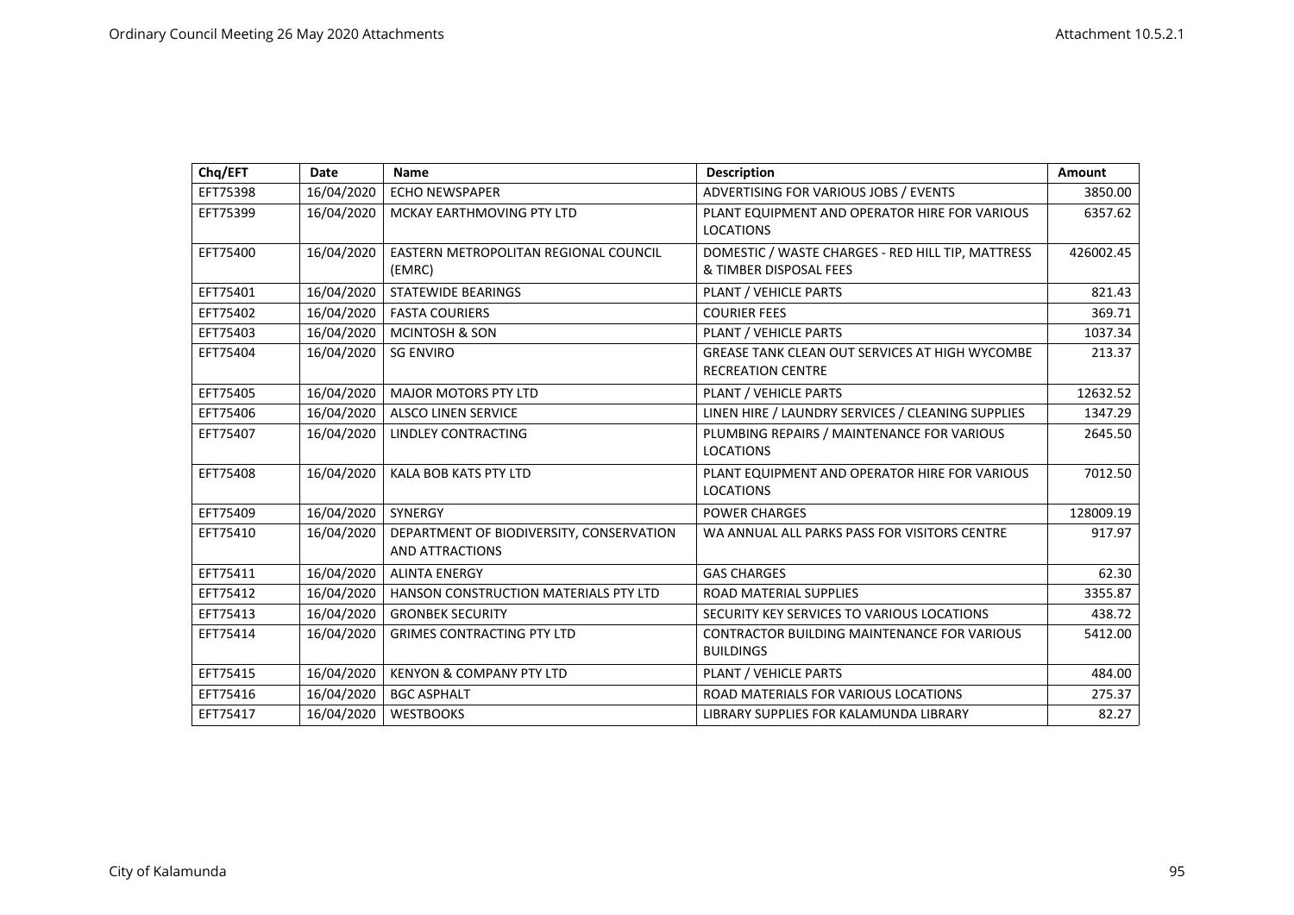| Chq/EFT  | <b>Date</b> | <b>Name</b>                                                 | <b>Description</b>                                                          | Amount    |
|----------|-------------|-------------------------------------------------------------|-----------------------------------------------------------------------------|-----------|
| EFT75398 | 16/04/2020  | <b>ECHO NEWSPAPER</b>                                       | ADVERTISING FOR VARIOUS JOBS / EVENTS                                       | 3850.00   |
| EFT75399 | 16/04/2020  | MCKAY EARTHMOVING PTY LTD                                   | PLANT EQUIPMENT AND OPERATOR HIRE FOR VARIOUS<br><b>LOCATIONS</b>           | 6357.62   |
| EFT75400 | 16/04/2020  | EASTERN METROPOLITAN REGIONAL COUNCIL<br>(EMRC)             | DOMESTIC / WASTE CHARGES - RED HILL TIP, MATTRESS<br>& TIMBER DISPOSAL FEES | 426002.45 |
| EFT75401 | 16/04/2020  | <b>STATEWIDE BEARINGS</b>                                   | PLANT / VEHICLE PARTS                                                       | 821.43    |
| EFT75402 | 16/04/2020  | <b>FASTA COURIERS</b>                                       | <b>COURIER FEES</b>                                                         | 369.71    |
| EFT75403 | 16/04/2020  | <b>MCINTOSH &amp; SON</b>                                   | PLANT / VEHICLE PARTS                                                       | 1037.34   |
| EFT75404 | 16/04/2020  | <b>SG ENVIRO</b>                                            | GREASE TANK CLEAN OUT SERVICES AT HIGH WYCOMBE<br><b>RECREATION CENTRE</b>  | 213.37    |
| EFT75405 | 16/04/2020  | <b>MAJOR MOTORS PTY LTD</b>                                 | PLANT / VEHICLE PARTS                                                       | 12632.52  |
| EFT75406 | 16/04/2020  | <b>ALSCO LINEN SERVICE</b>                                  | LINEN HIRE / LAUNDRY SERVICES / CLEANING SUPPLIES                           | 1347.29   |
| EFT75407 | 16/04/2020  | LINDLEY CONTRACTING                                         | PLUMBING REPAIRS / MAINTENANCE FOR VARIOUS<br><b>LOCATIONS</b>              | 2645.50   |
| EFT75408 | 16/04/2020  | KALA BOB KATS PTY LTD                                       | PLANT EQUIPMENT AND OPERATOR HIRE FOR VARIOUS<br><b>LOCATIONS</b>           | 7012.50   |
| EFT75409 | 16/04/2020  | SYNERGY                                                     | <b>POWER CHARGES</b>                                                        | 128009.19 |
| EFT75410 | 16/04/2020  | DEPARTMENT OF BIODIVERSITY, CONSERVATION<br>AND ATTRACTIONS | WA ANNUAL ALL PARKS PASS FOR VISITORS CENTRE                                | 917.97    |
| EFT75411 | 16/04/2020  | <b>ALINTA ENERGY</b>                                        | <b>GAS CHARGES</b>                                                          | 62.30     |
| EFT75412 | 16/04/2020  | HANSON CONSTRUCTION MATERIALS PTY LTD                       | <b>ROAD MATERIAL SUPPLIES</b>                                               | 3355.87   |
| EFT75413 | 16/04/2020  | <b>GRONBEK SECURITY</b>                                     | SECURITY KEY SERVICES TO VARIOUS LOCATIONS                                  | 438.72    |
| EFT75414 | 16/04/2020  | <b>GRIMES CONTRACTING PTY LTD</b>                           | <b>CONTRACTOR BUILDING MAINTENANCE FOR VARIOUS</b><br><b>BUILDINGS</b>      | 5412.00   |
| EFT75415 | 16/04/2020  | KENYON & COMPANY PTY LTD                                    | PLANT / VEHICLE PARTS                                                       | 484.00    |
| EFT75416 | 16/04/2020  | <b>BGC ASPHALT</b>                                          | ROAD MATERIALS FOR VARIOUS LOCATIONS                                        | 275.37    |
| EFT75417 | 16/04/2020  | <b>WESTBOOKS</b>                                            | LIBRARY SUPPLIES FOR KALAMUNDA LIBRARY                                      | 82.27     |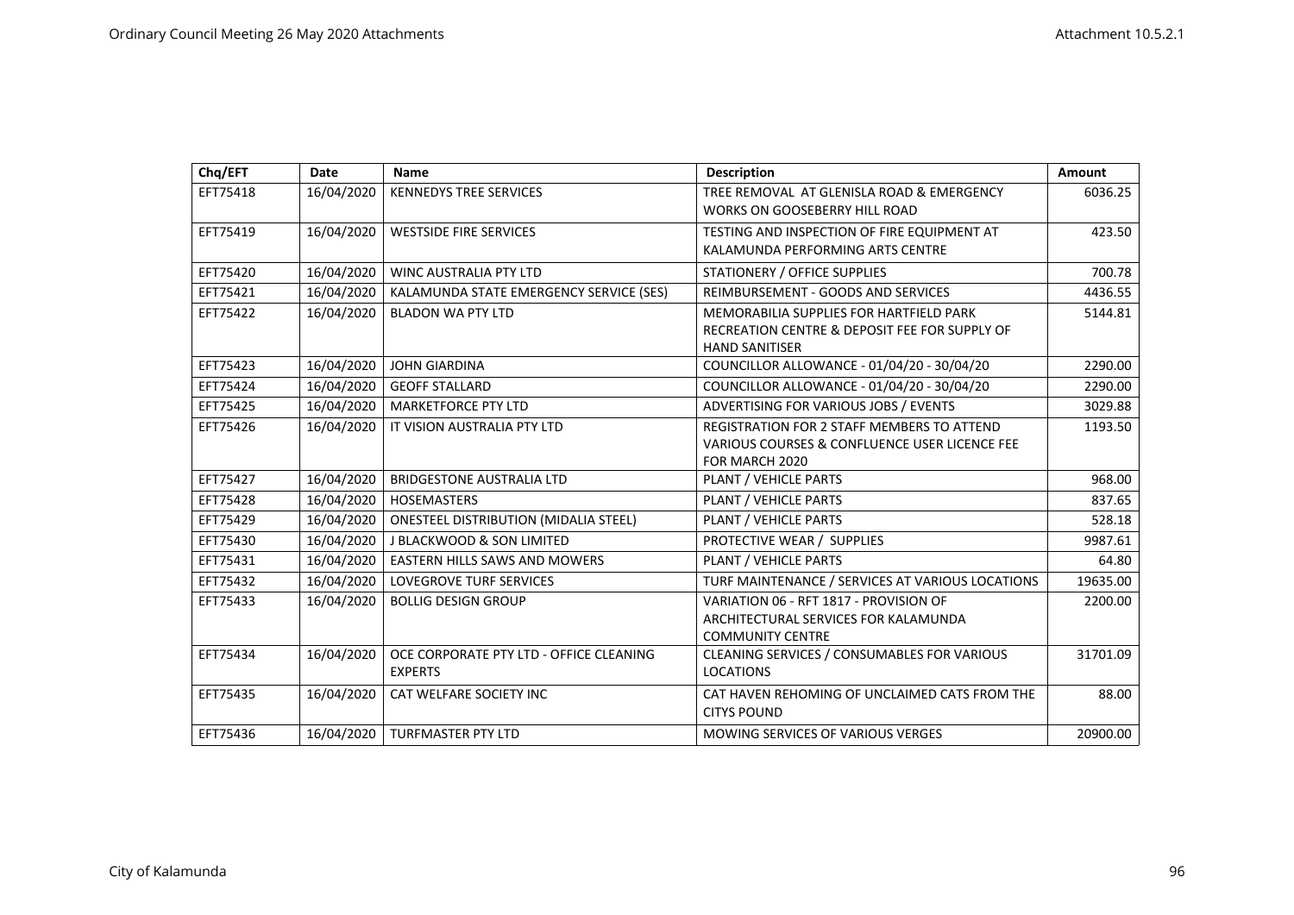| Chq/EFT  | Date       | <b>Name</b>                                               | <b>Description</b>                                                                                                       | Amount   |
|----------|------------|-----------------------------------------------------------|--------------------------------------------------------------------------------------------------------------------------|----------|
| EFT75418 | 16/04/2020 | <b>KENNEDYS TREE SERVICES</b>                             | TREE REMOVAL AT GLENISLA ROAD & EMERGENCY<br><b>WORKS ON GOOSEBERRY HILL ROAD</b>                                        | 6036.25  |
| EFT75419 | 16/04/2020 | <b>WESTSIDE FIRE SERVICES</b>                             | TESTING AND INSPECTION OF FIRE EQUIPMENT AT<br>KALAMUNDA PERFORMING ARTS CENTRE                                          | 423.50   |
| EFT75420 | 16/04/2020 | <b>WINC AUSTRALIA PTY LTD</b>                             | STATIONERY / OFFICE SUPPLIES                                                                                             | 700.78   |
| EFT75421 | 16/04/2020 | KALAMUNDA STATE EMERGENCY SERVICE (SES)                   | REIMBURSEMENT - GOODS AND SERVICES                                                                                       | 4436.55  |
| EFT75422 | 16/04/2020 | <b>BLADON WA PTY LTD</b>                                  | <b>MEMORABILIA SUPPLIES FOR HARTFIELD PARK</b><br>RECREATION CENTRE & DEPOSIT FEE FOR SUPPLY OF<br><b>HAND SANITISER</b> | 5144.81  |
| EFT75423 | 16/04/2020 | <b>JOHN GIARDINA</b>                                      | COUNCILLOR ALLOWANCE - 01/04/20 - 30/04/20                                                                               | 2290.00  |
| EFT75424 | 16/04/2020 | <b>GEOFF STALLARD</b>                                     | COUNCILLOR ALLOWANCE - 01/04/20 - 30/04/20                                                                               | 2290.00  |
| EFT75425 | 16/04/2020 | <b>MARKETFORCE PTY LTD</b>                                | ADVERTISING FOR VARIOUS JOBS / EVENTS                                                                                    | 3029.88  |
| EFT75426 | 16/04/2020 | IT VISION AUSTRALIA PTY LTD                               | <b>REGISTRATION FOR 2 STAFF MEMBERS TO ATTEND</b><br>VARIOUS COURSES & CONFLUENCE USER LICENCE FEE<br>FOR MARCH 2020     | 1193.50  |
| EFT75427 | 16/04/2020 | <b>BRIDGESTONE AUSTRALIA LTD</b>                          | PLANT / VEHICLE PARTS                                                                                                    | 968.00   |
| EFT75428 | 16/04/2020 | <b>HOSEMASTERS</b>                                        | PLANT / VEHICLE PARTS                                                                                                    | 837.65   |
| EFT75429 | 16/04/2020 | <b>ONESTEEL DISTRIBUTION (MIDALIA STEEL)</b>              | PLANT / VEHICLE PARTS                                                                                                    | 528.18   |
| EFT75430 | 16/04/2020 | <b>J BLACKWOOD &amp; SON LIMITED</b>                      | PROTECTIVE WEAR / SUPPLIES                                                                                               | 9987.61  |
| EFT75431 | 16/04/2020 | <b>EASTERN HILLS SAWS AND MOWERS</b>                      | PLANT / VEHICLE PARTS                                                                                                    | 64.80    |
| EFT75432 | 16/04/2020 | LOVEGROVE TURF SERVICES                                   | TURF MAINTENANCE / SERVICES AT VARIOUS LOCATIONS                                                                         | 19635.00 |
| EFT75433 | 16/04/2020 | <b>BOLLIG DESIGN GROUP</b>                                | VARIATION 06 - RFT 1817 - PROVISION OF<br>ARCHITECTURAL SERVICES FOR KALAMUNDA<br><b>COMMUNITY CENTRE</b>                | 2200.00  |
| EFT75434 | 16/04/2020 | OCE CORPORATE PTY LTD - OFFICE CLEANING<br><b>EXPERTS</b> | CLEANING SERVICES / CONSUMABLES FOR VARIOUS<br><b>LOCATIONS</b>                                                          | 31701.09 |
| EFT75435 | 16/04/2020 | CAT WELFARE SOCIETY INC                                   | CAT HAVEN REHOMING OF UNCLAIMED CATS FROM THE<br><b>CITYS POUND</b>                                                      | 88.00    |
| EFT75436 | 16/04/2020 | <b>TURFMASTER PTY LTD</b>                                 | <b>MOWING SERVICES OF VARIOUS VERGES</b>                                                                                 | 20900.00 |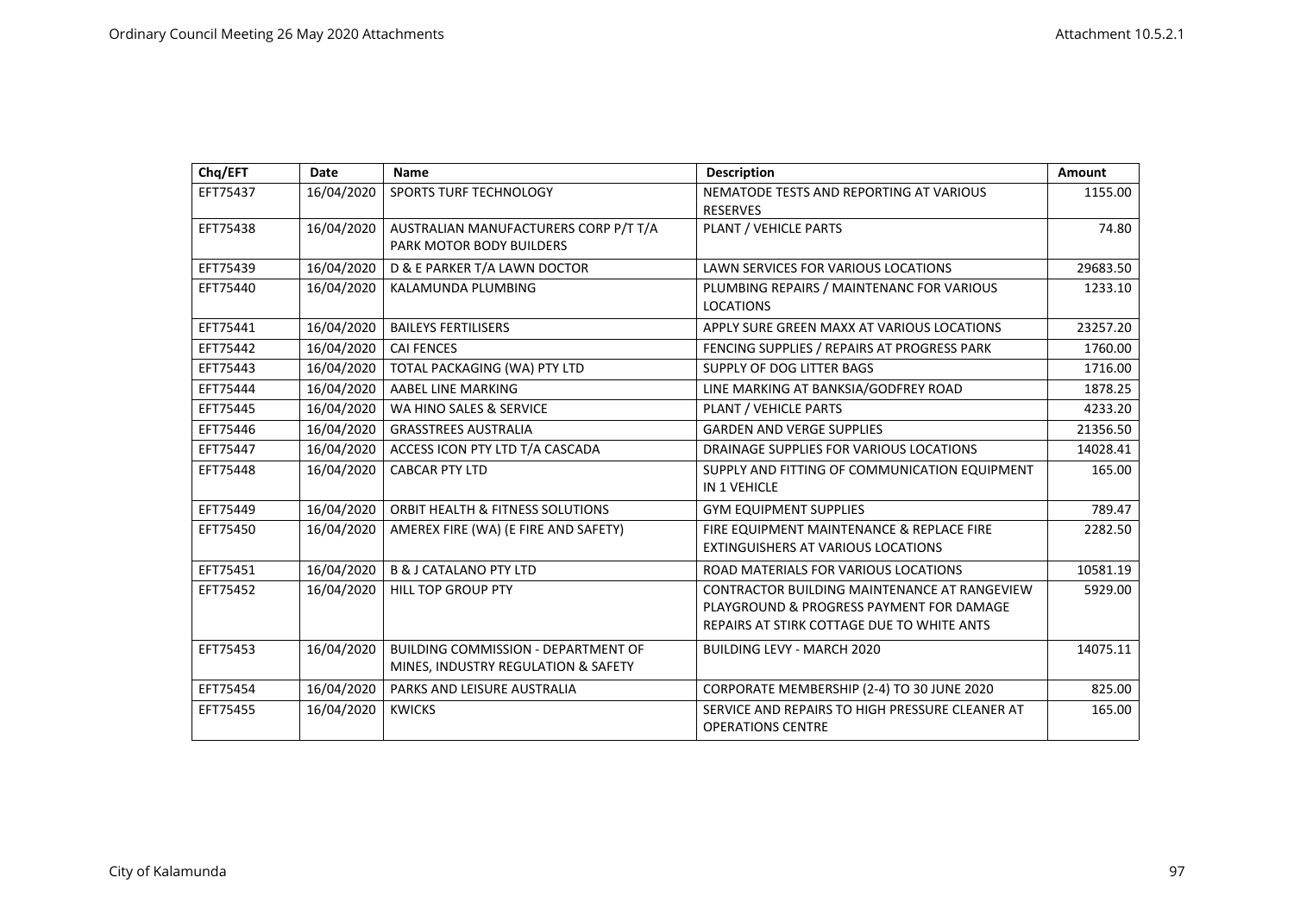| Chq/EFT  | Date       | <b>Name</b>                                                                       | <b>Description</b>                                                                                                                     | Amount   |
|----------|------------|-----------------------------------------------------------------------------------|----------------------------------------------------------------------------------------------------------------------------------------|----------|
| EFT75437 | 16/04/2020 | SPORTS TURF TECHNOLOGY                                                            | NEMATODE TESTS AND REPORTING AT VARIOUS<br><b>RESERVES</b>                                                                             | 1155.00  |
| EFT75438 | 16/04/2020 | AUSTRALIAN MANUFACTURERS CORP P/T T/A<br><b>PARK MOTOR BODY BUILDERS</b>          | PLANT / VEHICLE PARTS                                                                                                                  | 74.80    |
| EFT75439 | 16/04/2020 | D & E PARKER T/A LAWN DOCTOR                                                      | LAWN SERVICES FOR VARIOUS LOCATIONS                                                                                                    | 29683.50 |
| EFT75440 | 16/04/2020 | KALAMUNDA PLUMBING                                                                | PLUMBING REPAIRS / MAINTENANC FOR VARIOUS<br><b>LOCATIONS</b>                                                                          | 1233.10  |
| EFT75441 | 16/04/2020 | <b>BAILEYS FERTILISERS</b>                                                        | APPLY SURE GREEN MAXX AT VARIOUS LOCATIONS                                                                                             | 23257.20 |
| EFT75442 | 16/04/2020 | <b>CAI FENCES</b>                                                                 | FENCING SUPPLIES / REPAIRS AT PROGRESS PARK                                                                                            | 1760.00  |
| EFT75443 | 16/04/2020 | TOTAL PACKAGING (WA) PTY LTD                                                      | SUPPLY OF DOG LITTER BAGS                                                                                                              | 1716.00  |
| EFT75444 | 16/04/2020 | AABEL LINE MARKING                                                                | LINE MARKING AT BANKSIA/GODFREY ROAD                                                                                                   | 1878.25  |
| EFT75445 | 16/04/2020 | WA HINO SALES & SERVICE                                                           | PLANT / VEHICLE PARTS                                                                                                                  | 4233.20  |
| EFT75446 | 16/04/2020 | <b>GRASSTREES AUSTRALIA</b>                                                       | <b>GARDEN AND VERGE SUPPLIES</b>                                                                                                       | 21356.50 |
| EFT75447 | 16/04/2020 | ACCESS ICON PTY LTD T/A CASCADA                                                   | DRAINAGE SUPPLIES FOR VARIOUS LOCATIONS                                                                                                | 14028.41 |
| EFT75448 | 16/04/2020 | <b>CABCAR PTY LTD</b>                                                             | SUPPLY AND FITTING OF COMMUNICATION EQUIPMENT<br><b>IN 1 VEHICLE</b>                                                                   | 165.00   |
| EFT75449 | 16/04/2020 | ORBIT HEALTH & FITNESS SOLUTIONS                                                  | <b>GYM EQUIPMENT SUPPLIES</b>                                                                                                          | 789.47   |
| EFT75450 | 16/04/2020 | AMEREX FIRE (WA) (E FIRE AND SAFETY)                                              | FIRE EQUIPMENT MAINTENANCE & REPLACE FIRE<br><b>EXTINGUISHERS AT VARIOUS LOCATIONS</b>                                                 | 2282.50  |
| EFT75451 | 16/04/2020 | <b>B &amp; J CATALANO PTY LTD</b>                                                 | ROAD MATERIALS FOR VARIOUS LOCATIONS                                                                                                   | 10581.19 |
| EFT75452 | 16/04/2020 | <b>HILL TOP GROUP PTY</b>                                                         | CONTRACTOR BUILDING MAINTENANCE AT RANGEVIEW<br>PLAYGROUND & PROGRESS PAYMENT FOR DAMAGE<br>REPAIRS AT STIRK COTTAGE DUE TO WHITE ANTS | 5929.00  |
| EFT75453 | 16/04/2020 | <b>BUILDING COMMISSION - DEPARTMENT OF</b><br>MINES, INDUSTRY REGULATION & SAFETY | <b>BUILDING LEVY - MARCH 2020</b>                                                                                                      | 14075.11 |
| EFT75454 | 16/04/2020 | PARKS AND LEISURE AUSTRALIA                                                       | CORPORATE MEMBERSHIP (2-4) TO 30 JUNE 2020                                                                                             | 825.00   |
| EFT75455 | 16/04/2020 | <b>KWICKS</b>                                                                     | SERVICE AND REPAIRS TO HIGH PRESSURE CLEANER AT<br><b>OPERATIONS CENTRE</b>                                                            | 165.00   |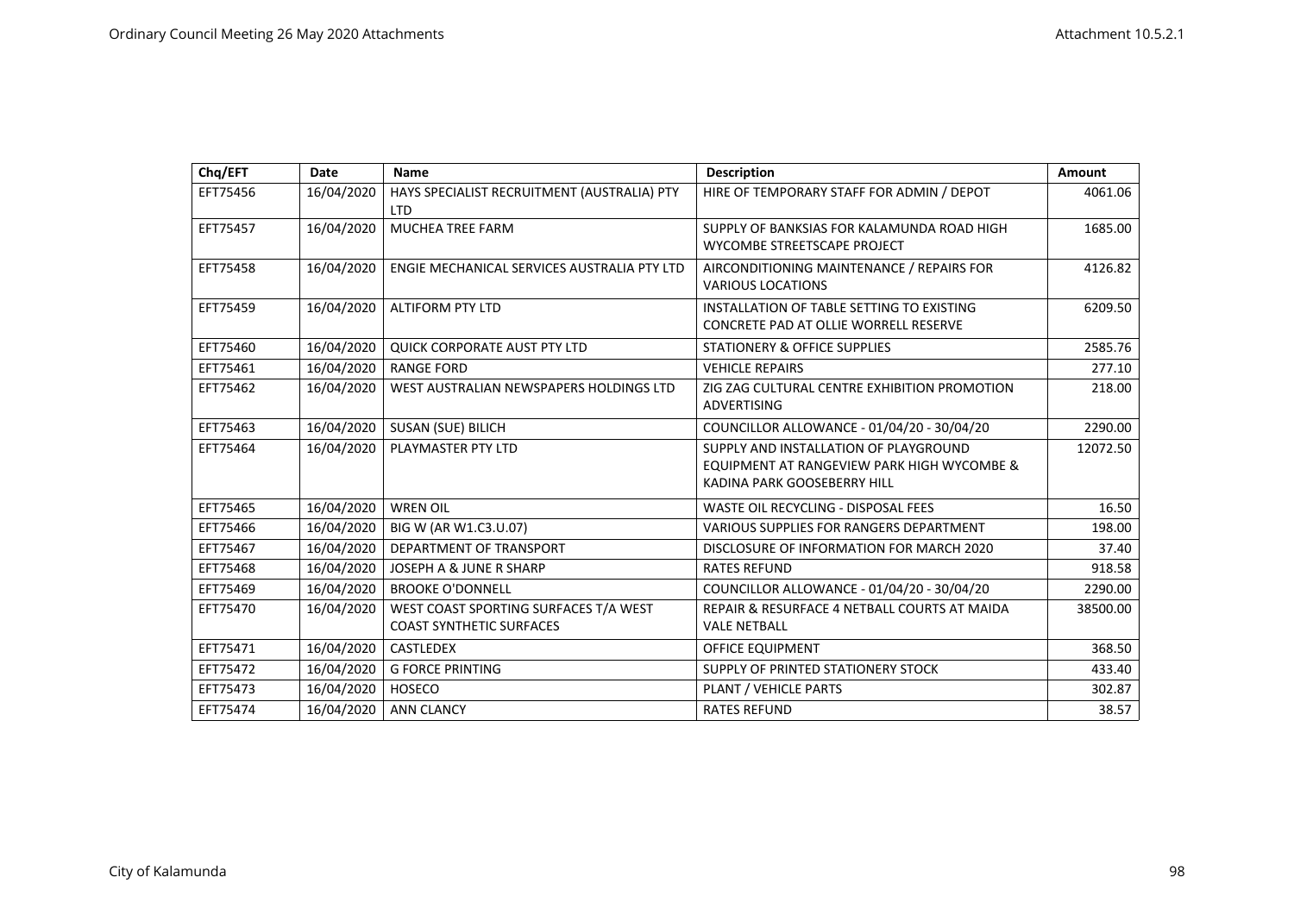| Chq/EFT  | <b>Date</b> | Name                                                                     | <b>Description</b>                                                                                                 | Amount   |
|----------|-------------|--------------------------------------------------------------------------|--------------------------------------------------------------------------------------------------------------------|----------|
| EFT75456 | 16/04/2020  | HAYS SPECIALIST RECRUITMENT (AUSTRALIA) PTY<br><b>LTD</b>                | HIRE OF TEMPORARY STAFF FOR ADMIN / DEPOT                                                                          | 4061.06  |
| EFT75457 | 16/04/2020  | <b>MUCHEA TREE FARM</b>                                                  | SUPPLY OF BANKSIAS FOR KALAMUNDA ROAD HIGH<br>WYCOMBE STREETSCAPE PROJECT                                          | 1685.00  |
| EFT75458 | 16/04/2020  | ENGIE MECHANICAL SERVICES AUSTRALIA PTY LTD                              | AIRCONDITIONING MAINTENANCE / REPAIRS FOR<br><b>VARIOUS LOCATIONS</b>                                              | 4126.82  |
| EFT75459 | 16/04/2020  | <b>ALTIFORM PTY LTD</b>                                                  | INSTALLATION OF TABLE SETTING TO EXISTING<br>CONCRETE PAD AT OLLIE WORRELL RESERVE                                 | 6209.50  |
| EFT75460 | 16/04/2020  | <b>QUICK CORPORATE AUST PTY LTD</b>                                      | <b>STATIONERY &amp; OFFICE SUPPLIES</b>                                                                            | 2585.76  |
| EFT75461 | 16/04/2020  | <b>RANGE FORD</b>                                                        | <b>VEHICLE REPAIRS</b>                                                                                             | 277.10   |
| EFT75462 | 16/04/2020  | WEST AUSTRALIAN NEWSPAPERS HOLDINGS LTD                                  | ZIG ZAG CULTURAL CENTRE EXHIBITION PROMOTION<br><b>ADVERTISING</b>                                                 | 218.00   |
| EFT75463 | 16/04/2020  | SUSAN (SUE) BILICH                                                       | COUNCILLOR ALLOWANCE - 01/04/20 - 30/04/20                                                                         | 2290.00  |
| EFT75464 | 16/04/2020  | PLAYMASTER PTY LTD                                                       | SUPPLY AND INSTALLATION OF PLAYGROUND<br>EQUIPMENT AT RANGEVIEW PARK HIGH WYCOMBE &<br>KADINA PARK GOOSEBERRY HILL | 12072.50 |
| EFT75465 | 16/04/2020  | <b>WREN OIL</b>                                                          | <b>WASTE OIL RECYCLING - DISPOSAL FEES</b>                                                                         | 16.50    |
| EFT75466 | 16/04/2020  | BIG W (AR W1.C3.U.07)                                                    | <b>VARIOUS SUPPLIES FOR RANGERS DEPARTMENT</b>                                                                     | 198.00   |
| EFT75467 | 16/04/2020  | DEPARTMENT OF TRANSPORT                                                  | DISCLOSURE OF INFORMATION FOR MARCH 2020                                                                           | 37.40    |
| EFT75468 | 16/04/2020  | JOSEPH A & JUNE R SHARP                                                  | <b>RATES REFUND</b>                                                                                                | 918.58   |
| EFT75469 | 16/04/2020  | <b>BROOKE O'DONNELL</b>                                                  | COUNCILLOR ALLOWANCE - 01/04/20 - 30/04/20                                                                         | 2290.00  |
| EFT75470 | 16/04/2020  | WEST COAST SPORTING SURFACES T/A WEST<br><b>COAST SYNTHETIC SURFACES</b> | REPAIR & RESURFACE 4 NETBALL COURTS AT MAIDA<br><b>VALE NETBALL</b>                                                | 38500.00 |
| EFT75471 | 16/04/2020  | <b>CASTLEDEX</b>                                                         | <b>OFFICE EQUIPMENT</b>                                                                                            | 368.50   |
| EFT75472 | 16/04/2020  | <b>G FORCE PRINTING</b>                                                  | SUPPLY OF PRINTED STATIONERY STOCK                                                                                 | 433.40   |
| EFT75473 | 16/04/2020  | <b>HOSECO</b>                                                            | PLANT / VEHICLE PARTS                                                                                              | 302.87   |
| EFT75474 | 16/04/2020  | <b>ANN CLANCY</b>                                                        | <b>RATES REFUND</b>                                                                                                | 38.57    |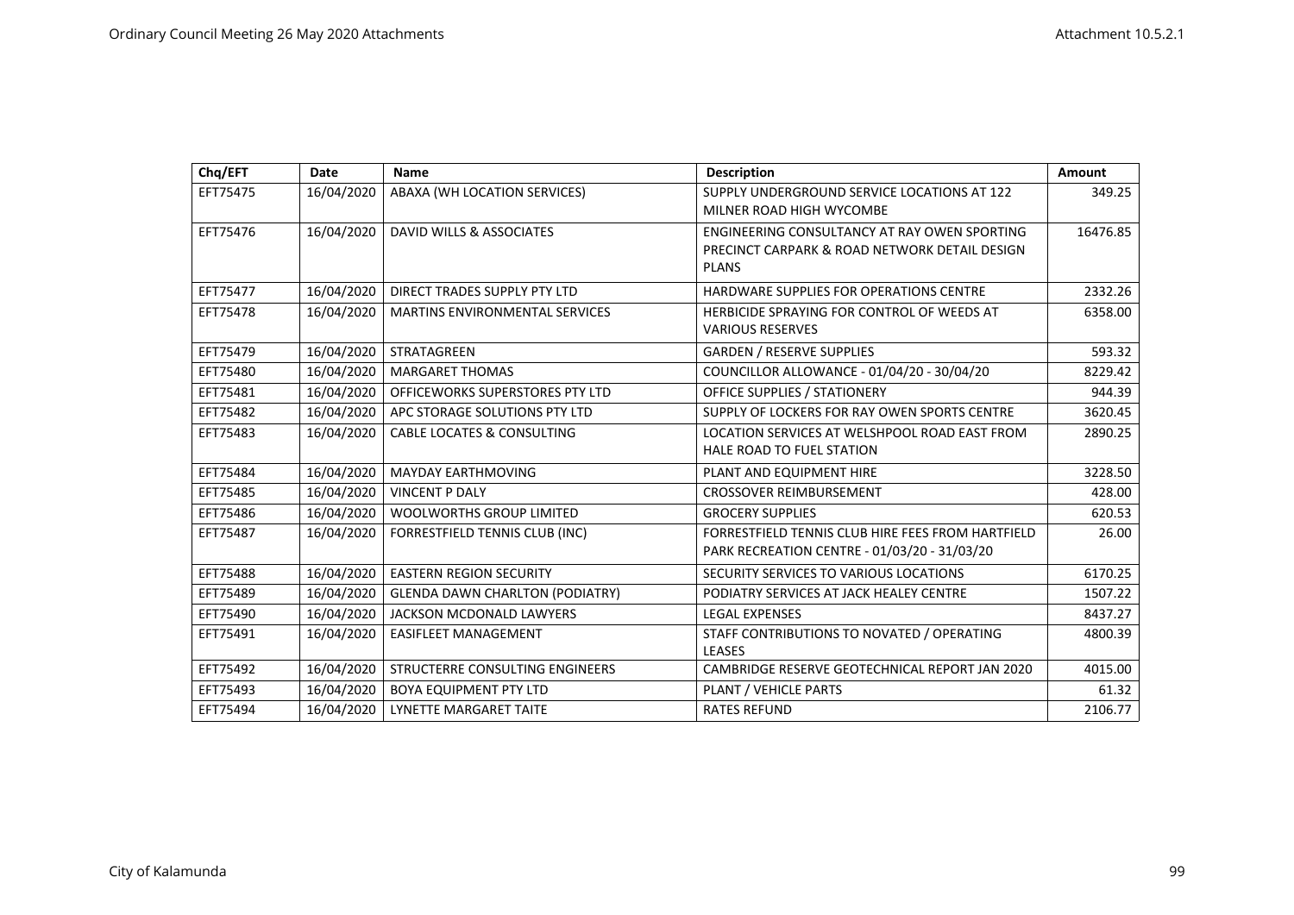| Chq/EFT  | Date       | Name                                   | <b>Description</b>                                                                                            | Amount   |
|----------|------------|----------------------------------------|---------------------------------------------------------------------------------------------------------------|----------|
| EFT75475 | 16/04/2020 | ABAXA (WH LOCATION SERVICES)           | SUPPLY UNDERGROUND SERVICE LOCATIONS AT 122<br>MILNER ROAD HIGH WYCOMBE                                       | 349.25   |
| EFT75476 | 16/04/2020 | DAVID WILLS & ASSOCIATES               | ENGINEERING CONSULTANCY AT RAY OWEN SPORTING<br>PRECINCT CARPARK & ROAD NETWORK DETAIL DESIGN<br><b>PLANS</b> | 16476.85 |
| EFT75477 | 16/04/2020 | DIRECT TRADES SUPPLY PTY LTD           | HARDWARE SUPPLIES FOR OPERATIONS CENTRE                                                                       | 2332.26  |
| EFT75478 | 16/04/2020 | <b>MARTINS ENVIRONMENTAL SERVICES</b>  | HERBICIDE SPRAYING FOR CONTROL OF WEEDS AT<br><b>VARIOUS RESERVES</b>                                         | 6358.00  |
| EFT75479 | 16/04/2020 | STRATAGREEN                            | <b>GARDEN / RESERVE SUPPLIES</b>                                                                              | 593.32   |
| EFT75480 | 16/04/2020 | <b>MARGARET THOMAS</b>                 | COUNCILLOR ALLOWANCE - 01/04/20 - 30/04/20                                                                    | 8229.42  |
| EFT75481 | 16/04/2020 | OFFICEWORKS SUPERSTORES PTY LTD        | <b>OFFICE SUPPLIES / STATIONERY</b>                                                                           | 944.39   |
| EFT75482 | 16/04/2020 | APC STORAGE SOLUTIONS PTY LTD          | SUPPLY OF LOCKERS FOR RAY OWEN SPORTS CENTRE                                                                  | 3620.45  |
| EFT75483 | 16/04/2020 | <b>CABLE LOCATES &amp; CONSULTING</b>  | LOCATION SERVICES AT WELSHPOOL ROAD EAST FROM<br>HALE ROAD TO FUEL STATION                                    | 2890.25  |
| EFT75484 | 16/04/2020 | <b>MAYDAY EARTHMOVING</b>              | PLANT AND EQUIPMENT HIRE                                                                                      | 3228.50  |
| EFT75485 | 16/04/2020 | <b>VINCENT P DALY</b>                  | <b>CROSSOVER REIMBURSEMENT</b>                                                                                | 428.00   |
| EFT75486 | 16/04/2020 | <b>WOOLWORTHS GROUP LIMITED</b>        | <b>GROCERY SUPPLIES</b>                                                                                       | 620.53   |
| EFT75487 | 16/04/2020 | FORRESTFIELD TENNIS CLUB (INC)         | FORRESTFIELD TENNIS CLUB HIRE FEES FROM HARTFIELD<br>PARK RECREATION CENTRE - 01/03/20 - 31/03/20             | 26.00    |
| EFT75488 | 16/04/2020 | <b>EASTERN REGION SECURITY</b>         | SECURITY SERVICES TO VARIOUS LOCATIONS                                                                        | 6170.25  |
| EFT75489 | 16/04/2020 | <b>GLENDA DAWN CHARLTON (PODIATRY)</b> | PODIATRY SERVICES AT JACK HEALEY CENTRE                                                                       | 1507.22  |
| EFT75490 | 16/04/2020 | JACKSON MCDONALD LAWYERS               | <b>LEGAL EXPENSES</b>                                                                                         | 8437.27  |
| EFT75491 | 16/04/2020 | <b>EASIFLEET MANAGEMENT</b>            | STAFF CONTRIBUTIONS TO NOVATED / OPERATING<br><b>LEASES</b>                                                   | 4800.39  |
| EFT75492 | 16/04/2020 | STRUCTERRE CONSULTING ENGINEERS        | CAMBRIDGE RESERVE GEOTECHNICAL REPORT JAN 2020                                                                | 4015.00  |
| EFT75493 | 16/04/2020 | <b>BOYA EQUIPMENT PTY LTD</b>          | PLANT / VEHICLE PARTS                                                                                         | 61.32    |
| EFT75494 | 16/04/2020 | <b>LYNETTE MARGARET TAITE</b>          | <b>RATES REFUND</b>                                                                                           | 2106.77  |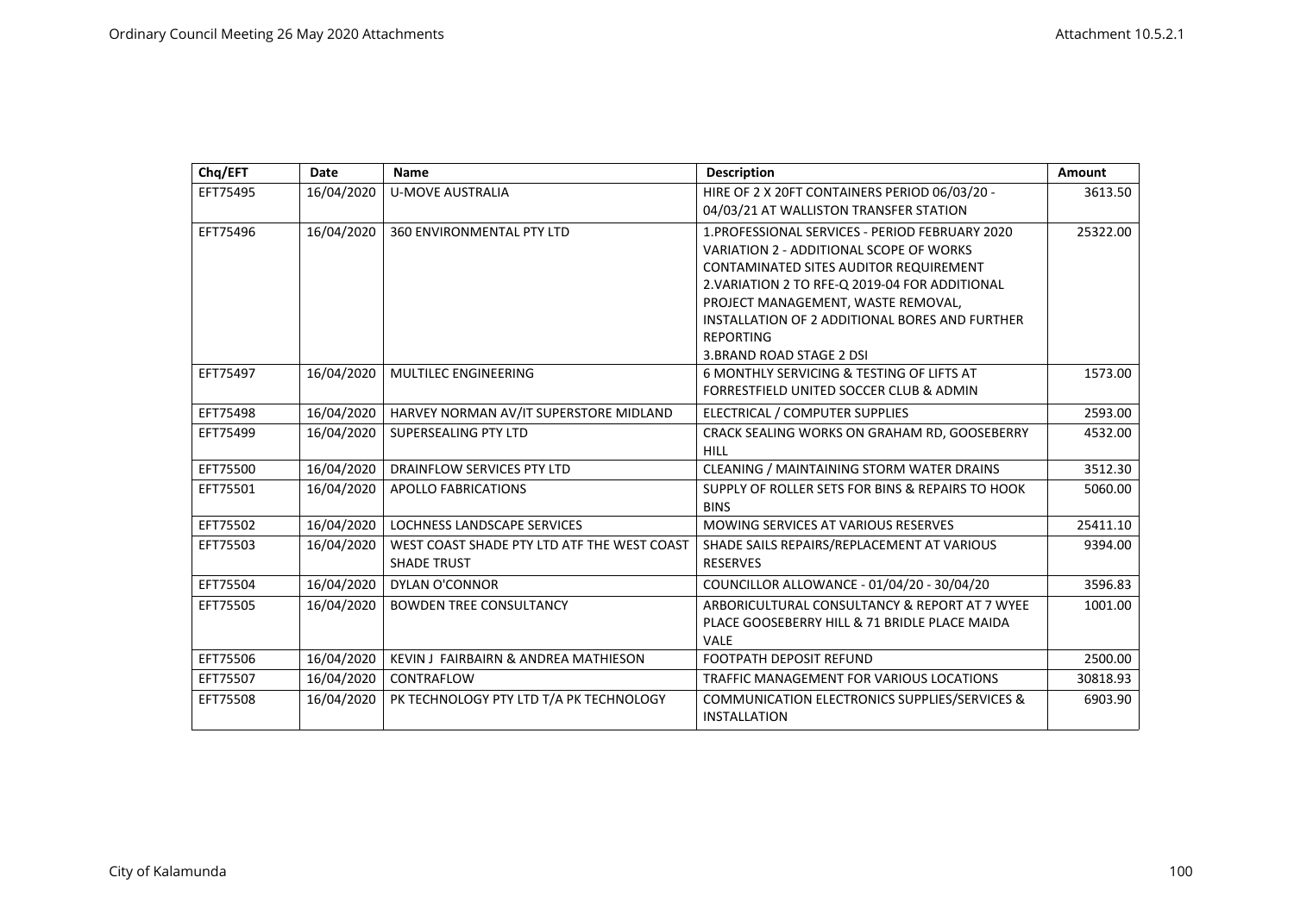| Chq/EFT  | <b>Date</b> | <b>Name</b>                                                       | <b>Description</b>                                                                                                                                                                                                                                                                                                             | Amount   |
|----------|-------------|-------------------------------------------------------------------|--------------------------------------------------------------------------------------------------------------------------------------------------------------------------------------------------------------------------------------------------------------------------------------------------------------------------------|----------|
| EFT75495 | 16/04/2020  | <b>U-MOVE AUSTRALIA</b>                                           | HIRE OF 2 X 20FT CONTAINERS PERIOD 06/03/20 -<br>04/03/21 AT WALLISTON TRANSFER STATION                                                                                                                                                                                                                                        | 3613.50  |
| EFT75496 | 16/04/2020  | 360 ENVIRONMENTAL PTY LTD                                         | 1.PROFESSIONAL SERVICES - PERIOD FEBRUARY 2020<br>VARIATION 2 - ADDITIONAL SCOPE OF WORKS<br>CONTAMINATED SITES AUDITOR REQUIREMENT<br>2. VARIATION 2 TO RFE-Q 2019-04 FOR ADDITIONAL<br>PROJECT MANAGEMENT, WASTE REMOVAL,<br>INSTALLATION OF 2 ADDITIONAL BORES AND FURTHER<br><b>REPORTING</b><br>3. BRAND ROAD STAGE 2 DSI | 25322.00 |
| EFT75497 | 16/04/2020  | <b>MULTILEC ENGINEERING</b>                                       | 6 MONTHLY SERVICING & TESTING OF LIFTS AT<br>FORRESTFIELD UNITED SOCCER CLUB & ADMIN                                                                                                                                                                                                                                           | 1573.00  |
| EFT75498 | 16/04/2020  | HARVEY NORMAN AV/IT SUPERSTORE MIDLAND                            | ELECTRICAL / COMPUTER SUPPLIES                                                                                                                                                                                                                                                                                                 | 2593.00  |
| EFT75499 | 16/04/2020  | SUPERSEALING PTY LTD                                              | CRACK SEALING WORKS ON GRAHAM RD, GOOSEBERRY<br><b>HILL</b>                                                                                                                                                                                                                                                                    | 4532.00  |
| EFT75500 | 16/04/2020  | DRAINFLOW SERVICES PTY LTD                                        | CLEANING / MAINTAINING STORM WATER DRAINS                                                                                                                                                                                                                                                                                      | 3512.30  |
| EFT75501 | 16/04/2020  | <b>APOLLO FABRICATIONS</b>                                        | SUPPLY OF ROLLER SETS FOR BINS & REPAIRS TO HOOK<br><b>BINS</b>                                                                                                                                                                                                                                                                | 5060.00  |
| EFT75502 | 16/04/2020  | LOCHNESS LANDSCAPE SERVICES                                       | MOWING SERVICES AT VARIOUS RESERVES                                                                                                                                                                                                                                                                                            | 25411.10 |
| EFT75503 | 16/04/2020  | WEST COAST SHADE PTY LTD ATF THE WEST COAST<br><b>SHADE TRUST</b> | SHADE SAILS REPAIRS/REPLACEMENT AT VARIOUS<br><b>RESERVES</b>                                                                                                                                                                                                                                                                  | 9394.00  |
| EFT75504 | 16/04/2020  | DYLAN O'CONNOR                                                    | COUNCILLOR ALLOWANCE - 01/04/20 - 30/04/20                                                                                                                                                                                                                                                                                     | 3596.83  |
| EFT75505 | 16/04/2020  | <b>BOWDEN TREE CONSULTANCY</b>                                    | ARBORICULTURAL CONSULTANCY & REPORT AT 7 WYEE<br>PLACE GOOSEBERRY HILL & 71 BRIDLE PLACE MAIDA<br>VALE                                                                                                                                                                                                                         | 1001.00  |
| EFT75506 | 16/04/2020  | KEVIN J FAIRBAIRN & ANDREA MATHIESON                              | <b>FOOTPATH DEPOSIT REFUND</b>                                                                                                                                                                                                                                                                                                 | 2500.00  |
| EFT75507 | 16/04/2020  | CONTRAFLOW                                                        | TRAFFIC MANAGEMENT FOR VARIOUS LOCATIONS                                                                                                                                                                                                                                                                                       | 30818.93 |
| EFT75508 | 16/04/2020  | PK TECHNOLOGY PTY LTD T/A PK TECHNOLOGY                           | COMMUNICATION ELECTRONICS SUPPLIES/SERVICES &<br><b>INSTALLATION</b>                                                                                                                                                                                                                                                           | 6903.90  |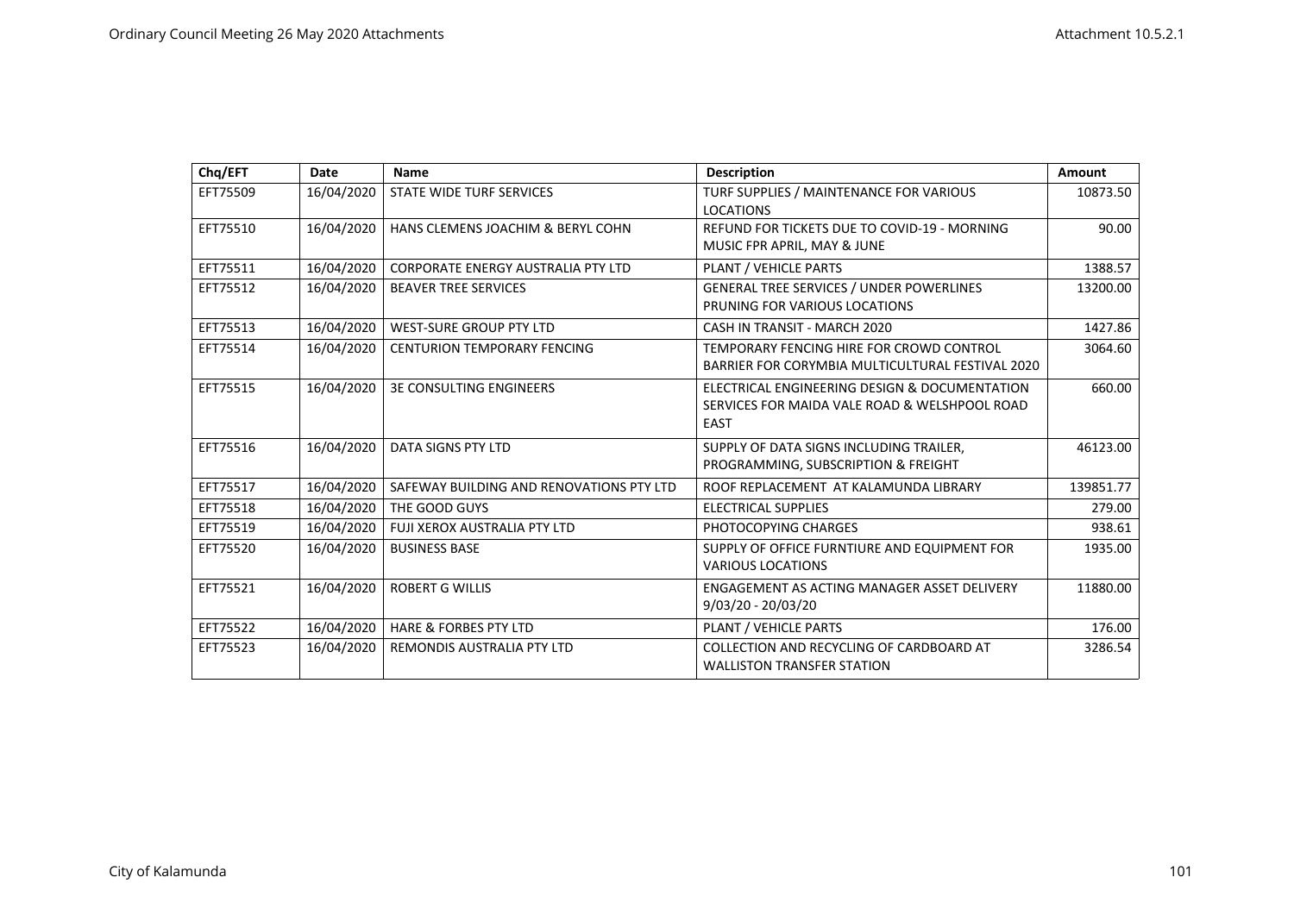| Chq/EFT  | Date       | <b>Name</b>                              | Description                                      | Amount    |
|----------|------------|------------------------------------------|--------------------------------------------------|-----------|
| EFT75509 | 16/04/2020 | STATE WIDE TURF SERVICES                 | TURF SUPPLIES / MAINTENANCE FOR VARIOUS          | 10873.50  |
|          |            |                                          | <b>LOCATIONS</b>                                 |           |
| EFT75510 | 16/04/2020 | HANS CLEMENS JOACHIM & BERYL COHN        | REFUND FOR TICKETS DUE TO COVID-19 - MORNING     | 90.00     |
|          |            |                                          | MUSIC FPR APRIL, MAY & JUNE                      |           |
| EFT75511 | 16/04/2020 | CORPORATE ENERGY AUSTRALIA PTY LTD       | PLANT / VEHICLE PARTS                            | 1388.57   |
| EFT75512 | 16/04/2020 | <b>BEAVER TREE SERVICES</b>              | <b>GENERAL TREE SERVICES / UNDER POWERLINES</b>  | 13200.00  |
|          |            |                                          | PRUNING FOR VARIOUS LOCATIONS                    |           |
| EFT75513 | 16/04/2020 | <b>WEST-SURE GROUP PTY LTD</b>           | CASH IN TRANSIT - MARCH 2020                     | 1427.86   |
| EFT75514 | 16/04/2020 | <b>CENTURION TEMPORARY FENCING</b>       | TEMPORARY FENCING HIRE FOR CROWD CONTROL         | 3064.60   |
|          |            |                                          | BARRIER FOR CORYMBIA MULTICULTURAL FESTIVAL 2020 |           |
| EFT75515 | 16/04/2020 | <b>3E CONSULTING ENGINEERS</b>           | ELECTRICAL ENGINEERING DESIGN & DOCUMENTATION    | 660.00    |
|          |            |                                          | SERVICES FOR MAIDA VALE ROAD & WELSHPOOL ROAD    |           |
|          |            |                                          | <b>EAST</b>                                      |           |
| EFT75516 | 16/04/2020 | DATA SIGNS PTY LTD                       | SUPPLY OF DATA SIGNS INCLUDING TRAILER,          | 46123.00  |
|          |            |                                          | PROGRAMMING, SUBSCRIPTION & FREIGHT              |           |
| EFT75517 | 16/04/2020 | SAFEWAY BUILDING AND RENOVATIONS PTY LTD | ROOF REPLACEMENT AT KALAMUNDA LIBRARY            | 139851.77 |
| EFT75518 | 16/04/2020 | THE GOOD GUYS                            | ELECTRICAL SUPPLIES                              | 279.00    |
| EFT75519 | 16/04/2020 | FUJI XEROX AUSTRALIA PTY LTD             | PHOTOCOPYING CHARGES                             | 938.61    |
| EFT75520 | 16/04/2020 | <b>BUSINESS BASE</b>                     | SUPPLY OF OFFICE FURNTIURE AND EQUIPMENT FOR     | 1935.00   |
|          |            |                                          | <b>VARIOUS LOCATIONS</b>                         |           |
| EFT75521 | 16/04/2020 | <b>ROBERT G WILLIS</b>                   | ENGAGEMENT AS ACTING MANAGER ASSET DELIVERY      | 11880.00  |
|          |            |                                          | $9/03/20 - 20/03/20$                             |           |
| EFT75522 | 16/04/2020 | <b>HARE &amp; FORBES PTY LTD</b>         | PLANT / VEHICLE PARTS                            | 176.00    |
| EFT75523 | 16/04/2020 | REMONDIS AUSTRALIA PTY LTD               | COLLECTION AND RECYCLING OF CARDBOARD AT         | 3286.54   |
|          |            |                                          | <b>WALLISTON TRANSFER STATION</b>                |           |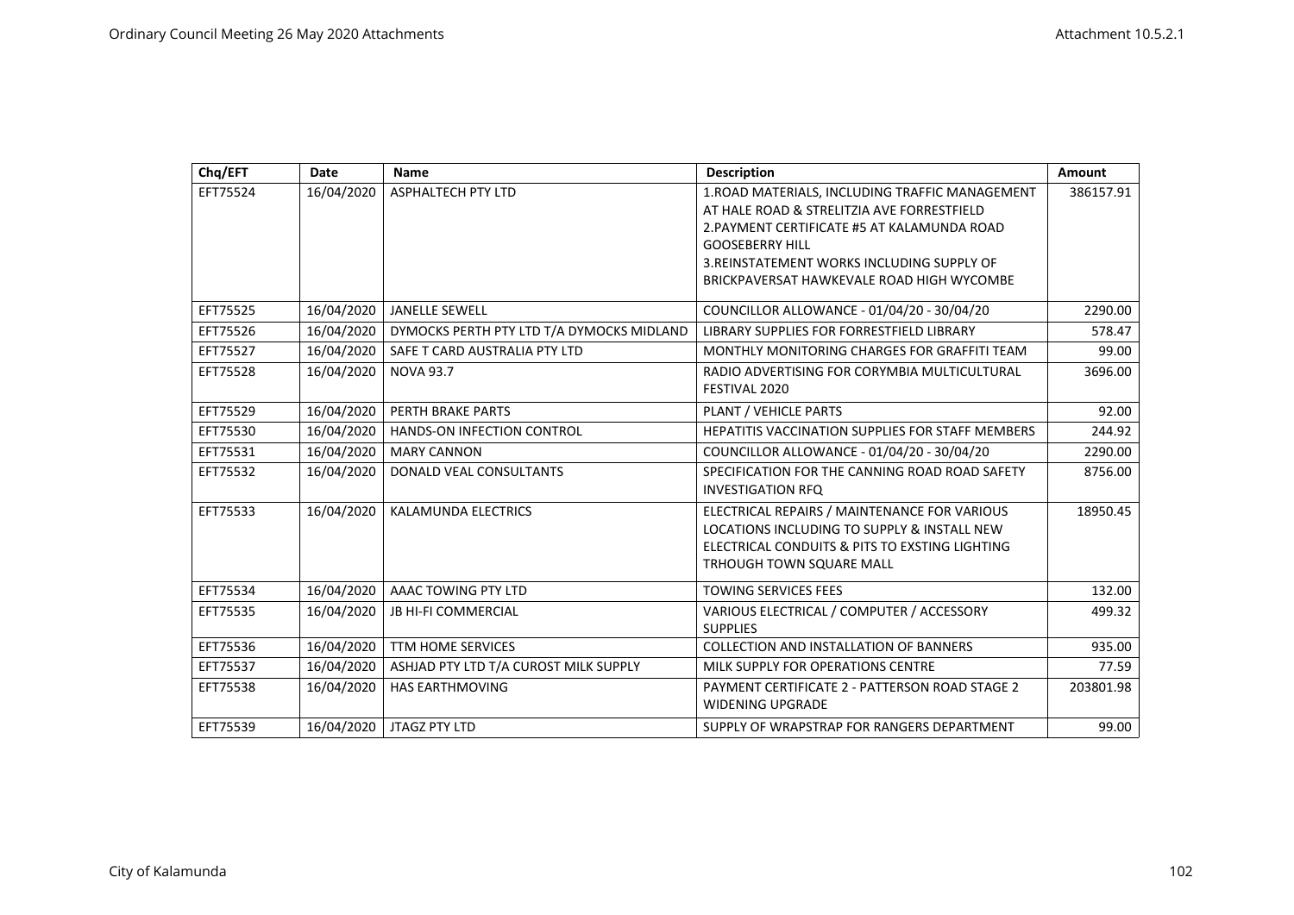| Chq/EFT  | Date       | <b>Name</b>                               | <b>Description</b>                               | Amount    |
|----------|------------|-------------------------------------------|--------------------------------------------------|-----------|
| EFT75524 | 16/04/2020 | <b>ASPHALTECH PTY LTD</b>                 | 1.ROAD MATERIALS, INCLUDING TRAFFIC MANAGEMENT   | 386157.91 |
|          |            |                                           | AT HALE ROAD & STRELITZIA AVE FORRESTFIELD       |           |
|          |            |                                           | 2. PAYMENT CERTIFICATE #5 AT KALAMUNDA ROAD      |           |
|          |            |                                           | <b>GOOSEBERRY HILL</b>                           |           |
|          |            |                                           | 3. REINSTATEMENT WORKS INCLUDING SUPPLY OF       |           |
|          |            |                                           | BRICKPAVERSAT HAWKEVALE ROAD HIGH WYCOMBE        |           |
| EFT75525 | 16/04/2020 | <b>JANELLE SEWELL</b>                     | COUNCILLOR ALLOWANCE - 01/04/20 - 30/04/20       | 2290.00   |
| EFT75526 | 16/04/2020 | DYMOCKS PERTH PTY LTD T/A DYMOCKS MIDLAND | LIBRARY SUPPLIES FOR FORRESTFIELD LIBRARY        | 578.47    |
| EFT75527 | 16/04/2020 | SAFE T CARD AUSTRALIA PTY LTD             | MONTHLY MONITORING CHARGES FOR GRAFFITI TEAM     | 99.00     |
| EFT75528 | 16/04/2020 | <b>NOVA 93.7</b>                          | RADIO ADVERTISING FOR CORYMBIA MULTICULTURAL     | 3696.00   |
|          |            |                                           | FESTIVAL 2020                                    |           |
| EFT75529 | 16/04/2020 | PERTH BRAKE PARTS                         | PLANT / VEHICLE PARTS                            | 92.00     |
| EFT75530 | 16/04/2020 | HANDS-ON INFECTION CONTROL                | HEPATITIS VACCINATION SUPPLIES FOR STAFF MEMBERS | 244.92    |
| EFT75531 | 16/04/2020 | <b>MARY CANNON</b>                        | COUNCILLOR ALLOWANCE - 01/04/20 - 30/04/20       | 2290.00   |
| EFT75532 | 16/04/2020 | DONALD VEAL CONSULTANTS                   | SPECIFICATION FOR THE CANNING ROAD ROAD SAFETY   | 8756.00   |
|          |            |                                           | <b>INVESTIGATION RFQ</b>                         |           |
| EFT75533 | 16/04/2020 | KALAMUNDA ELECTRICS                       | ELECTRICAL REPAIRS / MAINTENANCE FOR VARIOUS     | 18950.45  |
|          |            |                                           | LOCATIONS INCLUDING TO SUPPLY & INSTALL NEW      |           |
|          |            |                                           | ELECTRICAL CONDUITS & PITS TO EXSTING LIGHTING   |           |
|          |            |                                           | <b>TRHOUGH TOWN SQUARE MALL</b>                  |           |
| EFT75534 | 16/04/2020 | AAAC TOWING PTY LTD                       | <b>TOWING SERVICES FEES</b>                      | 132.00    |
| EFT75535 | 16/04/2020 | JB HI-FI COMMERCIAL                       | VARIOUS ELECTRICAL / COMPUTER / ACCESSORY        | 499.32    |
|          |            |                                           | <b>SUPPLIES</b>                                  |           |
| EFT75536 | 16/04/2020 | <b>TTM HOME SERVICES</b>                  | <b>COLLECTION AND INSTALLATION OF BANNERS</b>    | 935.00    |
| EFT75537 | 16/04/2020 | ASHJAD PTY LTD T/A CUROST MILK SUPPLY     | MILK SUPPLY FOR OPERATIONS CENTRE                | 77.59     |
| EFT75538 | 16/04/2020 | <b>HAS EARTHMOVING</b>                    | PAYMENT CERTIFICATE 2 - PATTERSON ROAD STAGE 2   | 203801.98 |
|          |            |                                           | <b>WIDENING UPGRADE</b>                          |           |
| EFT75539 | 16/04/2020 | <b>JTAGZ PTY LTD</b>                      | SUPPLY OF WRAPSTRAP FOR RANGERS DEPARTMENT       | 99.00     |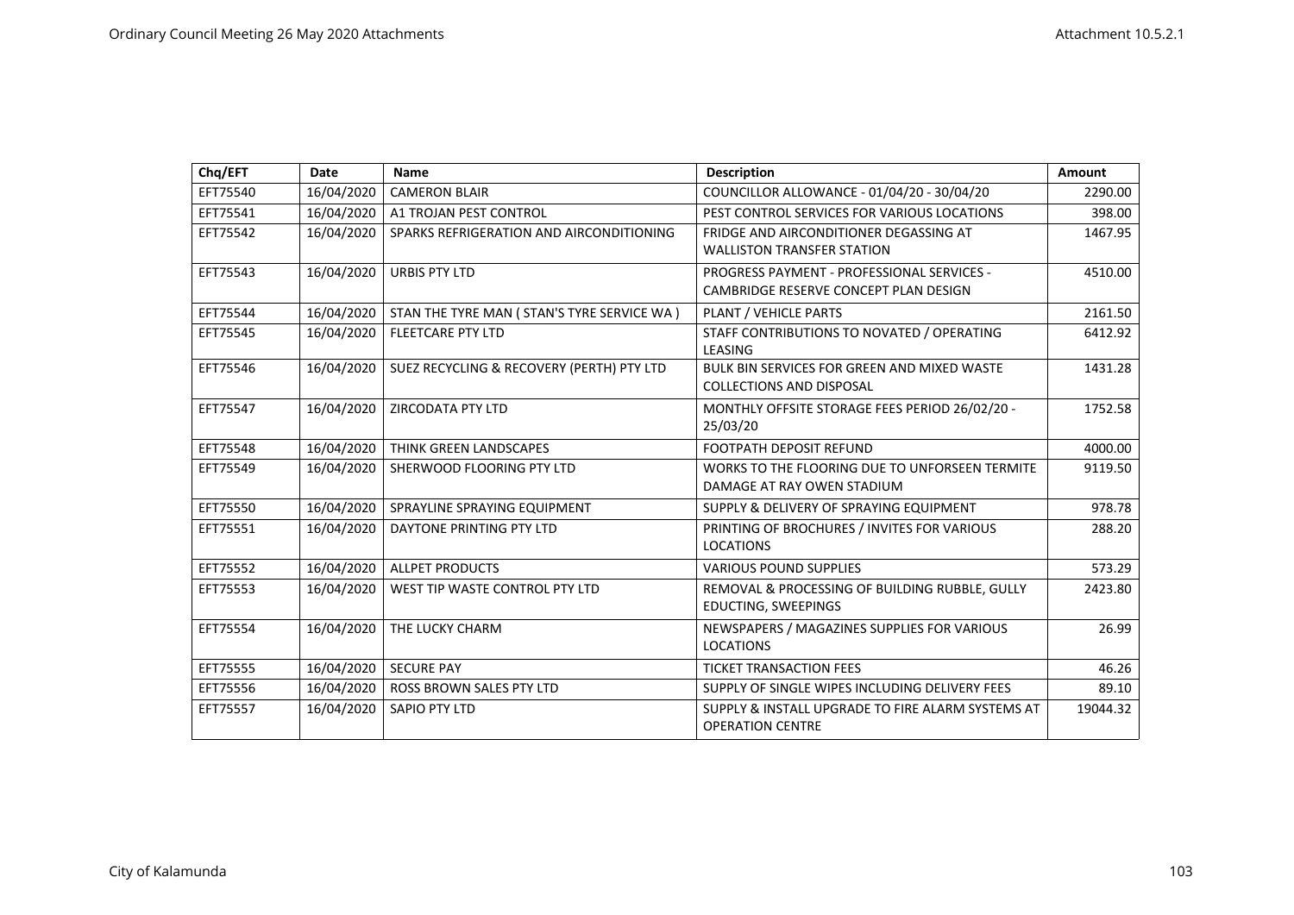| Chq/EFT  | <b>Date</b> | Name                                         | <b>Description</b>                                                                  | Amount   |
|----------|-------------|----------------------------------------------|-------------------------------------------------------------------------------------|----------|
| EFT75540 | 16/04/2020  | <b>CAMERON BLAIR</b>                         | COUNCILLOR ALLOWANCE - 01/04/20 - 30/04/20                                          | 2290.00  |
| EFT75541 | 16/04/2020  | A1 TROJAN PEST CONTROL                       | PEST CONTROL SERVICES FOR VARIOUS LOCATIONS                                         | 398.00   |
| EFT75542 | 16/04/2020  | SPARKS REFRIGERATION AND AIRCONDITIONING     | FRIDGE AND AIRCONDITIONER DEGASSING AT<br><b>WALLISTON TRANSFER STATION</b>         | 1467.95  |
| EFT75543 | 16/04/2020  | <b>URBIS PTY LTD</b>                         | PROGRESS PAYMENT - PROFESSIONAL SERVICES -<br>CAMBRIDGE RESERVE CONCEPT PLAN DESIGN | 4510.00  |
| EFT75544 | 16/04/2020  | STAN THE TYRE MAN ( STAN'S TYRE SERVICE WA ) | PLANT / VEHICLE PARTS                                                               | 2161.50  |
| EFT75545 | 16/04/2020  | <b>FLEETCARE PTY LTD</b>                     | STAFF CONTRIBUTIONS TO NOVATED / OPERATING<br>LEASING                               | 6412.92  |
| EFT75546 | 16/04/2020  | SUEZ RECYCLING & RECOVERY (PERTH) PTY LTD    | BULK BIN SERVICES FOR GREEN AND MIXED WASTE<br><b>COLLECTIONS AND DISPOSAL</b>      | 1431.28  |
| EFT75547 | 16/04/2020  | <b>ZIRCODATA PTY LTD</b>                     | MONTHLY OFFSITE STORAGE FEES PERIOD 26/02/20 -<br>25/03/20                          | 1752.58  |
| EFT75548 | 16/04/2020  | THINK GREEN LANDSCAPES                       | <b>FOOTPATH DEPOSIT REFUND</b>                                                      | 4000.00  |
| EFT75549 | 16/04/2020  | SHERWOOD FLOORING PTY LTD                    | WORKS TO THE FLOORING DUE TO UNFORSEEN TERMITE<br>DAMAGE AT RAY OWEN STADIUM        | 9119.50  |
| EFT75550 | 16/04/2020  | SPRAYLINE SPRAYING EQUIPMENT                 | SUPPLY & DELIVERY OF SPRAYING EQUIPMENT                                             | 978.78   |
| EFT75551 | 16/04/2020  | DAYTONE PRINTING PTY LTD                     | PRINTING OF BROCHURES / INVITES FOR VARIOUS<br><b>LOCATIONS</b>                     | 288.20   |
| EFT75552 | 16/04/2020  | <b>ALLPET PRODUCTS</b>                       | <b>VARIOUS POUND SUPPLIES</b>                                                       | 573.29   |
| EFT75553 | 16/04/2020  | WEST TIP WASTE CONTROL PTY LTD               | REMOVAL & PROCESSING OF BUILDING RUBBLE, GULLY<br>EDUCTING, SWEEPINGS               | 2423.80  |
| EFT75554 | 16/04/2020  | THE LUCKY CHARM                              | NEWSPAPERS / MAGAZINES SUPPLIES FOR VARIOUS<br><b>LOCATIONS</b>                     | 26.99    |
| EFT75555 | 16/04/2020  | <b>SECURE PAY</b>                            | <b>TICKET TRANSACTION FEES</b>                                                      | 46.26    |
| EFT75556 | 16/04/2020  | <b>ROSS BROWN SALES PTY LTD</b>              | SUPPLY OF SINGLE WIPES INCLUDING DELIVERY FEES                                      | 89.10    |
| EFT75557 | 16/04/2020  | <b>SAPIO PTY LTD</b>                         | SUPPLY & INSTALL UPGRADE TO FIRE ALARM SYSTEMS AT<br><b>OPERATION CENTRE</b>        | 19044.32 |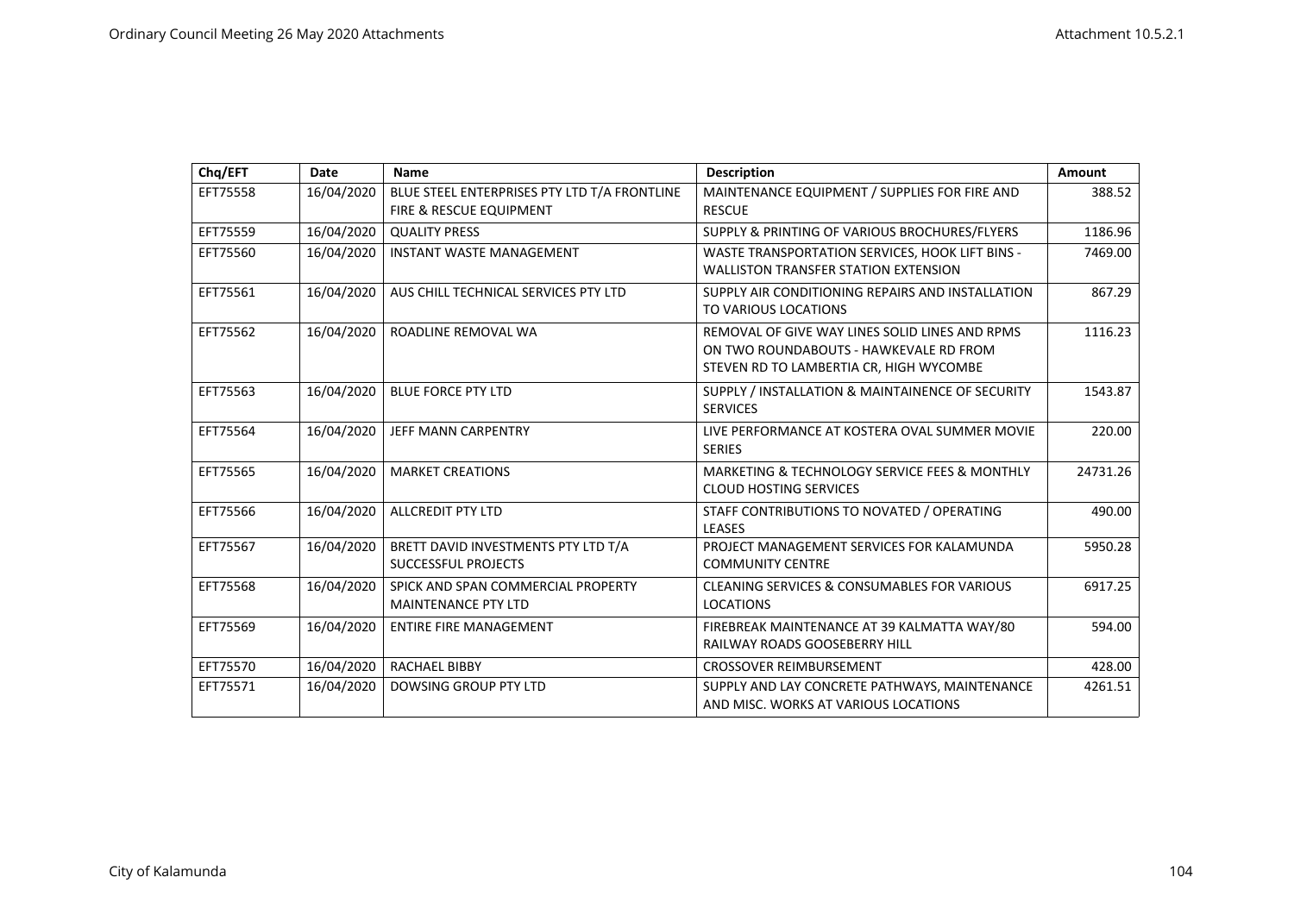| Chq/EFT  | <b>Date</b> | <b>Name</b>                                                             | <b>Description</b>                                                                                                                  | Amount   |
|----------|-------------|-------------------------------------------------------------------------|-------------------------------------------------------------------------------------------------------------------------------------|----------|
| EFT75558 | 16/04/2020  | BLUE STEEL ENTERPRISES PTY LTD T/A FRONTLINE<br>FIRE & RESCUE EQUIPMENT | MAINTENANCE EQUIPMENT / SUPPLIES FOR FIRE AND<br><b>RESCUE</b>                                                                      | 388.52   |
| EFT75559 | 16/04/2020  | <b>QUALITY PRESS</b>                                                    | SUPPLY & PRINTING OF VARIOUS BROCHURES/FLYERS                                                                                       | 1186.96  |
| EFT75560 | 16/04/2020  | <b>INSTANT WASTE MANAGEMENT</b>                                         | WASTE TRANSPORTATION SERVICES, HOOK LIFT BINS -<br><b>WALLISTON TRANSFER STATION EXTENSION</b>                                      | 7469.00  |
| EFT75561 | 16/04/2020  | AUS CHILL TECHNICAL SERVICES PTY LTD                                    | SUPPLY AIR CONDITIONING REPAIRS AND INSTALLATION<br>TO VARIOUS LOCATIONS                                                            | 867.29   |
| EFT75562 | 16/04/2020  | ROADLINE REMOVAL WA                                                     | REMOVAL OF GIVE WAY LINES SOLID LINES AND RPMS<br>ON TWO ROUNDABOUTS - HAWKEVALE RD FROM<br>STEVEN RD TO LAMBERTIA CR, HIGH WYCOMBE | 1116.23  |
| EFT75563 | 16/04/2020  | <b>BLUE FORCE PTY LTD</b>                                               | SUPPLY / INSTALLATION & MAINTAINENCE OF SECURITY<br><b>SERVICES</b>                                                                 | 1543.87  |
| EFT75564 | 16/04/2020  | JEFF MANN CARPENTRY                                                     | LIVE PERFORMANCE AT KOSTERA OVAL SUMMER MOVIE<br><b>SERIES</b>                                                                      | 220.00   |
| EFT75565 | 16/04/2020  | <b>MARKET CREATIONS</b>                                                 | MARKETING & TECHNOLOGY SERVICE FEES & MONTHLY<br><b>CLOUD HOSTING SERVICES</b>                                                      | 24731.26 |
| EFT75566 | 16/04/2020  | <b>ALLCREDIT PTY LTD</b>                                                | STAFF CONTRIBUTIONS TO NOVATED / OPERATING<br><b>LEASES</b>                                                                         | 490.00   |
| EFT75567 | 16/04/2020  | BRETT DAVID INVESTMENTS PTY LTD T/A<br>SUCCESSFUL PROJECTS              | PROJECT MANAGEMENT SERVICES FOR KALAMUNDA<br><b>COMMUNITY CENTRE</b>                                                                | 5950.28  |
| EFT75568 | 16/04/2020  | SPICK AND SPAN COMMERCIAL PROPERTY<br><b>MAINTENANCE PTY LTD</b>        | <b>CLEANING SERVICES &amp; CONSUMABLES FOR VARIOUS</b><br><b>LOCATIONS</b>                                                          | 6917.25  |
| EFT75569 | 16/04/2020  | <b>ENTIRE FIRE MANAGEMENT</b>                                           | FIREBREAK MAINTENANCE AT 39 KALMATTA WAY/80<br>RAILWAY ROADS GOOSEBERRY HILL                                                        | 594.00   |
| EFT75570 | 16/04/2020  | <b>RACHAEL BIBBY</b>                                                    | <b>CROSSOVER REIMBURSEMENT</b>                                                                                                      | 428.00   |
| EFT75571 | 16/04/2020  | <b>DOWSING GROUP PTY LTD</b>                                            | SUPPLY AND LAY CONCRETE PATHWAYS, MAINTENANCE<br>AND MISC. WORKS AT VARIOUS LOCATIONS                                               | 4261.51  |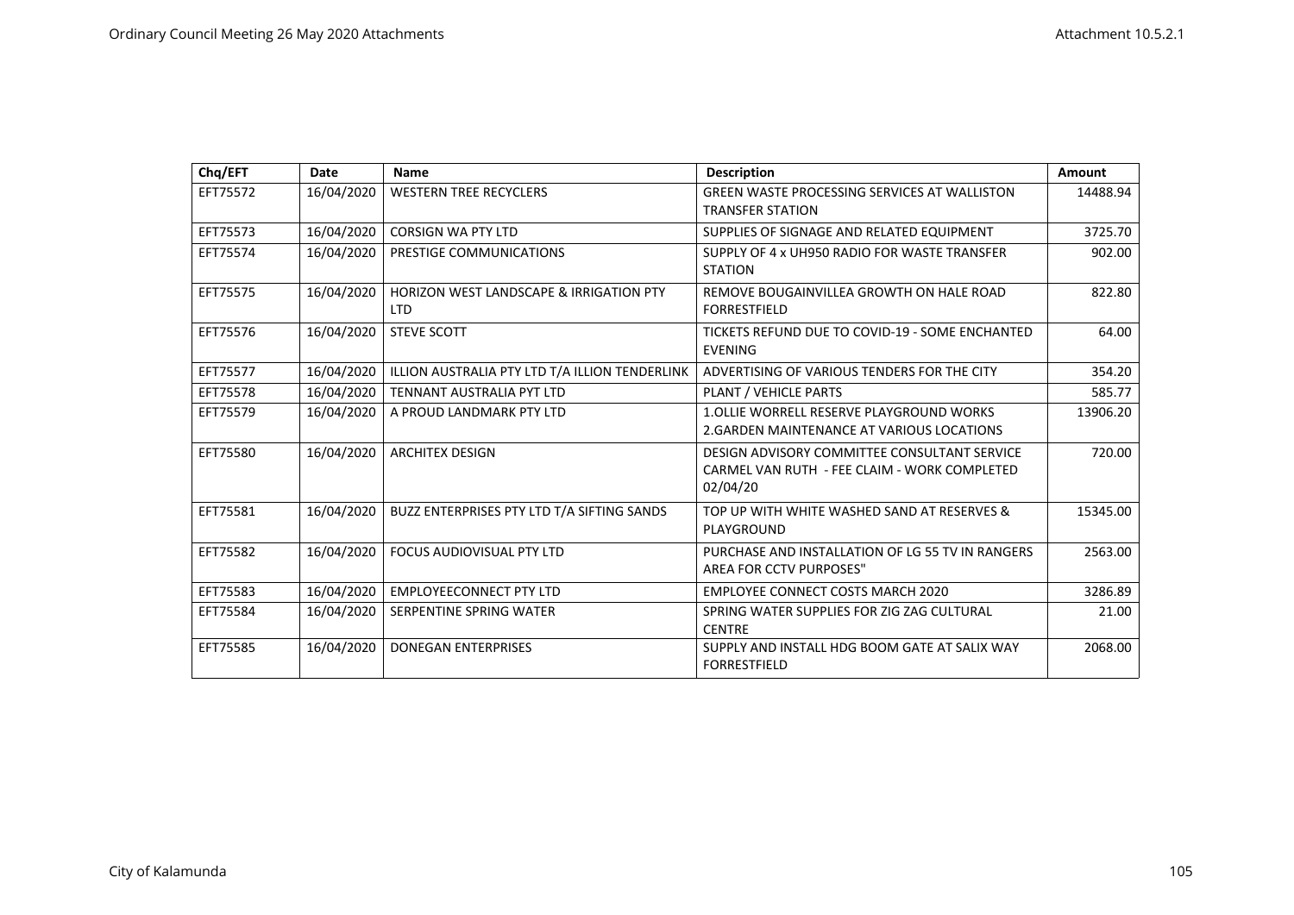| Chq/EFT  | Date       | Name                                                             | <b>Description</b>                                                                                       | Amount   |
|----------|------------|------------------------------------------------------------------|----------------------------------------------------------------------------------------------------------|----------|
| EFT75572 | 16/04/2020 | <b>WESTERN TREE RECYCLERS</b>                                    | <b>GREEN WASTE PROCESSING SERVICES AT WALLISTON</b><br><b>TRANSFER STATION</b>                           | 14488.94 |
| EFT75573 | 16/04/2020 | <b>CORSIGN WA PTY LTD</b>                                        | SUPPLIES OF SIGNAGE AND RELATED EQUIPMENT                                                                | 3725.70  |
| EFT75574 | 16/04/2020 | PRESTIGE COMMUNICATIONS                                          | SUPPLY OF 4 x UH950 RADIO FOR WASTE TRANSFER<br><b>STATION</b>                                           | 902.00   |
| EFT75575 | 16/04/2020 | <b>HORIZON WEST LANDSCAPE &amp; IRRIGATION PTY</b><br><b>LTD</b> | REMOVE BOUGAINVILLEA GROWTH ON HALE ROAD<br><b>FORRESTFIELD</b>                                          | 822.80   |
| EFT75576 | 16/04/2020 | <b>STEVE SCOTT</b>                                               | TICKETS REFUND DUE TO COVID-19 - SOME ENCHANTED<br><b>EVENING</b>                                        | 64.00    |
| EFT75577 | 16/04/2020 | ILLION AUSTRALIA PTY LTD T/A ILLION TENDERLINK                   | ADVERTISING OF VARIOUS TENDERS FOR THE CITY                                                              | 354.20   |
| EFT75578 | 16/04/2020 | <b>TENNANT AUSTRALIA PYT LTD</b>                                 | <b>PLANT / VEHICLE PARTS</b>                                                                             | 585.77   |
| EFT75579 | 16/04/2020 | A PROUD LANDMARK PTY LTD                                         | <b>1.OLLIE WORRELL RESERVE PLAYGROUND WORKS</b><br>2. GARDEN MAINTENANCE AT VARIOUS LOCATIONS            | 13906.20 |
| EFT75580 | 16/04/2020 | <b>ARCHITEX DESIGN</b>                                           | DESIGN ADVISORY COMMITTEE CONSULTANT SERVICE<br>CARMEL VAN RUTH - FEE CLAIM - WORK COMPLETED<br>02/04/20 | 720.00   |
| EFT75581 | 16/04/2020 | BUZZ ENTERPRISES PTY LTD T/A SIFTING SANDS                       | TOP UP WITH WHITE WASHED SAND AT RESERVES &<br>PLAYGROUND                                                | 15345.00 |
| EFT75582 | 16/04/2020 | <b>FOCUS AUDIOVISUAL PTY LTD</b>                                 | PURCHASE AND INSTALLATION OF LG 55 TV IN RANGERS<br><b>AREA FOR CCTV PURPOSES"</b>                       | 2563.00  |
| EFT75583 | 16/04/2020 | <b>EMPLOYEECONNECT PTY LTD</b>                                   | <b>EMPLOYEE CONNECT COSTS MARCH 2020</b>                                                                 | 3286.89  |
| EFT75584 | 16/04/2020 | SERPENTINE SPRING WATER                                          | SPRING WATER SUPPLIES FOR ZIG ZAG CULTURAL<br><b>CENTRE</b>                                              | 21.00    |
| EFT75585 | 16/04/2020 | <b>DONEGAN ENTERPRISES</b>                                       | SUPPLY AND INSTALL HDG BOOM GATE AT SALIX WAY<br><b>FORRESTFIELD</b>                                     | 2068.00  |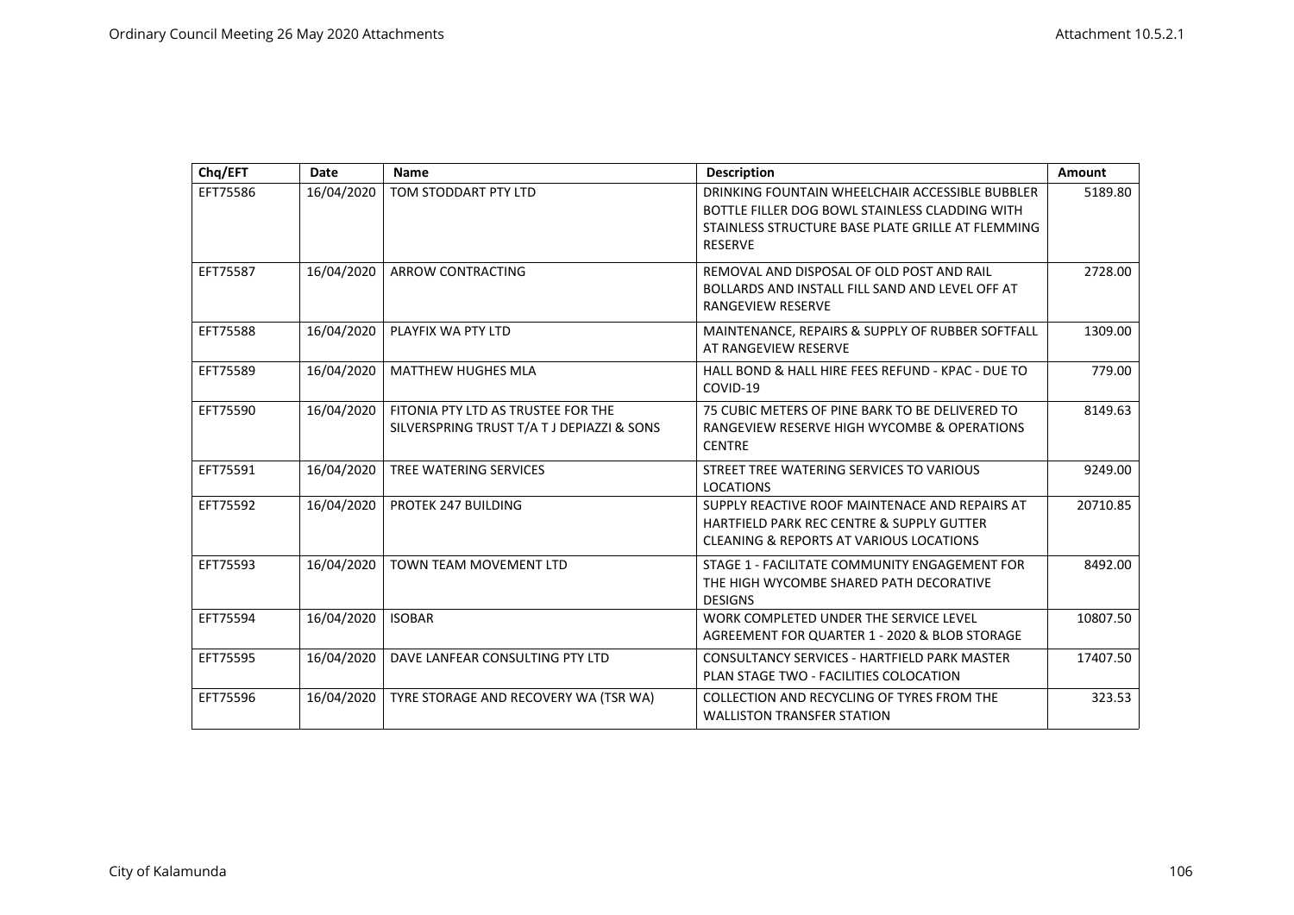| Chq/EFT  | Date       | Name                                                                             | <b>Description</b>                                                                                                                                                       | Amount   |
|----------|------------|----------------------------------------------------------------------------------|--------------------------------------------------------------------------------------------------------------------------------------------------------------------------|----------|
| EFT75586 | 16/04/2020 | TOM STODDART PTY LTD                                                             | DRINKING FOUNTAIN WHEELCHAIR ACCESSIBLE BUBBLER<br>BOTTLE FILLER DOG BOWL STAINLESS CLADDING WITH<br>STAINLESS STRUCTURE BASE PLATE GRILLE AT FLEMMING<br><b>RESERVE</b> | 5189.80  |
| EFT75587 | 16/04/2020 | ARROW CONTRACTING                                                                | REMOVAL AND DISPOSAL OF OLD POST AND RAIL<br>BOLLARDS AND INSTALL FILL SAND AND LEVEL OFF AT<br>RANGEVIEW RESERVE                                                        | 2728.00  |
| EFT75588 | 16/04/2020 | PLAYFIX WA PTY LTD                                                               | MAINTENANCE, REPAIRS & SUPPLY OF RUBBER SOFTFALL<br>AT RANGEVIEW RESERVE                                                                                                 | 1309.00  |
| EFT75589 | 16/04/2020 | <b>MATTHEW HUGHES MLA</b>                                                        | HALL BOND & HALL HIRE FEES REFUND - KPAC - DUE TO<br>COVID-19                                                                                                            | 779.00   |
| EFT75590 | 16/04/2020 | FITONIA PTY LTD AS TRUSTEE FOR THE<br>SILVERSPRING TRUST T/A T J DEPIAZZI & SONS | 75 CUBIC METERS OF PINE BARK TO BE DELIVERED TO<br>RANGEVIEW RESERVE HIGH WYCOMBE & OPERATIONS<br><b>CENTRE</b>                                                          | 8149.63  |
| EFT75591 | 16/04/2020 | TREE WATERING SERVICES                                                           | STREET TREE WATERING SERVICES TO VARIOUS<br><b>LOCATIONS</b>                                                                                                             | 9249.00  |
| EFT75592 | 16/04/2020 | PROTEK 247 BUILDING                                                              | SUPPLY REACTIVE ROOF MAINTENACE AND REPAIRS AT<br>HARTFIELD PARK REC CENTRE & SUPPLY GUTTER<br><b>CLEANING &amp; REPORTS AT VARIOUS LOCATIONS</b>                        | 20710.85 |
| EFT75593 | 16/04/2020 | <b>TOWN TEAM MOVEMENT LTD</b>                                                    | STAGE 1 - FACILITATE COMMUNITY ENGAGEMENT FOR<br>THE HIGH WYCOMBE SHARED PATH DECORATIVE<br><b>DESIGNS</b>                                                               | 8492.00  |
| EFT75594 | 16/04/2020 | <b>ISOBAR</b>                                                                    | WORK COMPLETED UNDER THE SERVICE LEVEL<br>AGREEMENT FOR QUARTER 1 - 2020 & BLOB STORAGE                                                                                  | 10807.50 |
| EFT75595 | 16/04/2020 | DAVE LANFEAR CONSULTING PTY LTD                                                  | CONSULTANCY SERVICES - HARTFIELD PARK MASTER<br>PLAN STAGE TWO - FACILITIES COLOCATION                                                                                   | 17407.50 |
| EFT75596 | 16/04/2020 | TYRE STORAGE AND RECOVERY WA (TSR WA)                                            | COLLECTION AND RECYCLING OF TYRES FROM THE<br><b>WALLISTON TRANSFER STATION</b>                                                                                          | 323.53   |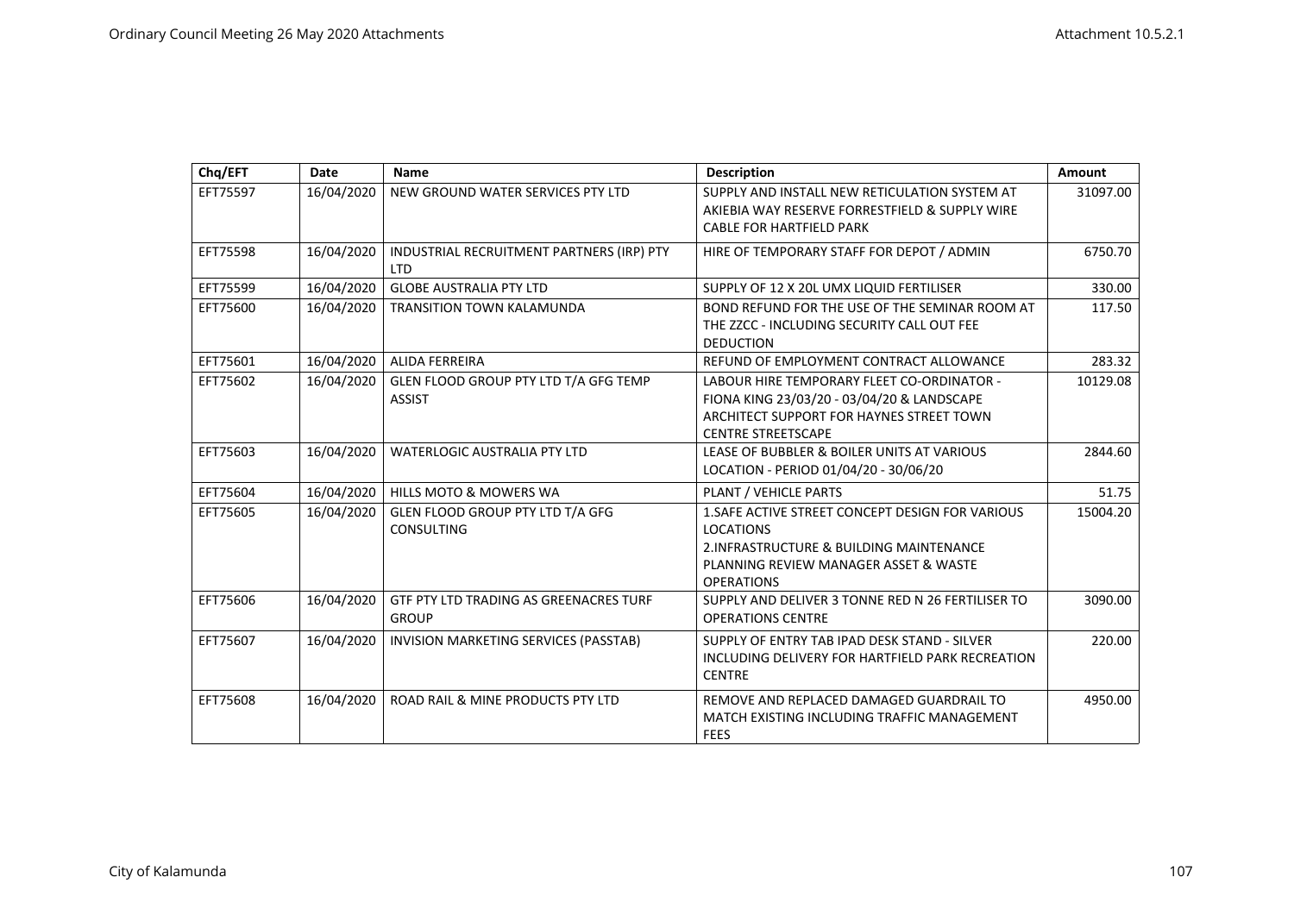| Chq/EFT  | <b>Date</b> | Name                                                    | <b>Description</b>                                                                                                                                                             | Amount   |
|----------|-------------|---------------------------------------------------------|--------------------------------------------------------------------------------------------------------------------------------------------------------------------------------|----------|
| EFT75597 | 16/04/2020  | NEW GROUND WATER SERVICES PTY LTD                       | SUPPLY AND INSTALL NEW RETICULATION SYSTEM AT<br>AKIEBIA WAY RESERVE FORRESTFIELD & SUPPLY WIRE<br><b>CABLE FOR HARTFIELD PARK</b>                                             | 31097.00 |
| EFT75598 | 16/04/2020  | INDUSTRIAL RECRUITMENT PARTNERS (IRP) PTY<br><b>LTD</b> | HIRE OF TEMPORARY STAFF FOR DEPOT / ADMIN                                                                                                                                      | 6750.70  |
| EFT75599 | 16/04/2020  | <b>GLOBE AUSTRALIA PTY LTD</b>                          | SUPPLY OF 12 X 20L UMX LIQUID FERTILISER                                                                                                                                       | 330.00   |
| EFT75600 | 16/04/2020  | <b>TRANSITION TOWN KALAMUNDA</b>                        | BOND REFUND FOR THE USE OF THE SEMINAR ROOM AT<br>THE ZZCC - INCLUDING SECURITY CALL OUT FEE<br><b>DEDUCTION</b>                                                               | 117.50   |
| EFT75601 | 16/04/2020  | ALIDA FERREIRA                                          | REFUND OF EMPLOYMENT CONTRACT ALLOWANCE                                                                                                                                        | 283.32   |
| EFT75602 | 16/04/2020  | GLEN FLOOD GROUP PTY LTD T/A GFG TEMP<br><b>ASSIST</b>  | LABOUR HIRE TEMPORARY FLEET CO-ORDINATOR -<br>FIONA KING 23/03/20 - 03/04/20 & LANDSCAPE<br>ARCHITECT SUPPORT FOR HAYNES STREET TOWN<br><b>CENTRE STREETSCAPE</b>              | 10129.08 |
| EFT75603 | 16/04/2020  | <b>WATERLOGIC AUSTRALIA PTY LTD</b>                     | LEASE OF BUBBLER & BOILER UNITS AT VARIOUS<br>LOCATION - PERIOD 01/04/20 - 30/06/20                                                                                            | 2844.60  |
| EFT75604 | 16/04/2020  | <b>HILLS MOTO &amp; MOWERS WA</b>                       | PLANT / VEHICLE PARTS                                                                                                                                                          | 51.75    |
| EFT75605 | 16/04/2020  | GLEN FLOOD GROUP PTY LTD T/A GFG<br><b>CONSULTING</b>   | 1. SAFE ACTIVE STREET CONCEPT DESIGN FOR VARIOUS<br><b>LOCATIONS</b><br>2. INFRASTRUCTURE & BUILDING MAINTENANCE<br>PLANNING REVIEW MANAGER ASSET & WASTE<br><b>OPERATIONS</b> | 15004.20 |
| EFT75606 | 16/04/2020  | GTF PTY LTD TRADING AS GREENACRES TURF<br><b>GROUP</b>  | SUPPLY AND DELIVER 3 TONNE RED N 26 FERTILISER TO<br><b>OPERATIONS CENTRE</b>                                                                                                  | 3090.00  |
| EFT75607 | 16/04/2020  | INVISION MARKETING SERVICES (PASSTAB)                   | SUPPLY OF ENTRY TAB IPAD DESK STAND - SILVER<br>INCLUDING DELIVERY FOR HARTFIELD PARK RECREATION<br><b>CENTRE</b>                                                              | 220.00   |
| EFT75608 | 16/04/2020  | ROAD RAIL & MINE PRODUCTS PTY LTD                       | REMOVE AND REPLACED DAMAGED GUARDRAIL TO<br>MATCH EXISTING INCLUDING TRAFFIC MANAGEMENT<br><b>FEES</b>                                                                         | 4950.00  |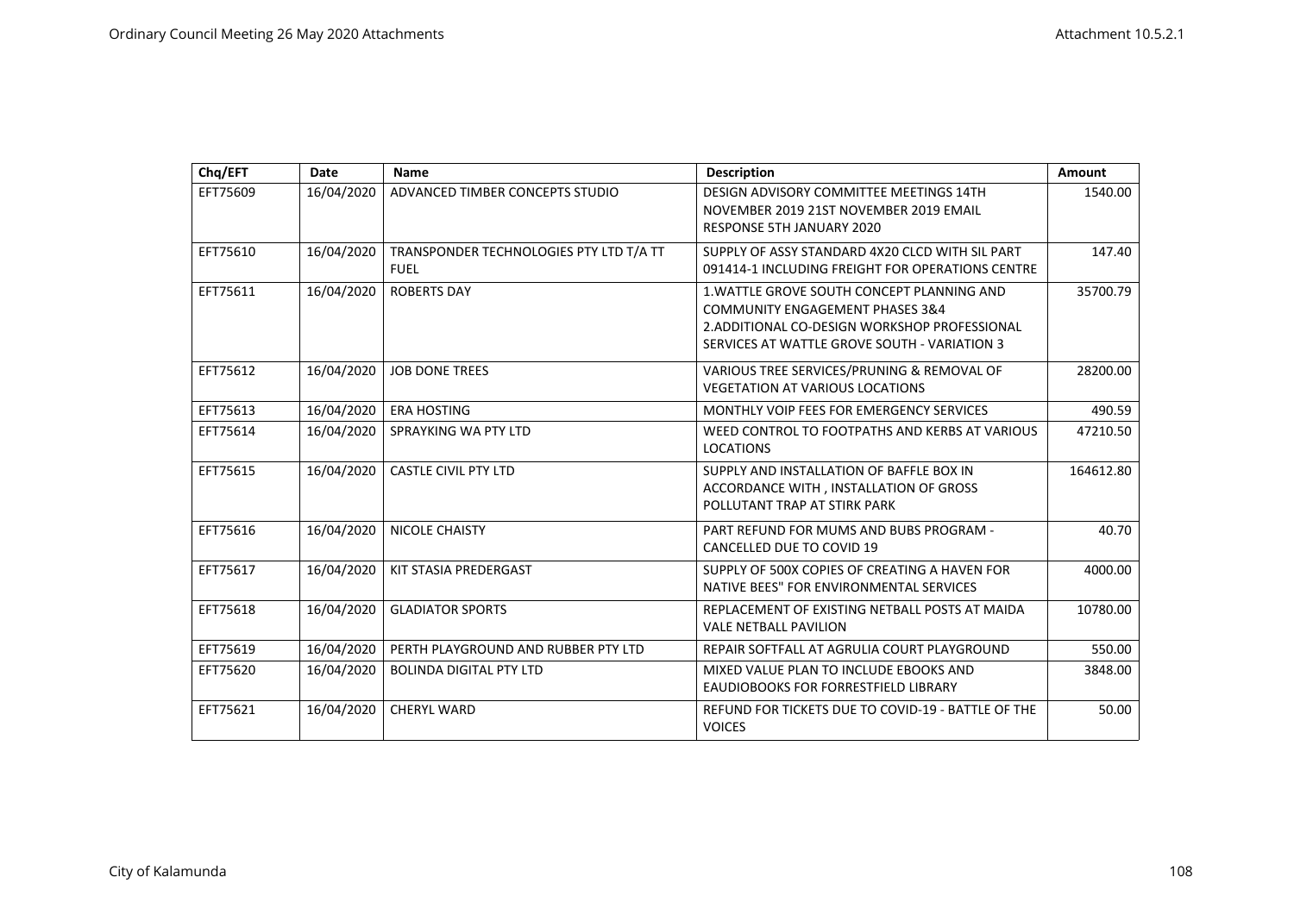| Chq/EFT  | <b>Date</b> | Name                                                   | <b>Description</b>                                                                                                                                                                        | Amount    |
|----------|-------------|--------------------------------------------------------|-------------------------------------------------------------------------------------------------------------------------------------------------------------------------------------------|-----------|
| EFT75609 | 16/04/2020  | ADVANCED TIMBER CONCEPTS STUDIO                        | DESIGN ADVISORY COMMITTEE MEETINGS 14TH<br>NOVEMBER 2019 21ST NOVEMBER 2019 EMAIL<br>RESPONSE 5TH JANUARY 2020                                                                            | 1540.00   |
| EFT75610 | 16/04/2020  | TRANSPONDER TECHNOLOGIES PTY LTD T/A TT<br><b>FUEL</b> | SUPPLY OF ASSY STANDARD 4X20 CLCD WITH SIL PART<br>091414-1 INCLUDING FREIGHT FOR OPERATIONS CENTRE                                                                                       | 147.40    |
| EFT75611 | 16/04/2020  | <b>ROBERTS DAY</b>                                     | 1. WATTLE GROVE SOUTH CONCEPT PLANNING AND<br><b>COMMUNITY ENGAGEMENT PHASES 3&amp;4</b><br>2. ADDITIONAL CO-DESIGN WORKSHOP PROFESSIONAL<br>SERVICES AT WATTLE GROVE SOUTH - VARIATION 3 | 35700.79  |
| EFT75612 | 16/04/2020  | <b>JOB DONE TREES</b>                                  | VARIOUS TREE SERVICES/PRUNING & REMOVAL OF<br><b>VEGETATION AT VARIOUS LOCATIONS</b>                                                                                                      | 28200.00  |
| EFT75613 | 16/04/2020  | <b>ERA HOSTING</b>                                     | MONTHLY VOIP FEES FOR EMERGENCY SERVICES                                                                                                                                                  | 490.59    |
| EFT75614 | 16/04/2020  | SPRAYKING WA PTY LTD                                   | WEED CONTROL TO FOOTPATHS AND KERBS AT VARIOUS<br><b>LOCATIONS</b>                                                                                                                        | 47210.50  |
| EFT75615 | 16/04/2020  | <b>CASTLE CIVIL PTY LTD</b>                            | SUPPLY AND INSTALLATION OF BAFFLE BOX IN<br>ACCORDANCE WITH, INSTALLATION OF GROSS<br>POLLUTANT TRAP AT STIRK PARK                                                                        | 164612.80 |
| EFT75616 | 16/04/2020  | NICOLE CHAISTY                                         | PART REFUND FOR MUMS AND BUBS PROGRAM -<br>CANCELLED DUE TO COVID 19                                                                                                                      | 40.70     |
| EFT75617 | 16/04/2020  | KIT STASIA PREDERGAST                                  | SUPPLY OF 500X COPIES OF CREATING A HAVEN FOR<br>NATIVE BEES" FOR ENVIRONMENTAL SERVICES                                                                                                  | 4000.00   |
| EFT75618 | 16/04/2020  | <b>GLADIATOR SPORTS</b>                                | REPLACEMENT OF EXISTING NETBALL POSTS AT MAIDA<br><b>VALE NETBALL PAVILION</b>                                                                                                            | 10780.00  |
| EFT75619 | 16/04/2020  | PERTH PLAYGROUND AND RUBBER PTY LTD                    | REPAIR SOFTFALL AT AGRULIA COURT PLAYGROUND                                                                                                                                               | 550.00    |
| EFT75620 | 16/04/2020  | <b>BOLINDA DIGITAL PTY LTD</b>                         | MIXED VALUE PLAN TO INCLUDE EBOOKS AND<br>EAUDIOBOOKS FOR FORRESTFIELD LIBRARY                                                                                                            | 3848.00   |
| EFT75621 | 16/04/2020  | <b>CHERYL WARD</b>                                     | REFUND FOR TICKETS DUE TO COVID-19 - BATTLE OF THE<br><b>VOICES</b>                                                                                                                       | 50.00     |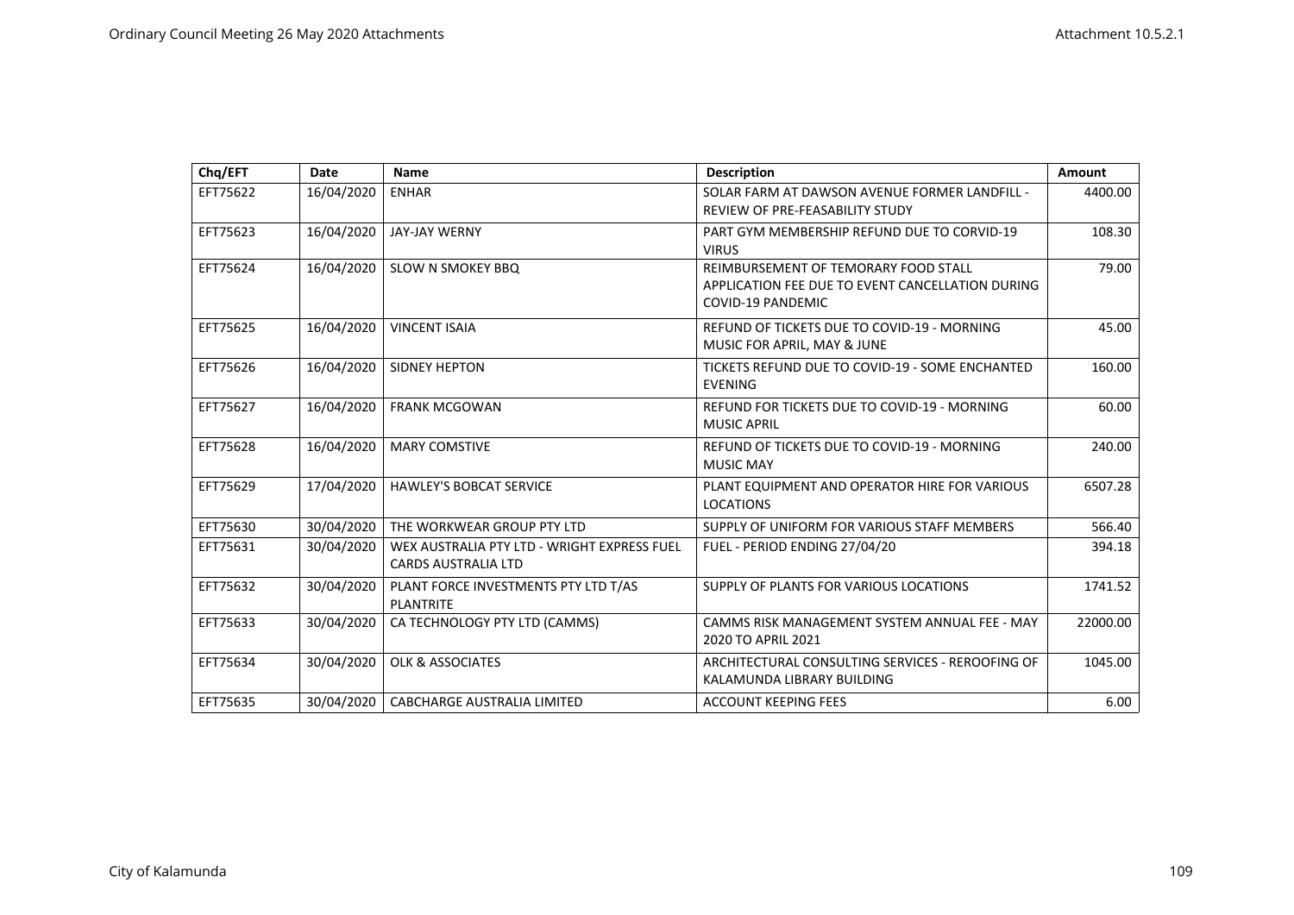| Chq/EFT  | Date       | Name                                                                      | <b>Description</b>                                                                                                   | Amount   |
|----------|------------|---------------------------------------------------------------------------|----------------------------------------------------------------------------------------------------------------------|----------|
| EFT75622 | 16/04/2020 | <b>ENHAR</b>                                                              | SOLAR FARM AT DAWSON AVENUE FORMER LANDFILL -<br>REVIEW OF PRE-FEASABILITY STUDY                                     | 4400.00  |
| EFT75623 | 16/04/2020 | <b>JAY-JAY WERNY</b>                                                      | PART GYM MEMBERSHIP REFUND DUE TO CORVID-19<br><b>VIRUS</b>                                                          | 108.30   |
| EFT75624 | 16/04/2020 | SLOW N SMOKEY BBQ                                                         | REIMBURSEMENT OF TEMORARY FOOD STALL<br>APPLICATION FEE DUE TO EVENT CANCELLATION DURING<br><b>COVID-19 PANDEMIC</b> | 79.00    |
| EFT75625 | 16/04/2020 | <b>VINCENT ISAIA</b>                                                      | REFUND OF TICKETS DUE TO COVID-19 - MORNING<br>MUSIC FOR APRIL, MAY & JUNE                                           | 45.00    |
| EFT75626 | 16/04/2020 | <b>SIDNEY HEPTON</b>                                                      | TICKETS REFUND DUE TO COVID-19 - SOME ENCHANTED<br><b>EVENING</b>                                                    | 160.00   |
| EFT75627 | 16/04/2020 | <b>FRANK MCGOWAN</b>                                                      | REFUND FOR TICKETS DUE TO COVID-19 - MORNING<br><b>MUSIC APRIL</b>                                                   | 60.00    |
| EFT75628 | 16/04/2020 | <b>MARY COMSTIVE</b>                                                      | REFUND OF TICKETS DUE TO COVID-19 - MORNING<br><b>MUSIC MAY</b>                                                      | 240.00   |
| EFT75629 | 17/04/2020 | <b>HAWLEY'S BOBCAT SERVICE</b>                                            | PLANT EQUIPMENT AND OPERATOR HIRE FOR VARIOUS<br><b>LOCATIONS</b>                                                    | 6507.28  |
| EFT75630 | 30/04/2020 | THE WORKWEAR GROUP PTY LTD                                                | SUPPLY OF UNIFORM FOR VARIOUS STAFF MEMBERS                                                                          | 566.40   |
| EFT75631 | 30/04/2020 | WEX AUSTRALIA PTY LTD - WRIGHT EXPRESS FUEL<br><b>CARDS AUSTRALIA LTD</b> | FUEL - PERIOD ENDING 27/04/20                                                                                        | 394.18   |
| EFT75632 | 30/04/2020 | PLANT FORCE INVESTMENTS PTY LTD T/AS<br><b>PLANTRITE</b>                  | SUPPLY OF PLANTS FOR VARIOUS LOCATIONS                                                                               | 1741.52  |
| EFT75633 | 30/04/2020 | CA TECHNOLOGY PTY LTD (CAMMS)                                             | CAMMS RISK MANAGEMENT SYSTEM ANNUAL FEE - MAY<br>2020 TO APRIL 2021                                                  | 22000.00 |
| EFT75634 | 30/04/2020 | <b>OLK &amp; ASSOCIATES</b>                                               | ARCHITECTURAL CONSULTING SERVICES - REROOFING OF<br>KALAMUNDA LIBRARY BUILDING                                       | 1045.00  |
| EFT75635 | 30/04/2020 | <b>CABCHARGE AUSTRALIA LIMITED</b>                                        | <b>ACCOUNT KEEPING FEES</b>                                                                                          | 6.00     |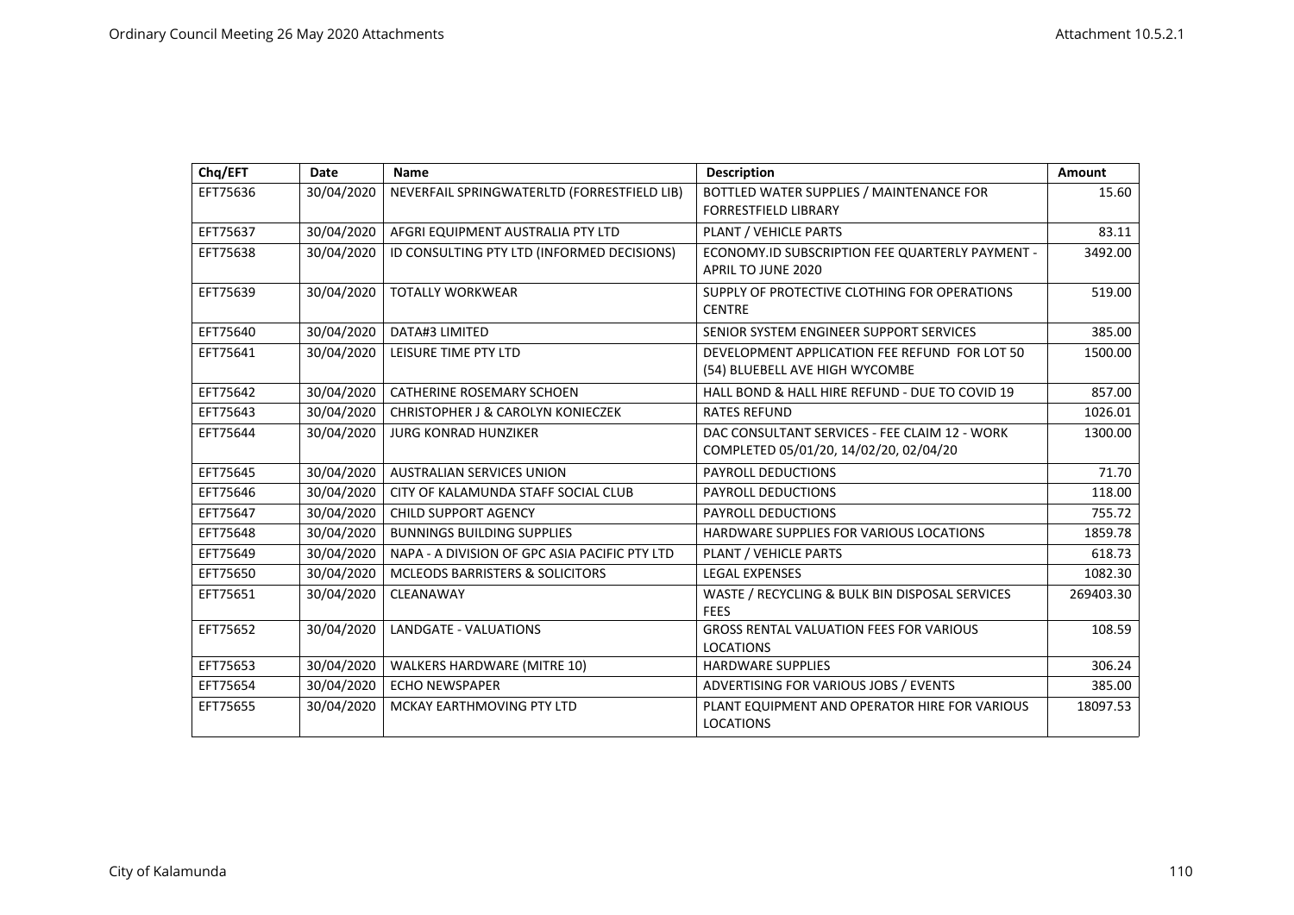| Chq/EFT  | Date       | Name                                          | <b>Description</b>                                                                      | Amount    |
|----------|------------|-----------------------------------------------|-----------------------------------------------------------------------------------------|-----------|
| EFT75636 | 30/04/2020 | NEVERFAIL SPRINGWATERLTD (FORRESTFIELD LIB)   | BOTTLED WATER SUPPLIES / MAINTENANCE FOR<br><b>FORRESTFIELD LIBRARY</b>                 | 15.60     |
| EFT75637 | 30/04/2020 | AFGRI EQUIPMENT AUSTRALIA PTY LTD             | PLANT / VEHICLE PARTS                                                                   | 83.11     |
| EFT75638 | 30/04/2020 | ID CONSULTING PTY LTD (INFORMED DECISIONS)    | ECONOMY.ID SUBSCRIPTION FEE QUARTERLY PAYMENT -<br>APRIL TO JUNE 2020                   | 3492.00   |
| EFT75639 | 30/04/2020 | <b>TOTALLY WORKWEAR</b>                       | SUPPLY OF PROTECTIVE CLOTHING FOR OPERATIONS<br><b>CENTRE</b>                           | 519.00    |
| EFT75640 | 30/04/2020 | DATA#3 LIMITED                                | SENIOR SYSTEM ENGINEER SUPPORT SERVICES                                                 | 385.00    |
| EFT75641 | 30/04/2020 | LEISURE TIME PTY LTD                          | DEVELOPMENT APPLICATION FEE REFUND FOR LOT 50<br>(54) BLUEBELL AVE HIGH WYCOMBE         | 1500.00   |
| EFT75642 | 30/04/2020 | <b>CATHERINE ROSEMARY SCHOEN</b>              | HALL BOND & HALL HIRE REFUND - DUE TO COVID 19                                          | 857.00    |
| EFT75643 | 30/04/2020 | <b>CHRISTOPHER J &amp; CAROLYN KONIECZEK</b>  | <b>RATES REFUND</b>                                                                     | 1026.01   |
| EFT75644 | 30/04/2020 | <b>JURG KONRAD HUNZIKER</b>                   | DAC CONSULTANT SERVICES - FEE CLAIM 12 - WORK<br>COMPLETED 05/01/20, 14/02/20, 02/04/20 | 1300.00   |
| EFT75645 | 30/04/2020 | <b>AUSTRALIAN SERVICES UNION</b>              | <b>PAYROLL DEDUCTIONS</b>                                                               | 71.70     |
| EFT75646 | 30/04/2020 | CITY OF KALAMUNDA STAFF SOCIAL CLUB           | <b>PAYROLL DEDUCTIONS</b>                                                               | 118.00    |
| EFT75647 | 30/04/2020 | <b>CHILD SUPPORT AGENCY</b>                   | PAYROLL DEDUCTIONS                                                                      | 755.72    |
| EFT75648 | 30/04/2020 | <b>BUNNINGS BUILDING SUPPLIES</b>             | HARDWARE SUPPLIES FOR VARIOUS LOCATIONS                                                 | 1859.78   |
| EFT75649 | 30/04/2020 | NAPA - A DIVISION OF GPC ASIA PACIFIC PTY LTD | PLANT / VEHICLE PARTS                                                                   | 618.73    |
| EFT75650 | 30/04/2020 | MCLEODS BARRISTERS & SOLICITORS               | <b>LEGAL EXPENSES</b>                                                                   | 1082.30   |
| EFT75651 | 30/04/2020 | CLEANAWAY                                     | WASTE / RECYCLING & BULK BIN DISPOSAL SERVICES<br><b>FEES</b>                           | 269403.30 |
| EFT75652 | 30/04/2020 | LANDGATE - VALUATIONS                         | <b>GROSS RENTAL VALUATION FEES FOR VARIOUS</b><br><b>LOCATIONS</b>                      | 108.59    |
| EFT75653 | 30/04/2020 | <b>WALKERS HARDWARE (MITRE 10)</b>            | <b>HARDWARE SUPPLIES</b>                                                                | 306.24    |
| EFT75654 | 30/04/2020 | <b>ECHO NEWSPAPER</b>                         | ADVERTISING FOR VARIOUS JOBS / EVENTS                                                   | 385.00    |
| EFT75655 | 30/04/2020 | MCKAY EARTHMOVING PTY LTD                     | PLANT EQUIPMENT AND OPERATOR HIRE FOR VARIOUS<br><b>LOCATIONS</b>                       | 18097.53  |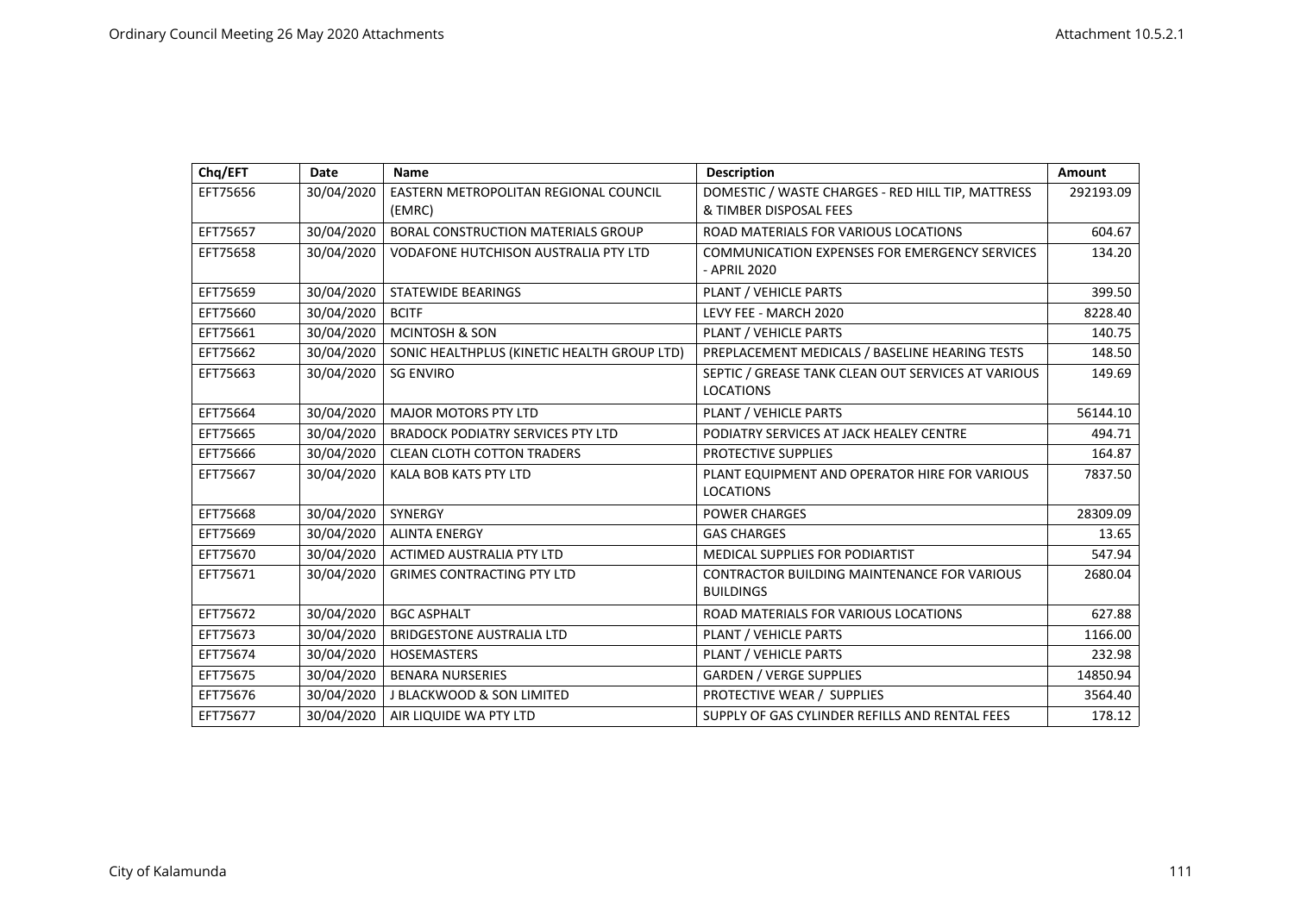| Chq/EFT  | <b>Date</b> | Name                                            | <b>Description</b>                                                          | Amount    |
|----------|-------------|-------------------------------------------------|-----------------------------------------------------------------------------|-----------|
| EFT75656 | 30/04/2020  | EASTERN METROPOLITAN REGIONAL COUNCIL<br>(EMRC) | DOMESTIC / WASTE CHARGES - RED HILL TIP, MATTRESS<br>& TIMBER DISPOSAL FEES | 292193.09 |
| EFT75657 | 30/04/2020  | BORAL CONSTRUCTION MATERIALS GROUP              | ROAD MATERIALS FOR VARIOUS LOCATIONS                                        | 604.67    |
| EFT75658 | 30/04/2020  | <b>VODAFONE HUTCHISON AUSTRALIA PTY LTD</b>     | COMMUNICATION EXPENSES FOR EMERGENCY SERVICES<br>- APRIL 2020               | 134.20    |
| EFT75659 | 30/04/2020  | <b>STATEWIDE BEARINGS</b>                       | PLANT / VEHICLE PARTS                                                       | 399.50    |
| EFT75660 | 30/04/2020  | <b>BCITF</b>                                    | LEVY FEE - MARCH 2020                                                       | 8228.40   |
| EFT75661 | 30/04/2020  | <b>MCINTOSH &amp; SON</b>                       | PLANT / VEHICLE PARTS                                                       | 140.75    |
| EFT75662 | 30/04/2020  | SONIC HEALTHPLUS (KINETIC HEALTH GROUP LTD)     | PREPLACEMENT MEDICALS / BASELINE HEARING TESTS                              | 148.50    |
| EFT75663 | 30/04/2020  | <b>SG ENVIRO</b>                                | SEPTIC / GREASE TANK CLEAN OUT SERVICES AT VARIOUS<br><b>LOCATIONS</b>      | 149.69    |
| EFT75664 | 30/04/2020  | <b>MAJOR MOTORS PTY LTD</b>                     | PLANT / VEHICLE PARTS                                                       | 56144.10  |
| EFT75665 | 30/04/2020  | <b>BRADOCK PODIATRY SERVICES PTY LTD</b>        | PODIATRY SERVICES AT JACK HEALEY CENTRE                                     | 494.71    |
| EFT75666 | 30/04/2020  | <b>CLEAN CLOTH COTTON TRADERS</b>               | PROTECTIVE SUPPLIES                                                         | 164.87    |
| EFT75667 | 30/04/2020  | KALA BOB KATS PTY LTD                           | PLANT EQUIPMENT AND OPERATOR HIRE FOR VARIOUS<br><b>LOCATIONS</b>           | 7837.50   |
| EFT75668 | 30/04/2020  | SYNERGY                                         | <b>POWER CHARGES</b>                                                        | 28309.09  |
| EFT75669 | 30/04/2020  | <b>ALINTA ENERGY</b>                            | <b>GAS CHARGES</b>                                                          | 13.65     |
| EFT75670 | 30/04/2020  | <b>ACTIMED AUSTRALIA PTY LTD</b>                | <b>MEDICAL SUPPLIES FOR PODIARTIST</b>                                      | 547.94    |
| EFT75671 | 30/04/2020  | <b>GRIMES CONTRACTING PTY LTD</b>               | <b>CONTRACTOR BUILDING MAINTENANCE FOR VARIOUS</b><br><b>BUILDINGS</b>      | 2680.04   |
| EFT75672 | 30/04/2020  | <b>BGC ASPHALT</b>                              | ROAD MATERIALS FOR VARIOUS LOCATIONS                                        | 627.88    |
| EFT75673 | 30/04/2020  | <b>BRIDGESTONE AUSTRALIA LTD</b>                | PLANT / VEHICLE PARTS                                                       | 1166.00   |
| EFT75674 | 30/04/2020  | <b>HOSEMASTERS</b>                              | PLANT / VEHICLE PARTS                                                       | 232.98    |
| EFT75675 | 30/04/2020  | <b>BENARA NURSERIES</b>                         | <b>GARDEN / VERGE SUPPLIES</b>                                              | 14850.94  |
| EFT75676 | 30/04/2020  | J BLACKWOOD & SON LIMITED                       | PROTECTIVE WEAR / SUPPLIES                                                  | 3564.40   |
| EFT75677 | 30/04/2020  | AIR LIQUIDE WA PTY LTD                          | SUPPLY OF GAS CYLINDER REFILLS AND RENTAL FEES                              | 178.12    |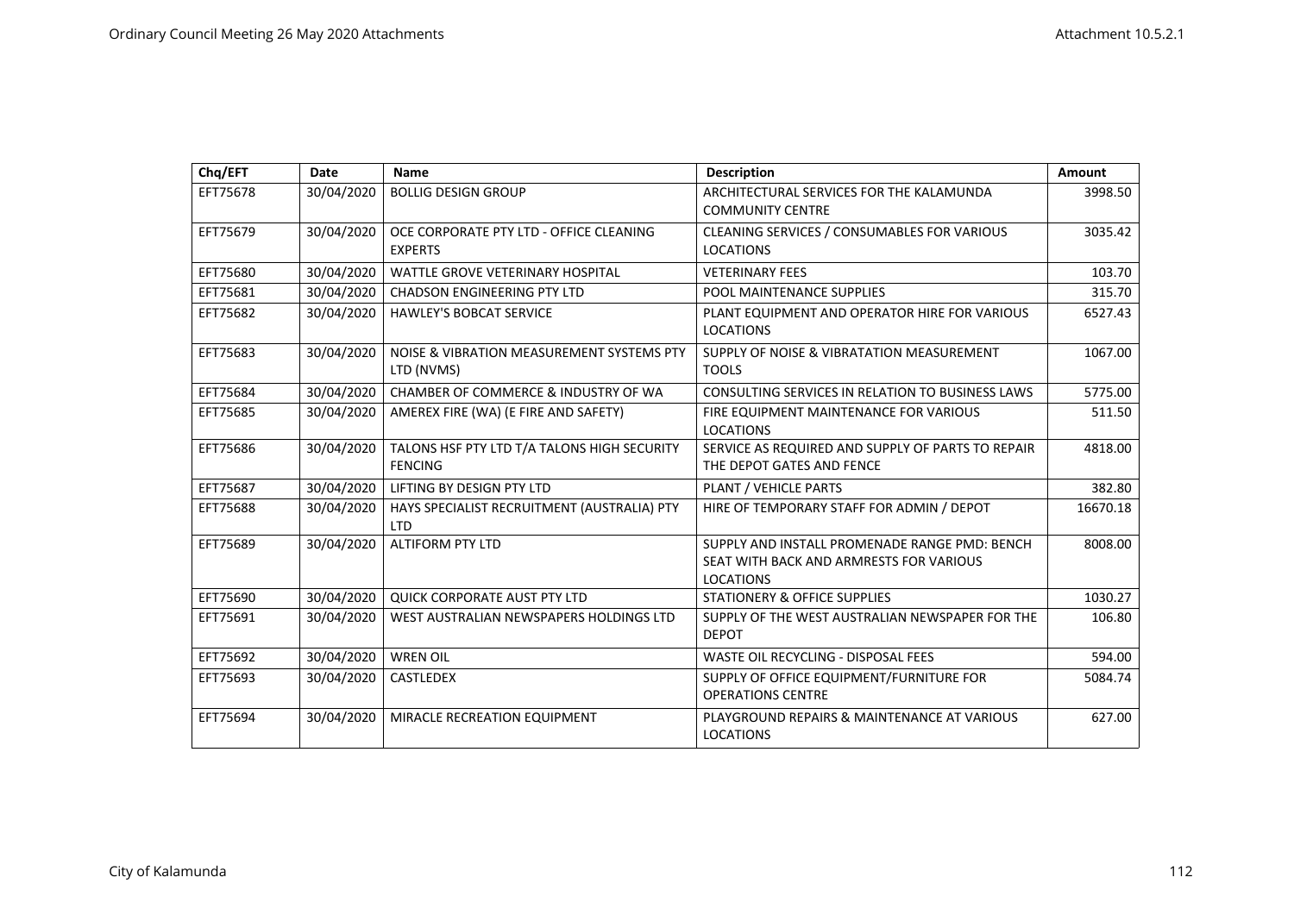| Chq/EFT  | Date       | Name                                                          | <b>Description</b>                                                                                           | Amount   |
|----------|------------|---------------------------------------------------------------|--------------------------------------------------------------------------------------------------------------|----------|
| EFT75678 | 30/04/2020 | <b>BOLLIG DESIGN GROUP</b>                                    | ARCHITECTURAL SERVICES FOR THE KALAMUNDA<br><b>COMMUNITY CENTRE</b>                                          | 3998.50  |
| EFT75679 | 30/04/2020 | OCE CORPORATE PTY LTD - OFFICE CLEANING<br><b>EXPERTS</b>     | CLEANING SERVICES / CONSUMABLES FOR VARIOUS<br><b>LOCATIONS</b>                                              | 3035.42  |
| EFT75680 | 30/04/2020 | WATTLE GROVE VETERINARY HOSPITAL                              | <b>VETERINARY FEES</b>                                                                                       | 103.70   |
| EFT75681 | 30/04/2020 | <b>CHADSON ENGINEERING PTY LTD</b>                            | POOL MAINTENANCE SUPPLIES                                                                                    | 315.70   |
| EFT75682 | 30/04/2020 | <b>HAWLEY'S BOBCAT SERVICE</b>                                | PLANT EQUIPMENT AND OPERATOR HIRE FOR VARIOUS<br><b>LOCATIONS</b>                                            | 6527.43  |
| EFT75683 | 30/04/2020 | NOISE & VIBRATION MEASUREMENT SYSTEMS PTY<br>LTD (NVMS)       | SUPPLY OF NOISE & VIBRATATION MEASUREMENT<br><b>TOOLS</b>                                                    | 1067.00  |
| EFT75684 | 30/04/2020 | CHAMBER OF COMMERCE & INDUSTRY OF WA                          | CONSULTING SERVICES IN RELATION TO BUSINESS LAWS                                                             | 5775.00  |
| EFT75685 | 30/04/2020 | AMEREX FIRE (WA) (E FIRE AND SAFETY)                          | FIRE EQUIPMENT MAINTENANCE FOR VARIOUS<br><b>LOCATIONS</b>                                                   | 511.50   |
| EFT75686 | 30/04/2020 | TALONS HSF PTY LTD T/A TALONS HIGH SECURITY<br><b>FENCING</b> | SERVICE AS REQUIRED AND SUPPLY OF PARTS TO REPAIR<br>THE DEPOT GATES AND FENCE                               | 4818.00  |
| EFT75687 | 30/04/2020 | LIFTING BY DESIGN PTY LTD                                     | PLANT / VEHICLE PARTS                                                                                        | 382.80   |
| EFT75688 | 30/04/2020 | HAYS SPECIALIST RECRUITMENT (AUSTRALIA) PTY<br><b>LTD</b>     | HIRE OF TEMPORARY STAFF FOR ADMIN / DEPOT                                                                    | 16670.18 |
| EFT75689 | 30/04/2020 | <b>ALTIFORM PTY LTD</b>                                       | SUPPLY AND INSTALL PROMENADE RANGE PMD: BENCH<br>SEAT WITH BACK AND ARMRESTS FOR VARIOUS<br><b>LOCATIONS</b> | 8008.00  |
| EFT75690 | 30/04/2020 | QUICK CORPORATE AUST PTY LTD                                  | <b>STATIONERY &amp; OFFICE SUPPLIES</b>                                                                      | 1030.27  |
| EFT75691 | 30/04/2020 | WEST AUSTRALIAN NEWSPAPERS HOLDINGS LTD                       | SUPPLY OF THE WEST AUSTRALIAN NEWSPAPER FOR THE<br><b>DEPOT</b>                                              | 106.80   |
| EFT75692 | 30/04/2020 | <b>WREN OIL</b>                                               | <b>WASTE OIL RECYCLING - DISPOSAL FEES</b>                                                                   | 594.00   |
| EFT75693 | 30/04/2020 | <b>CASTLEDEX</b>                                              | SUPPLY OF OFFICE EQUIPMENT/FURNITURE FOR<br><b>OPERATIONS CENTRE</b>                                         | 5084.74  |
| EFT75694 | 30/04/2020 | MIRACLE RECREATION EQUIPMENT                                  | PLAYGROUND REPAIRS & MAINTENANCE AT VARIOUS<br><b>LOCATIONS</b>                                              | 627.00   |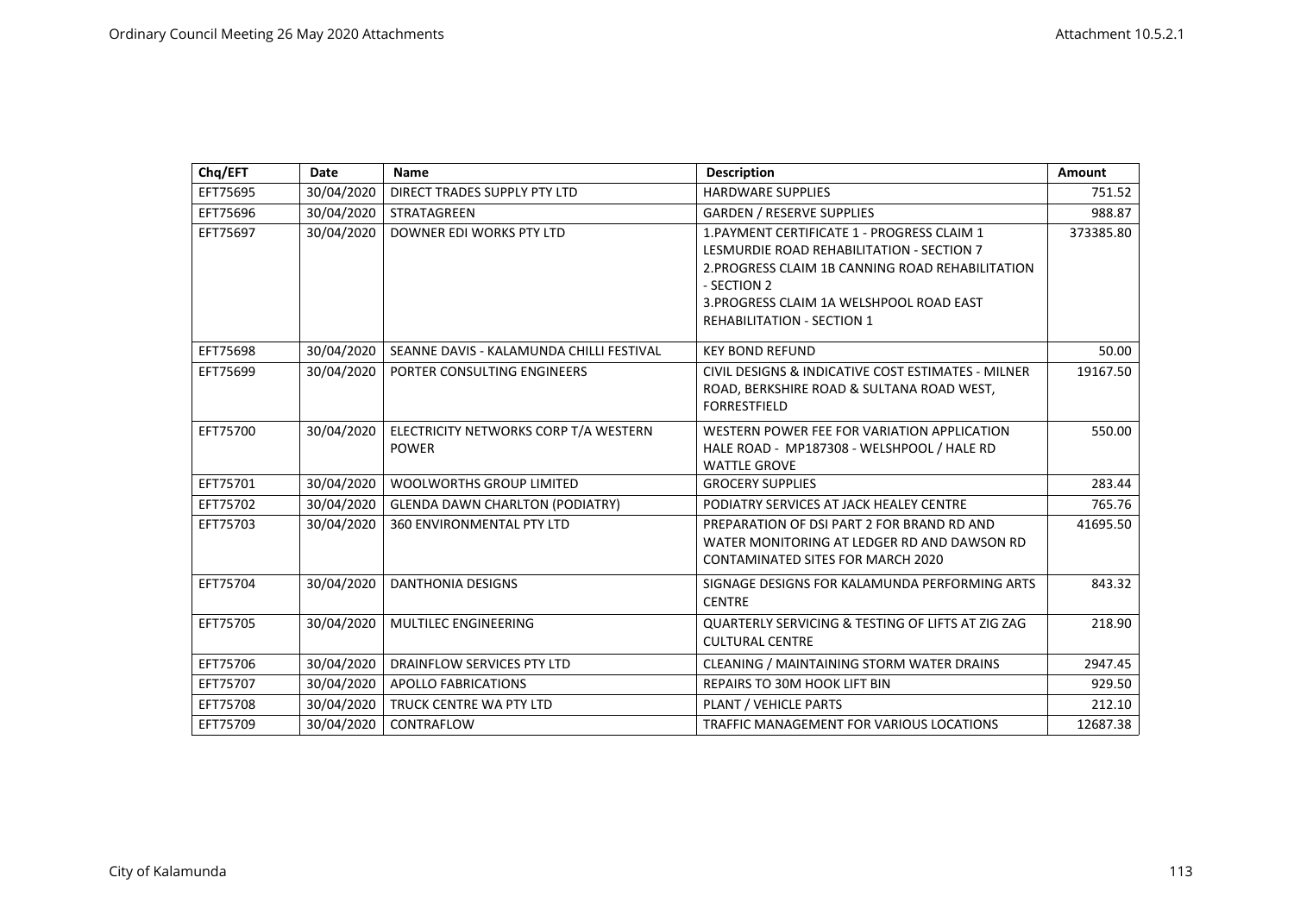| Chq/EFT  | <b>Date</b> | Name                                                  | <b>Description</b>                                                                                                                                                                                                                           | Amount    |
|----------|-------------|-------------------------------------------------------|----------------------------------------------------------------------------------------------------------------------------------------------------------------------------------------------------------------------------------------------|-----------|
| EFT75695 | 30/04/2020  | DIRECT TRADES SUPPLY PTY LTD                          | <b>HARDWARE SUPPLIES</b>                                                                                                                                                                                                                     | 751.52    |
| EFT75696 | 30/04/2020  | <b>STRATAGREEN</b>                                    | <b>GARDEN / RESERVE SUPPLIES</b>                                                                                                                                                                                                             | 988.87    |
| EFT75697 | 30/04/2020  | DOWNER EDI WORKS PTY LTD                              | 1. PAYMENT CERTIFICATE 1 - PROGRESS CLAIM 1<br>LESMURDIE ROAD REHABILITATION - SECTION 7<br>2. PROGRESS CLAIM 1B CANNING ROAD REHABILITATION<br>- SECTION 2<br>3. PROGRESS CLAIM 1A WELSHPOOL ROAD EAST<br><b>REHABILITATION - SECTION 1</b> | 373385.80 |
| EFT75698 | 30/04/2020  | SEANNE DAVIS - KALAMUNDA CHILLI FESTIVAL              | <b>KEY BOND REFUND</b>                                                                                                                                                                                                                       | 50.00     |
| EFT75699 | 30/04/2020  | PORTER CONSULTING ENGINEERS                           | CIVIL DESIGNS & INDICATIVE COST ESTIMATES - MILNER<br>ROAD, BERKSHIRE ROAD & SULTANA ROAD WEST,<br><b>FORRESTFIELD</b>                                                                                                                       | 19167.50  |
| EFT75700 | 30/04/2020  | ELECTRICITY NETWORKS CORP T/A WESTERN<br><b>POWER</b> | WESTERN POWER FEE FOR VARIATION APPLICATION<br>HALE ROAD - MP187308 - WELSHPOOL / HALE RD<br><b>WATTLE GROVE</b>                                                                                                                             | 550.00    |
| EFT75701 | 30/04/2020  | <b>WOOLWORTHS GROUP LIMITED</b>                       | <b>GROCERY SUPPLIES</b>                                                                                                                                                                                                                      | 283.44    |
| EFT75702 | 30/04/2020  | <b>GLENDA DAWN CHARLTON (PODIATRY)</b>                | PODIATRY SERVICES AT JACK HEALEY CENTRE                                                                                                                                                                                                      | 765.76    |
| EFT75703 | 30/04/2020  | 360 ENVIRONMENTAL PTY LTD                             | PREPARATION OF DSI PART 2 FOR BRAND RD AND<br>WATER MONITORING AT LEDGER RD AND DAWSON RD<br><b>CONTAMINATED SITES FOR MARCH 2020</b>                                                                                                        | 41695.50  |
| EFT75704 | 30/04/2020  | <b>DANTHONIA DESIGNS</b>                              | SIGNAGE DESIGNS FOR KALAMUNDA PERFORMING ARTS<br><b>CENTRE</b>                                                                                                                                                                               | 843.32    |
| EFT75705 | 30/04/2020  | <b>MULTILEC ENGINEERING</b>                           | QUARTERLY SERVICING & TESTING OF LIFTS AT ZIG ZAG<br><b>CULTURAL CENTRE</b>                                                                                                                                                                  | 218.90    |
| EFT75706 | 30/04/2020  | DRAINFLOW SERVICES PTY LTD                            | CLEANING / MAINTAINING STORM WATER DRAINS                                                                                                                                                                                                    | 2947.45   |
| EFT75707 | 30/04/2020  | <b>APOLLO FABRICATIONS</b>                            | <b>REPAIRS TO 30M HOOK LIFT BIN</b>                                                                                                                                                                                                          | 929.50    |
| EFT75708 | 30/04/2020  | TRUCK CENTRE WA PTY LTD                               | PLANT / VEHICLE PARTS                                                                                                                                                                                                                        | 212.10    |
| EFT75709 | 30/04/2020  | CONTRAFLOW                                            | TRAFFIC MANAGEMENT FOR VARIOUS LOCATIONS                                                                                                                                                                                                     | 12687.38  |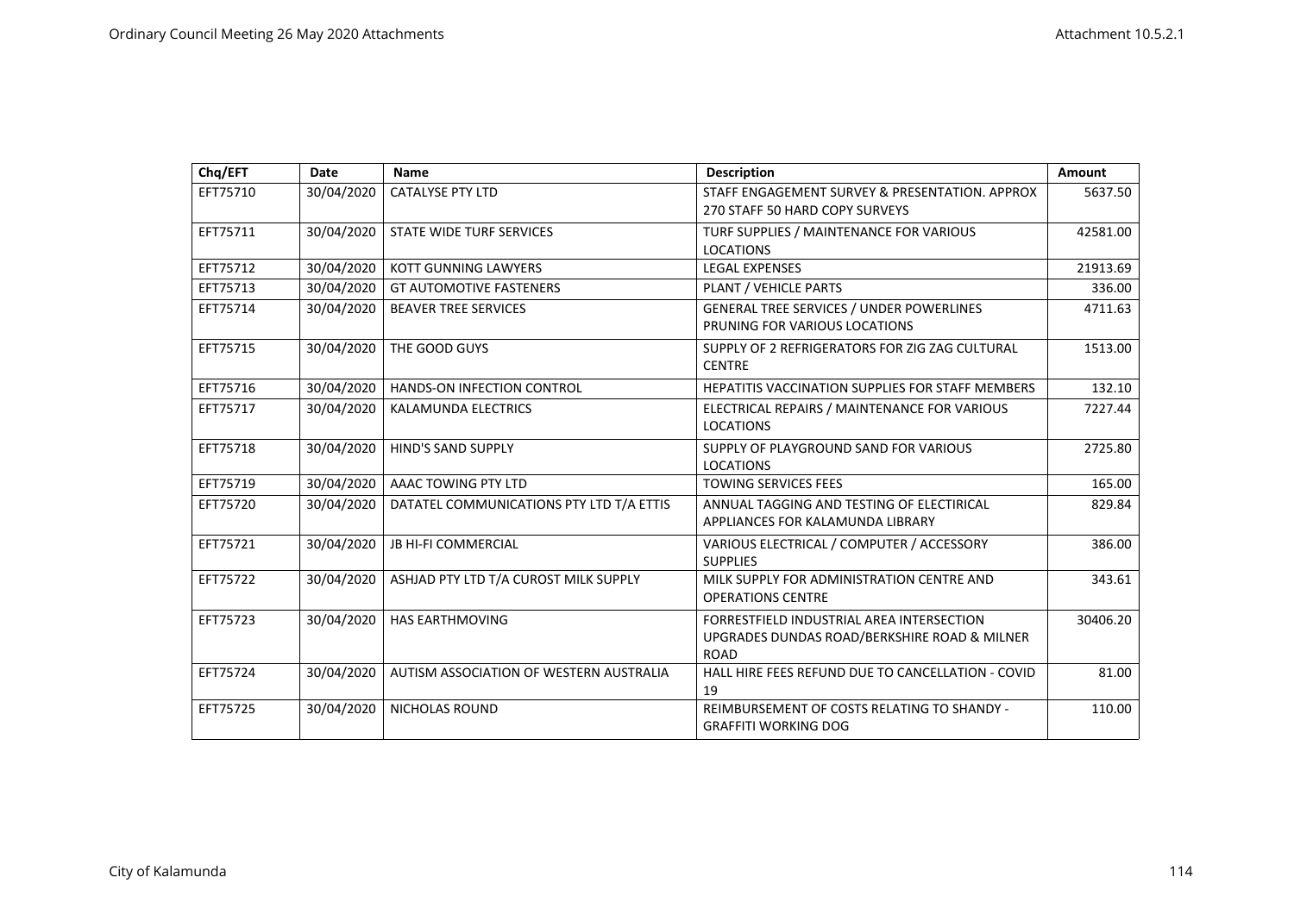| Chq/EFT  | Date       | <b>Name</b>                              | <b>Description</b>                                                                                       | Amount   |
|----------|------------|------------------------------------------|----------------------------------------------------------------------------------------------------------|----------|
| EFT75710 | 30/04/2020 | <b>CATALYSE PTY LTD</b>                  | STAFF ENGAGEMENT SURVEY & PRESENTATION. APPROX<br>270 STAFF 50 HARD COPY SURVEYS                         | 5637.50  |
| EFT75711 | 30/04/2020 | STATE WIDE TURF SERVICES                 | TURF SUPPLIES / MAINTENANCE FOR VARIOUS<br><b>LOCATIONS</b>                                              | 42581.00 |
| EFT75712 | 30/04/2020 | <b>KOTT GUNNING LAWYERS</b>              | <b>LEGAL EXPENSES</b>                                                                                    | 21913.69 |
| EFT75713 | 30/04/2020 | <b>GT AUTOMOTIVE FASTENERS</b>           | PLANT / VEHICLE PARTS                                                                                    | 336.00   |
| EFT75714 | 30/04/2020 | <b>BEAVER TREE SERVICES</b>              | <b>GENERAL TREE SERVICES / UNDER POWERLINES</b><br>PRUNING FOR VARIOUS LOCATIONS                         | 4711.63  |
| EFT75715 | 30/04/2020 | THE GOOD GUYS                            | SUPPLY OF 2 REFRIGERATORS FOR ZIG ZAG CULTURAL<br><b>CENTRE</b>                                          | 1513.00  |
| EFT75716 | 30/04/2020 | HANDS-ON INFECTION CONTROL               | HEPATITIS VACCINATION SUPPLIES FOR STAFF MEMBERS                                                         | 132.10   |
| EFT75717 | 30/04/2020 | KALAMUNDA ELECTRICS                      | ELECTRICAL REPAIRS / MAINTENANCE FOR VARIOUS<br><b>LOCATIONS</b>                                         | 7227.44  |
| EFT75718 | 30/04/2020 | HIND'S SAND SUPPLY                       | SUPPLY OF PLAYGROUND SAND FOR VARIOUS<br><b>LOCATIONS</b>                                                | 2725.80  |
| EFT75719 | 30/04/2020 | AAAC TOWING PTY LTD                      | <b>TOWING SERVICES FEES</b>                                                                              | 165.00   |
| EFT75720 | 30/04/2020 | DATATEL COMMUNICATIONS PTY LTD T/A ETTIS | ANNUAL TAGGING AND TESTING OF ELECTIRICAL<br>APPLIANCES FOR KALAMUNDA LIBRARY                            | 829.84   |
| EFT75721 | 30/04/2020 | <b>JB HI-FI COMMERCIAL</b>               | VARIOUS ELECTRICAL / COMPUTER / ACCESSORY<br><b>SUPPLIES</b>                                             | 386.00   |
| EFT75722 | 30/04/2020 | ASHJAD PTY LTD T/A CUROST MILK SUPPLY    | MILK SUPPLY FOR ADMINISTRATION CENTRE AND<br><b>OPERATIONS CENTRE</b>                                    | 343.61   |
| EFT75723 | 30/04/2020 | HAS EARTHMOVING                          | FORRESTFIELD INDUSTRIAL AREA INTERSECTION<br>UPGRADES DUNDAS ROAD/BERKSHIRE ROAD & MILNER<br><b>ROAD</b> | 30406.20 |
| EFT75724 | 30/04/2020 | AUTISM ASSOCIATION OF WESTERN AUSTRALIA  | HALL HIRE FEES REFUND DUE TO CANCELLATION - COVID<br>19                                                  | 81.00    |
| EFT75725 | 30/04/2020 | <b>NICHOLAS ROUND</b>                    | REIMBURSEMENT OF COSTS RELATING TO SHANDY -<br><b>GRAFFITI WORKING DOG</b>                               | 110.00   |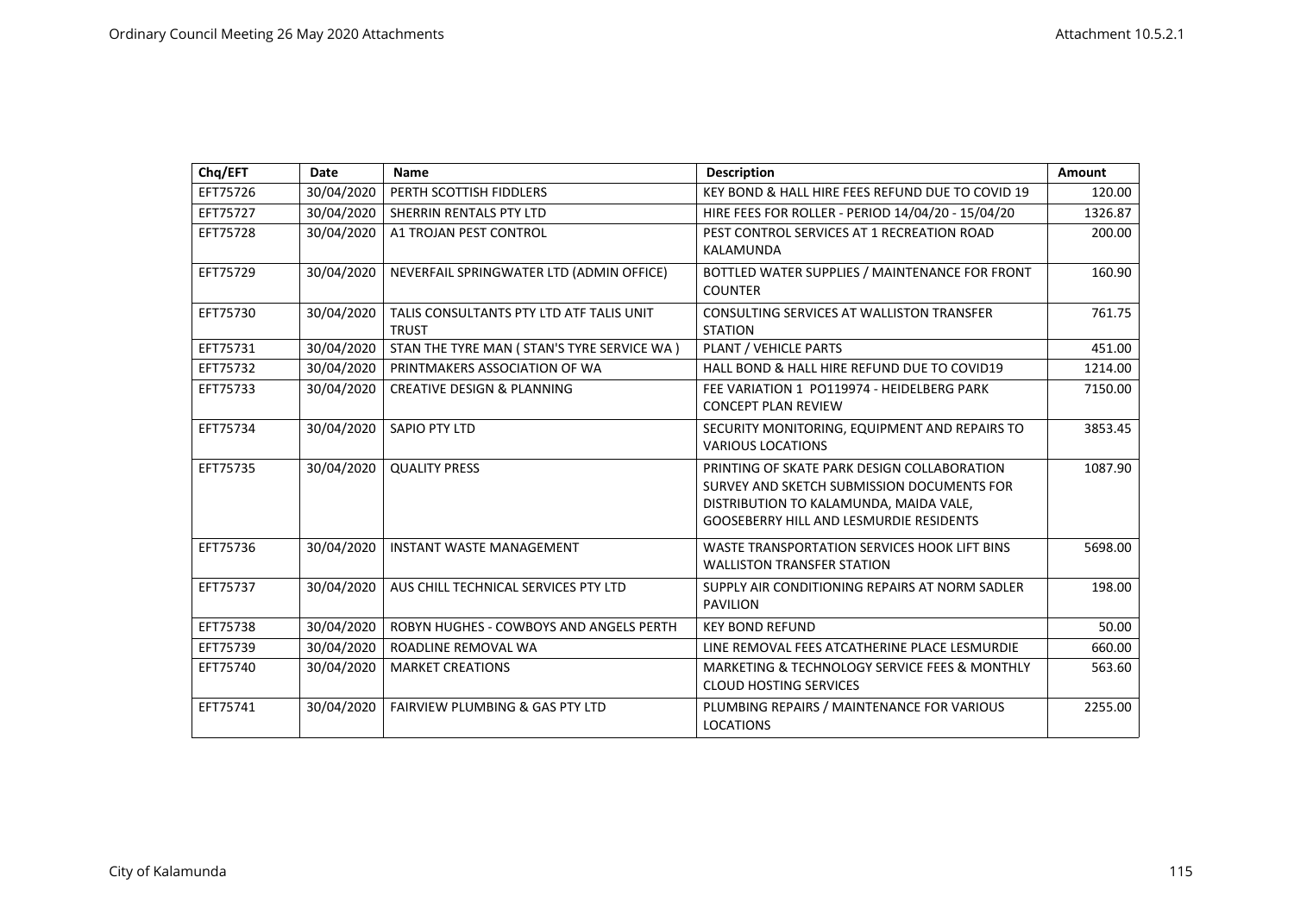| Chq/EFT  | Date       | <b>Name</b>                                              | <b>Description</b>                                                                                                                                                                    | Amount  |
|----------|------------|----------------------------------------------------------|---------------------------------------------------------------------------------------------------------------------------------------------------------------------------------------|---------|
| EFT75726 | 30/04/2020 | PERTH SCOTTISH FIDDLERS                                  | KEY BOND & HALL HIRE FEES REFUND DUE TO COVID 19                                                                                                                                      | 120.00  |
| EFT75727 | 30/04/2020 | SHERRIN RENTALS PTY LTD                                  | HIRE FEES FOR ROLLER - PERIOD 14/04/20 - 15/04/20                                                                                                                                     | 1326.87 |
| EFT75728 | 30/04/2020 | A1 TROJAN PEST CONTROL                                   | PEST CONTROL SERVICES AT 1 RECREATION ROAD<br>KALAMUNDA                                                                                                                               | 200.00  |
| EFT75729 | 30/04/2020 | NEVERFAIL SPRINGWATER LTD (ADMIN OFFICE)                 | BOTTLED WATER SUPPLIES / MAINTENANCE FOR FRONT<br><b>COUNTER</b>                                                                                                                      | 160.90  |
| EFT75730 | 30/04/2020 | TALIS CONSULTANTS PTY LTD ATF TALIS UNIT<br><b>TRUST</b> | <b>CONSULTING SERVICES AT WALLISTON TRANSFER</b><br><b>STATION</b>                                                                                                                    | 761.75  |
| EFT75731 | 30/04/2020 | STAN THE TYRE MAN ( STAN'S TYRE SERVICE WA )             | PLANT / VEHICLE PARTS                                                                                                                                                                 | 451.00  |
| EFT75732 | 30/04/2020 | PRINTMAKERS ASSOCIATION OF WA                            | HALL BOND & HALL HIRE REFUND DUE TO COVID19                                                                                                                                           | 1214.00 |
| EFT75733 | 30/04/2020 | <b>CREATIVE DESIGN &amp; PLANNING</b>                    | FEE VARIATION 1 PO119974 - HEIDELBERG PARK<br><b>CONCEPT PLAN REVIEW</b>                                                                                                              | 7150.00 |
| EFT75734 | 30/04/2020 | <b>SAPIO PTY LTD</b>                                     | SECURITY MONITORING, EQUIPMENT AND REPAIRS TO<br><b>VARIOUS LOCATIONS</b>                                                                                                             | 3853.45 |
| EFT75735 | 30/04/2020 | <b>QUALITY PRESS</b>                                     | PRINTING OF SKATE PARK DESIGN COLLABORATION<br>SURVEY AND SKETCH SUBMISSION DOCUMENTS FOR<br>DISTRIBUTION TO KALAMUNDA, MAIDA VALE,<br><b>GOOSEBERRY HILL AND LESMURDIE RESIDENTS</b> | 1087.90 |
| EFT75736 | 30/04/2020 | <b>INSTANT WASTE MANAGEMENT</b>                          | WASTE TRANSPORTATION SERVICES HOOK LIFT BINS<br><b>WALLISTON TRANSFER STATION</b>                                                                                                     | 5698.00 |
| EFT75737 | 30/04/2020 | AUS CHILL TECHNICAL SERVICES PTY LTD                     | SUPPLY AIR CONDITIONING REPAIRS AT NORM SADLER<br><b>PAVILION</b>                                                                                                                     | 198.00  |
| EFT75738 | 30/04/2020 | ROBYN HUGHES - COWBOYS AND ANGELS PERTH                  | <b>KEY BOND REFUND</b>                                                                                                                                                                | 50.00   |
| EFT75739 | 30/04/2020 | ROADLINE REMOVAL WA                                      | LINE REMOVAL FEES ATCATHERINE PLACE LESMURDIE                                                                                                                                         | 660.00  |
| EFT75740 | 30/04/2020 | <b>MARKET CREATIONS</b>                                  | MARKETING & TECHNOLOGY SERVICE FEES & MONTHLY<br><b>CLOUD HOSTING SERVICES</b>                                                                                                        | 563.60  |
| EFT75741 | 30/04/2020 | <b>FAIRVIEW PLUMBING &amp; GAS PTY LTD</b>               | PLUMBING REPAIRS / MAINTENANCE FOR VARIOUS<br><b>LOCATIONS</b>                                                                                                                        | 2255.00 |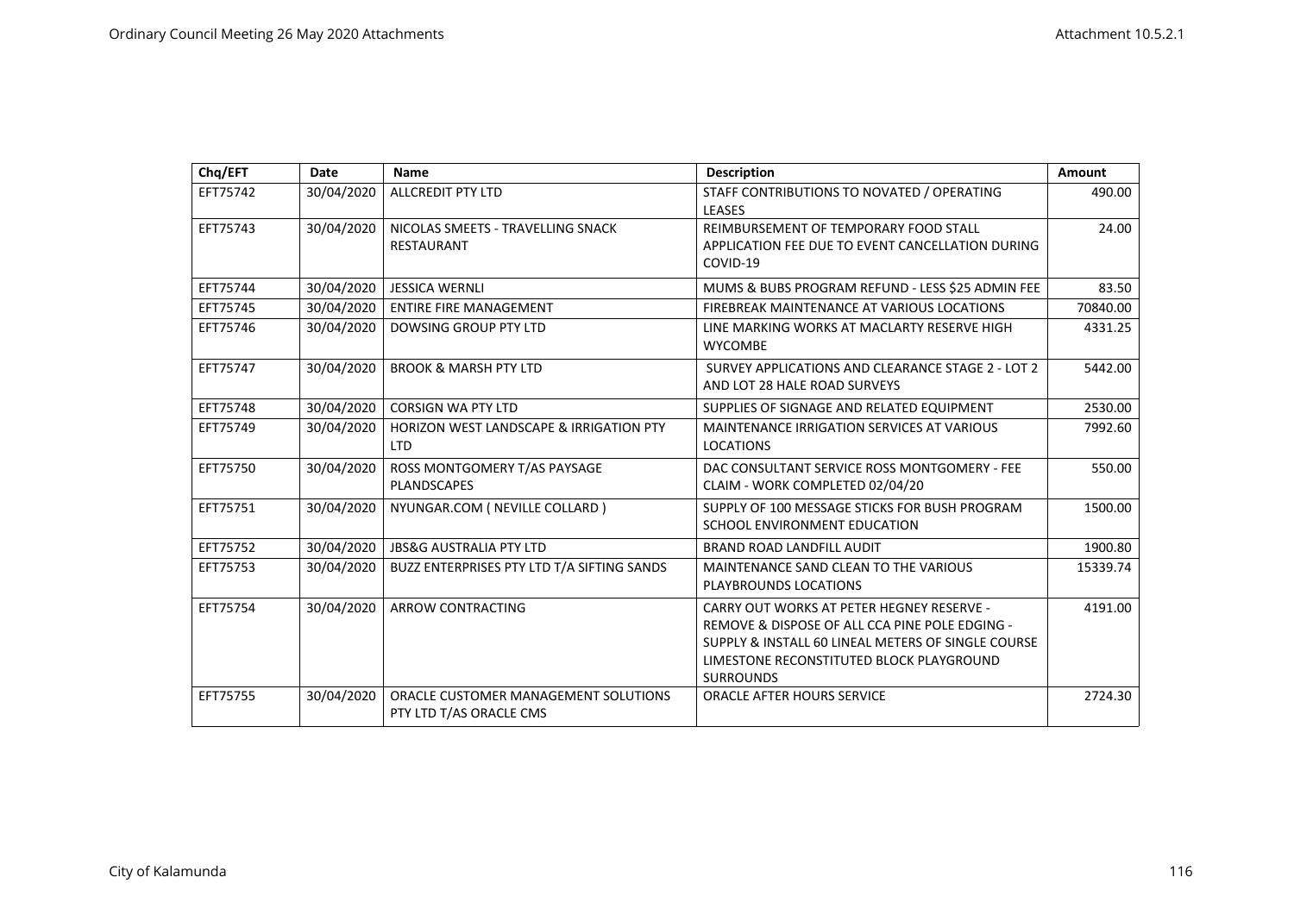| Chq/EFT  | <b>Date</b> | <b>Name</b>                                                      | Description                                                                                                                                                                                                              | Amount   |
|----------|-------------|------------------------------------------------------------------|--------------------------------------------------------------------------------------------------------------------------------------------------------------------------------------------------------------------------|----------|
| EFT75742 | 30/04/2020  | <b>ALLCREDIT PTY LTD</b>                                         | STAFF CONTRIBUTIONS TO NOVATED / OPERATING<br><b>LEASES</b>                                                                                                                                                              | 490.00   |
| EFT75743 | 30/04/2020  | NICOLAS SMEETS - TRAVELLING SNACK<br><b>RESTAURANT</b>           | REIMBURSEMENT OF TEMPORARY FOOD STALL<br>APPLICATION FEE DUE TO EVENT CANCELLATION DURING<br>COVID-19                                                                                                                    | 24.00    |
| EFT75744 | 30/04/2020  | <b>JESSICA WERNLI</b>                                            | MUMS & BUBS PROGRAM REFUND - LESS \$25 ADMIN FEE                                                                                                                                                                         | 83.50    |
| EFT75745 | 30/04/2020  | <b>ENTIRE FIRE MANAGEMENT</b>                                    | FIREBREAK MAINTENANCE AT VARIOUS LOCATIONS                                                                                                                                                                               | 70840.00 |
| EFT75746 | 30/04/2020  | <b>DOWSING GROUP PTY LTD</b>                                     | LINE MARKING WORKS AT MACLARTY RESERVE HIGH<br><b>WYCOMBE</b>                                                                                                                                                            | 4331.25  |
| EFT75747 | 30/04/2020  | <b>BROOK &amp; MARSH PTY LTD</b>                                 | SURVEY APPLICATIONS AND CLEARANCE STAGE 2 - LOT 2<br>AND LOT 28 HALE ROAD SURVEYS                                                                                                                                        | 5442.00  |
| EFT75748 | 30/04/2020  | <b>CORSIGN WA PTY LTD</b>                                        | SUPPLIES OF SIGNAGE AND RELATED EQUIPMENT                                                                                                                                                                                | 2530.00  |
| EFT75749 | 30/04/2020  | <b>HORIZON WEST LANDSCAPE &amp; IRRIGATION PTY</b><br><b>LTD</b> | <b>MAINTENANCE IRRIGATION SERVICES AT VARIOUS</b><br><b>LOCATIONS</b>                                                                                                                                                    | 7992.60  |
| EFT75750 | 30/04/2020  | ROSS MONTGOMERY T/AS PAYSAGE<br><b>PLANDSCAPES</b>               | DAC CONSULTANT SERVICE ROSS MONTGOMERY - FEE<br>CLAIM - WORK COMPLETED 02/04/20                                                                                                                                          | 550.00   |
| EFT75751 | 30/04/2020  | NYUNGAR.COM ( NEVILLE COLLARD )                                  | SUPPLY OF 100 MESSAGE STICKS FOR BUSH PROGRAM<br>SCHOOL ENVIRONMENT EDUCATION                                                                                                                                            | 1500.00  |
| EFT75752 | 30/04/2020  | <b>JBS&amp;G AUSTRALIA PTY LTD</b>                               | <b>BRAND ROAD LANDFILL AUDIT</b>                                                                                                                                                                                         | 1900.80  |
| EFT75753 | 30/04/2020  | BUZZ ENTERPRISES PTY LTD T/A SIFTING SANDS                       | MAINTENANCE SAND CLEAN TO THE VARIOUS<br>PLAYBROUNDS LOCATIONS                                                                                                                                                           | 15339.74 |
| EFT75754 | 30/04/2020  | ARROW CONTRACTING                                                | <b>CARRY OUT WORKS AT PETER HEGNEY RESERVE -</b><br>REMOVE & DISPOSE OF ALL CCA PINE POLE EDGING -<br>SUPPLY & INSTALL 60 LINEAL METERS OF SINGLE COURSE<br>LIMESTONE RECONSTITUTED BLOCK PLAYGROUND<br><b>SURROUNDS</b> | 4191.00  |
| EFT75755 | 30/04/2020  | ORACLE CUSTOMER MANAGEMENT SOLUTIONS<br>PTY LTD T/AS ORACLE CMS  | <b>ORACLE AFTER HOURS SERVICE</b>                                                                                                                                                                                        | 2724.30  |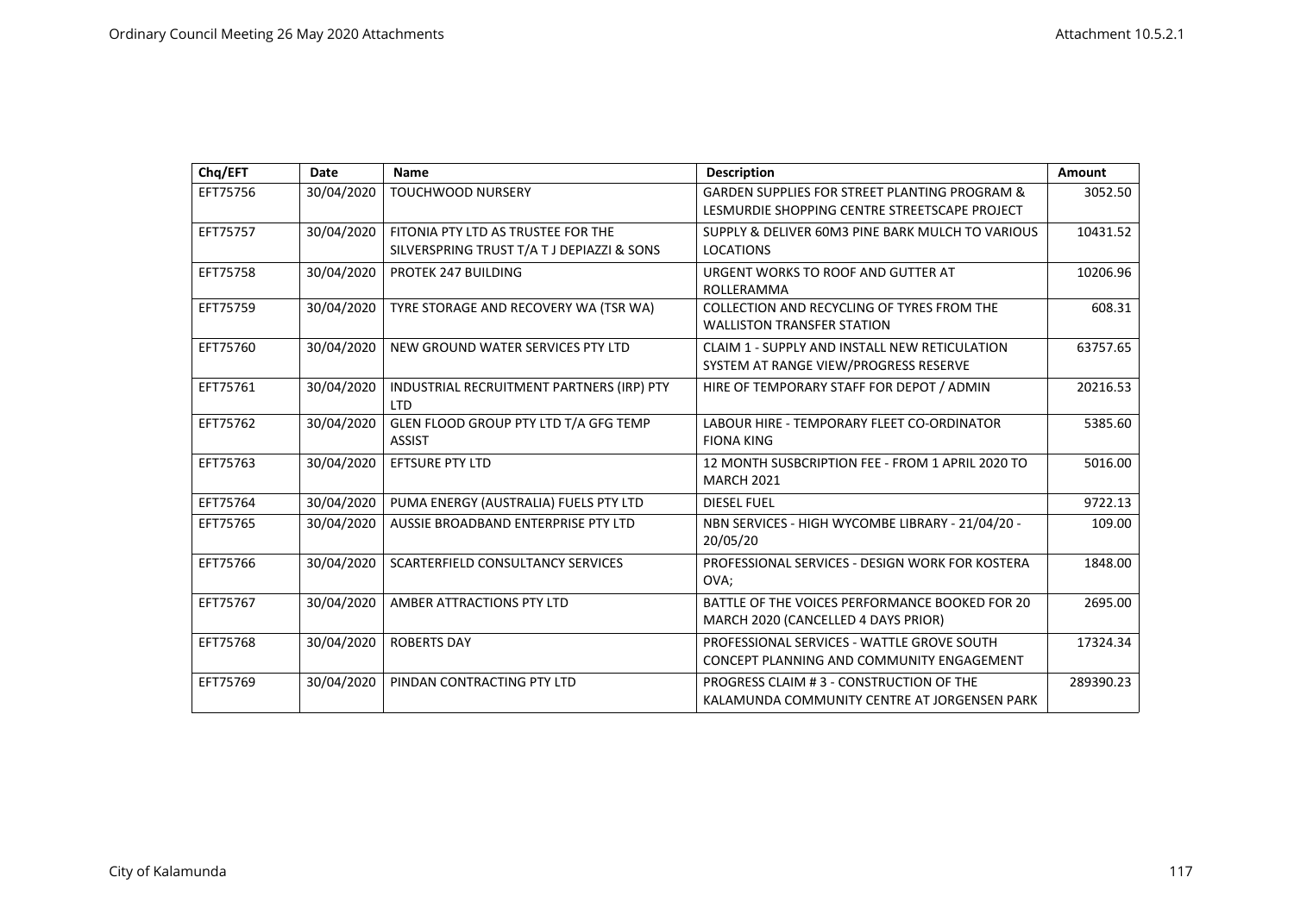| Chq/EFT  | Date       | Name                                                                             | <b>Description</b>                                                                                        | Amount    |
|----------|------------|----------------------------------------------------------------------------------|-----------------------------------------------------------------------------------------------------------|-----------|
| EFT75756 | 30/04/2020 | TOUCHWOOD NURSERY                                                                | <b>GARDEN SUPPLIES FOR STREET PLANTING PROGRAM &amp;</b><br>LESMURDIE SHOPPING CENTRE STREETSCAPE PROJECT | 3052.50   |
| EFT75757 | 30/04/2020 | FITONIA PTY LTD AS TRUSTEE FOR THE<br>SILVERSPRING TRUST T/A T J DEPIAZZI & SONS | SUPPLY & DELIVER 60M3 PINE BARK MULCH TO VARIOUS<br><b>LOCATIONS</b>                                      | 10431.52  |
| EFT75758 | 30/04/2020 | PROTEK 247 BUILDING                                                              | URGENT WORKS TO ROOF AND GUTTER AT<br>ROLLERAMMA                                                          | 10206.96  |
| EFT75759 | 30/04/2020 | TYRE STORAGE AND RECOVERY WA (TSR WA)                                            | COLLECTION AND RECYCLING OF TYRES FROM THE<br><b>WALLISTON TRANSFER STATION</b>                           | 608.31    |
| EFT75760 | 30/04/2020 | NEW GROUND WATER SERVICES PTY LTD                                                | CLAIM 1 - SUPPLY AND INSTALL NEW RETICULATION<br>SYSTEM AT RANGE VIEW/PROGRESS RESERVE                    | 63757.65  |
| EFT75761 | 30/04/2020 | INDUSTRIAL RECRUITMENT PARTNERS (IRP) PTY<br><b>LTD</b>                          | HIRE OF TEMPORARY STAFF FOR DEPOT / ADMIN                                                                 | 20216.53  |
| EFT75762 | 30/04/2020 | GLEN FLOOD GROUP PTY LTD T/A GFG TEMP<br><b>ASSIST</b>                           | LABOUR HIRE - TEMPORARY FLEET CO-ORDINATOR<br><b>FIONA KING</b>                                           | 5385.60   |
| EFT75763 | 30/04/2020 | <b>EFTSURE PTY LTD</b>                                                           | 12 MONTH SUSBCRIPTION FEE - FROM 1 APRIL 2020 TO<br><b>MARCH 2021</b>                                     | 5016.00   |
| EFT75764 | 30/04/2020 | PUMA ENERGY (AUSTRALIA) FUELS PTY LTD                                            | <b>DIESEL FUEL</b>                                                                                        | 9722.13   |
| EFT75765 | 30/04/2020 | AUSSIE BROADBAND ENTERPRISE PTY LTD                                              | NBN SERVICES - HIGH WYCOMBE LIBRARY - 21/04/20 -<br>20/05/20                                              | 109.00    |
| EFT75766 | 30/04/2020 | SCARTERFIELD CONSULTANCY SERVICES                                                | PROFESSIONAL SERVICES - DESIGN WORK FOR KOSTERA<br>OVA;                                                   | 1848.00   |
| EFT75767 | 30/04/2020 | AMBER ATTRACTIONS PTY LTD                                                        | BATTLE OF THE VOICES PERFORMANCE BOOKED FOR 20<br>MARCH 2020 (CANCELLED 4 DAYS PRIOR)                     | 2695.00   |
| EFT75768 | 30/04/2020 | <b>ROBERTS DAY</b>                                                               | PROFESSIONAL SERVICES - WATTLE GROVE SOUTH<br>CONCEPT PLANNING AND COMMUNITY ENGAGEMENT                   | 17324.34  |
| EFT75769 | 30/04/2020 | PINDAN CONTRACTING PTY LTD                                                       | PROGRESS CLAIM #3 - CONSTRUCTION OF THE<br>KALAMUNDA COMMUNITY CENTRE AT JORGENSEN PARK                   | 289390.23 |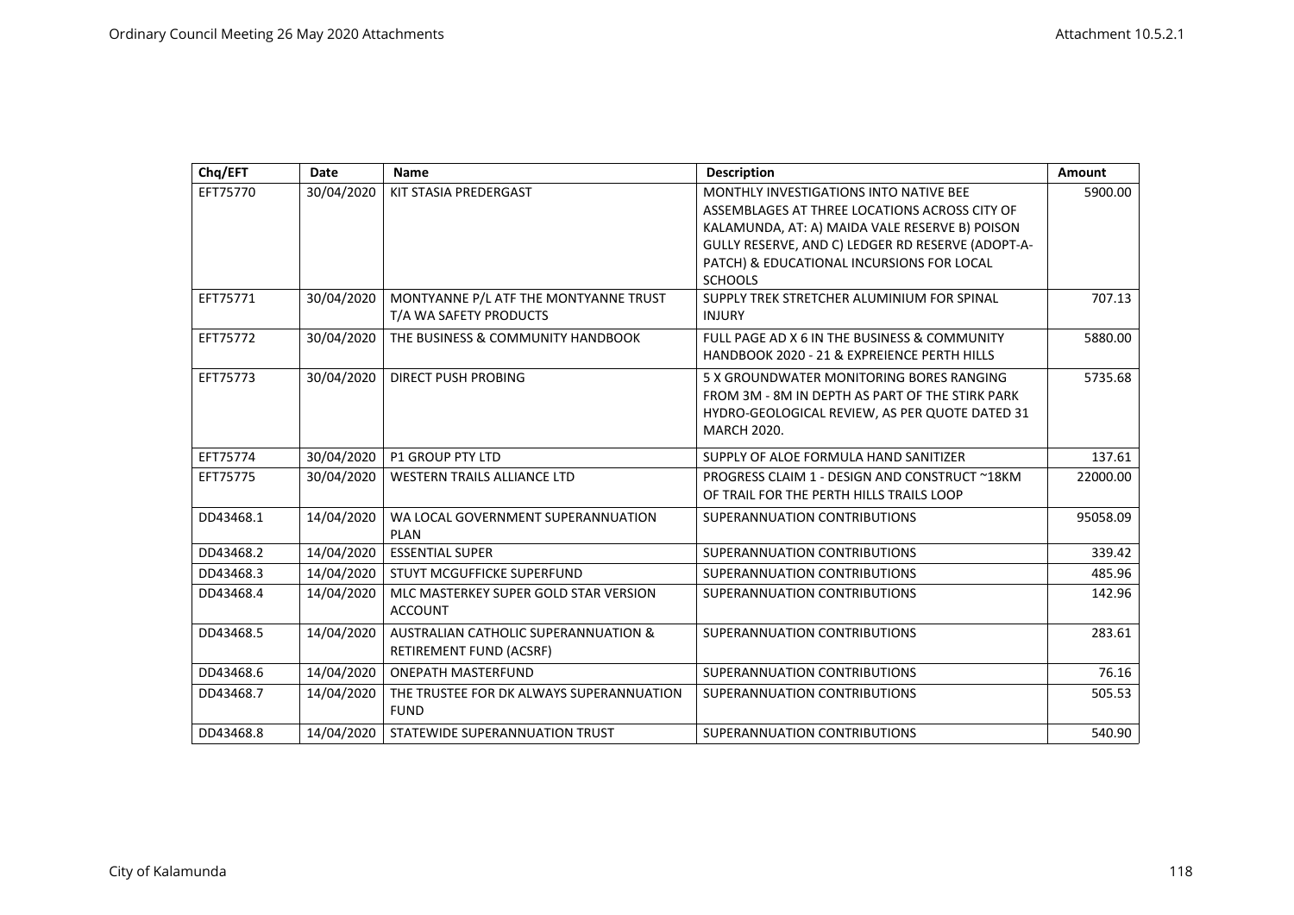| Chq/EFT   | Date       | Name                                                                              | <b>Description</b>                                                                                                                                                                                                                                            | Amount   |
|-----------|------------|-----------------------------------------------------------------------------------|---------------------------------------------------------------------------------------------------------------------------------------------------------------------------------------------------------------------------------------------------------------|----------|
| EFT75770  | 30/04/2020 | KIT STASIA PREDERGAST                                                             | MONTHLY INVESTIGATIONS INTO NATIVE BEE<br>ASSEMBLAGES AT THREE LOCATIONS ACROSS CITY OF<br>KALAMUNDA, AT: A) MAIDA VALE RESERVE B) POISON<br>GULLY RESERVE, AND C) LEDGER RD RESERVE (ADOPT-A-<br>PATCH) & EDUCATIONAL INCURSIONS FOR LOCAL<br><b>SCHOOLS</b> | 5900.00  |
| EFT75771  | 30/04/2020 | MONTYANNE P/L ATF THE MONTYANNE TRUST<br>T/A WA SAFETY PRODUCTS                   | SUPPLY TREK STRETCHER ALUMINIUM FOR SPINAL<br><b>INJURY</b>                                                                                                                                                                                                   | 707.13   |
| EFT75772  | 30/04/2020 | THE BUSINESS & COMMUNITY HANDBOOK                                                 | FULL PAGE AD X 6 IN THE BUSINESS & COMMUNITY<br>HANDBOOK 2020 - 21 & EXPREIENCE PERTH HILLS                                                                                                                                                                   | 5880.00  |
| EFT75773  | 30/04/2020 | <b>DIRECT PUSH PROBING</b>                                                        | 5 X GROUNDWATER MONITORING BORES RANGING<br>FROM 3M - 8M IN DEPTH AS PART OF THE STIRK PARK<br>HYDRO-GEOLOGICAL REVIEW, AS PER QUOTE DATED 31<br><b>MARCH 2020.</b>                                                                                           | 5735.68  |
| EFT75774  | 30/04/2020 | <b>P1 GROUP PTY LTD</b>                                                           | SUPPLY OF ALOE FORMULA HAND SANITIZER                                                                                                                                                                                                                         | 137.61   |
| EFT75775  | 30/04/2020 | <b>WESTERN TRAILS ALLIANCE LTD</b>                                                | PROGRESS CLAIM 1 - DESIGN AND CONSTRUCT ~18KM<br>OF TRAIL FOR THE PERTH HILLS TRAILS LOOP                                                                                                                                                                     | 22000.00 |
| DD43468.1 | 14/04/2020 | WA LOCAL GOVERNMENT SUPERANNUATION<br>PLAN                                        | SUPERANNUATION CONTRIBUTIONS                                                                                                                                                                                                                                  | 95058.09 |
| DD43468.2 | 14/04/2020 | <b>ESSENTIAL SUPER</b>                                                            | SUPERANNUATION CONTRIBUTIONS                                                                                                                                                                                                                                  | 339.42   |
| DD43468.3 | 14/04/2020 | STUYT MCGUFFICKE SUPERFUND                                                        | SUPERANNUATION CONTRIBUTIONS                                                                                                                                                                                                                                  | 485.96   |
| DD43468.4 | 14/04/2020 | MLC MASTERKEY SUPER GOLD STAR VERSION<br><b>ACCOUNT</b>                           | SUPERANNUATION CONTRIBUTIONS                                                                                                                                                                                                                                  | 142.96   |
| DD43468.5 | 14/04/2020 | <b>AUSTRALIAN CATHOLIC SUPERANNUATION &amp;</b><br><b>RETIREMENT FUND (ACSRF)</b> | SUPERANNUATION CONTRIBUTIONS                                                                                                                                                                                                                                  | 283.61   |
| DD43468.6 | 14/04/2020 | <b>ONEPATH MASTERFUND</b>                                                         | SUPERANNUATION CONTRIBUTIONS                                                                                                                                                                                                                                  | 76.16    |
| DD43468.7 | 14/04/2020 | THE TRUSTEE FOR DK ALWAYS SUPERANNUATION<br><b>FUND</b>                           | SUPERANNUATION CONTRIBUTIONS                                                                                                                                                                                                                                  | 505.53   |
| DD43468.8 | 14/04/2020 | STATEWIDE SUPERANNUATION TRUST                                                    | SUPERANNUATION CONTRIBUTIONS                                                                                                                                                                                                                                  | 540.90   |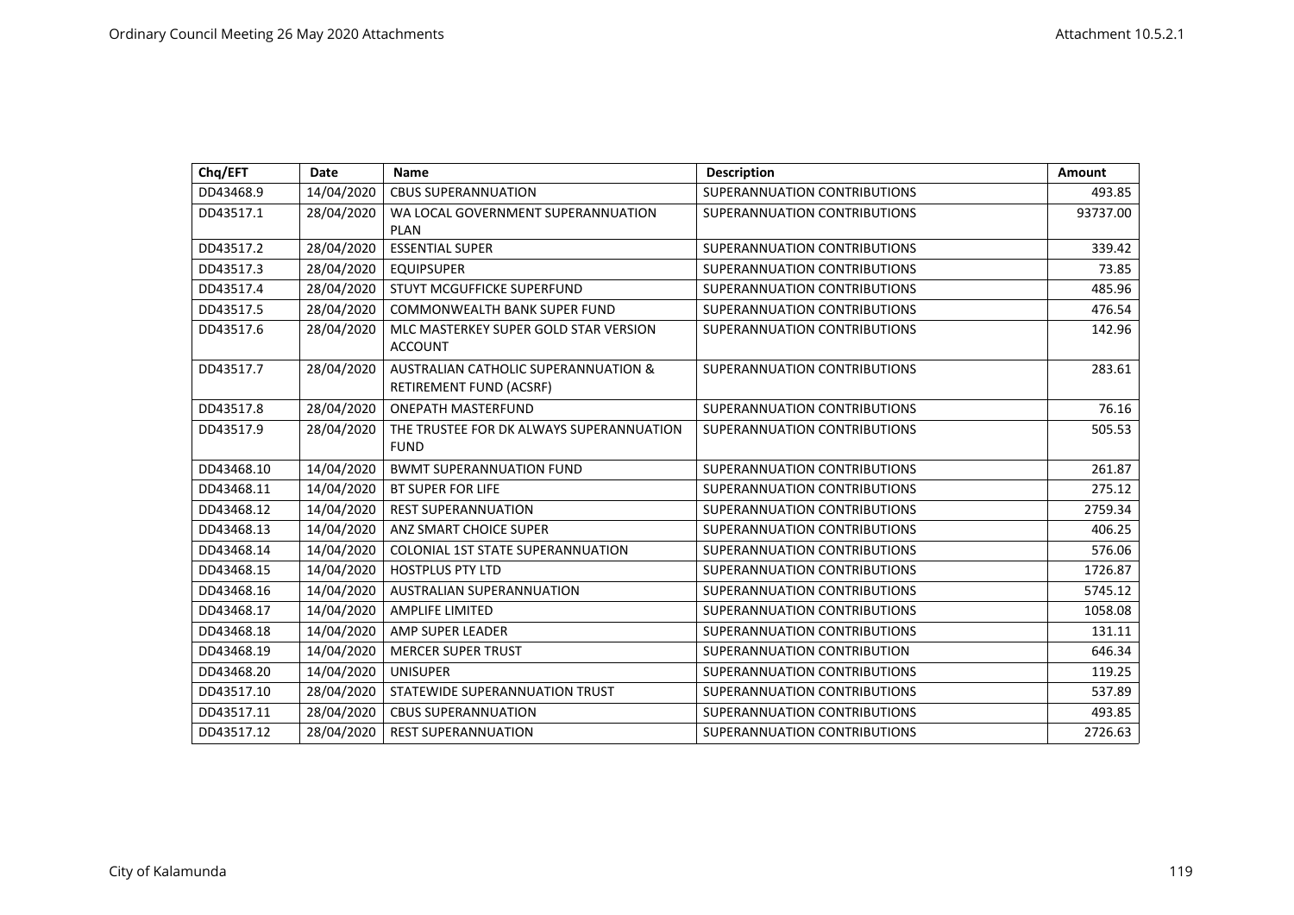| Chq/EFT    | <b>Date</b> | <b>Name</b>                                                                | <b>Description</b>           | <b>Amount</b> |
|------------|-------------|----------------------------------------------------------------------------|------------------------------|---------------|
| DD43468.9  | 14/04/2020  | <b>CBUS SUPERANNUATION</b>                                                 | SUPERANNUATION CONTRIBUTIONS | 493.85        |
| DD43517.1  | 28/04/2020  | WA LOCAL GOVERNMENT SUPERANNUATION<br><b>PLAN</b>                          | SUPERANNUATION CONTRIBUTIONS | 93737.00      |
| DD43517.2  | 28/04/2020  | <b>ESSENTIAL SUPER</b>                                                     | SUPERANNUATION CONTRIBUTIONS | 339.42        |
| DD43517.3  | 28/04/2020  | <b>EQUIPSUPER</b>                                                          | SUPERANNUATION CONTRIBUTIONS | 73.85         |
| DD43517.4  | 28/04/2020  | STUYT MCGUFFICKE SUPERFUND                                                 | SUPERANNUATION CONTRIBUTIONS | 485.96        |
| DD43517.5  | 28/04/2020  | COMMONWEALTH BANK SUPER FUND                                               | SUPERANNUATION CONTRIBUTIONS | 476.54        |
| DD43517.6  | 28/04/2020  | MLC MASTERKEY SUPER GOLD STAR VERSION<br><b>ACCOUNT</b>                    | SUPERANNUATION CONTRIBUTIONS | 142.96        |
| DD43517.7  | 28/04/2020  | <b>AUSTRALIAN CATHOLIC SUPERANNUATION &amp;</b><br>RETIREMENT FUND (ACSRF) | SUPERANNUATION CONTRIBUTIONS | 283.61        |
| DD43517.8  | 28/04/2020  | <b>ONEPATH MASTERFUND</b>                                                  | SUPERANNUATION CONTRIBUTIONS | 76.16         |
| DD43517.9  | 28/04/2020  | THE TRUSTEE FOR DK ALWAYS SUPERANNUATION<br><b>FUND</b>                    | SUPERANNUATION CONTRIBUTIONS | 505.53        |
| DD43468.10 | 14/04/2020  | <b>BWMT SUPERANNUATION FUND</b>                                            | SUPERANNUATION CONTRIBUTIONS | 261.87        |
| DD43468.11 | 14/04/2020  | <b>BT SUPER FOR LIFE</b>                                                   | SUPERANNUATION CONTRIBUTIONS | 275.12        |
| DD43468.12 | 14/04/2020  | <b>REST SUPERANNUATION</b>                                                 | SUPERANNUATION CONTRIBUTIONS | 2759.34       |
| DD43468.13 | 14/04/2020  | ANZ SMART CHOICE SUPER                                                     | SUPERANNUATION CONTRIBUTIONS | 406.25        |
| DD43468.14 | 14/04/2020  | <b>COLONIAL 1ST STATE SUPERANNUATION</b>                                   | SUPERANNUATION CONTRIBUTIONS | 576.06        |
| DD43468.15 | 14/04/2020  | <b>HOSTPLUS PTY LTD</b>                                                    | SUPERANNUATION CONTRIBUTIONS | 1726.87       |
| DD43468.16 | 14/04/2020  | <b>AUSTRALIAN SUPERANNUATION</b>                                           | SUPERANNUATION CONTRIBUTIONS | 5745.12       |
| DD43468.17 | 14/04/2020  | <b>AMPLIFE LIMITED</b>                                                     | SUPERANNUATION CONTRIBUTIONS | 1058.08       |
| DD43468.18 | 14/04/2020  | AMP SUPER LEADER                                                           | SUPERANNUATION CONTRIBUTIONS | 131.11        |
| DD43468.19 | 14/04/2020  | <b>MERCER SUPER TRUST</b>                                                  | SUPERANNUATION CONTRIBUTION  | 646.34        |
| DD43468.20 | 14/04/2020  | <b>UNISUPER</b>                                                            | SUPERANNUATION CONTRIBUTIONS | 119.25        |
| DD43517.10 | 28/04/2020  | STATEWIDE SUPERANNUATION TRUST                                             | SUPERANNUATION CONTRIBUTIONS | 537.89        |
| DD43517.11 | 28/04/2020  | <b>CBUS SUPERANNUATION</b>                                                 | SUPERANNUATION CONTRIBUTIONS | 493.85        |
| DD43517.12 | 28/04/2020  | <b>REST SUPERANNUATION</b>                                                 | SUPERANNUATION CONTRIBUTIONS | 2726.63       |